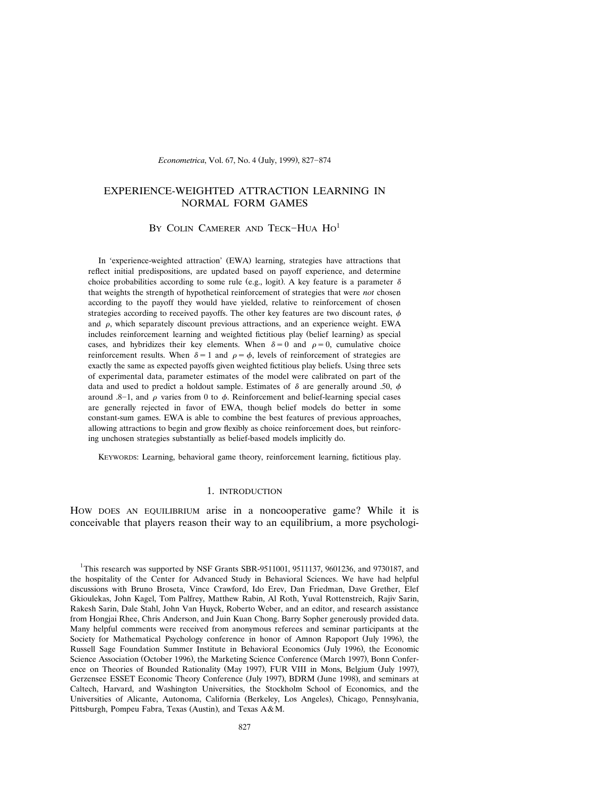# EXPERIENCE-WEIGHTED ATTRACTION LEARNING IN NORMAL FORM GAMES

# BY COLIN CAMERER AND TECK-HUA HO<sup>1</sup>

In 'experience-weighted attraction' (EWA) learning, strategies have attractions that reflect initial predispositions, are updated based on payoff experience, and determine choice probabilities according to some rule (e.g., logit). A key feature is a parameter  $\delta$ that weights the strength of hypothetical reinforcement of strategies that were *not* chosen according to the payoff they would have yielded, relative to reinforcement of chosen strategies according to received payoffs. The other key features are two discount rates,  $\phi$ and  $\rho$ , which separately discount previous attractions, and an experience weight. EWA includes reinforcement learning and weighted fictitious play (belief learning) as special cases, and hybridizes their key elements. When  $\delta = 0$  and  $\rho = 0$ , cumulative choice reinforcement results. When  $\delta = 1$  and  $\rho = \phi$ , levels of reinforcement of strategies are exactly the same as expected payoffs given weighted fictitious play beliefs. Using three sets of experimental data, parameter estimates of the model were calibrated on part of the data and used to predict a holdout sample. Estimates of  $\delta$  are generally around .50,  $\phi$ around  $.8-1$ , and  $\rho$  varies from 0 to  $\phi$ . Reinforcement and belief-learning special cases are generally rejected in favor of EWA, though belief models do better in some constant-sum games. EWA is able to combine the best features of previous approaches, allowing attractions to begin and grow flexibly as choice reinforcement does, but reinforcing unchosen strategies substantially as belief-based models implicitly do.

KEYWORDS: Learning, behavioral game theory, reinforcement learning, fictitious play.

#### 1. INTRODUCTION

HOW DOES AN EQUILIBRIUM arise in a noncooperative game? While it is conceivable that players reason their way to an equilibrium, a more psychologi-

<sup>1</sup>This research was supported by NSF Grants SBR-9511001, 9511137, 9601236, and 9730187, and the hospitality of the Center for Advanced Study in Behavioral Sciences. We have had helpful discussions with Bruno Broseta, Vince Crawford, Ido Erev, Dan Friedman, Dave Grether, Elef Gkioulekas, John Kagel, Tom Palfrey, Matthew Rabin, Al Roth, Yuval Rottenstreich, Rajiv Sarin, Rakesh Sarin, Dale Stahl, John Van Huyck, Roberto Weber, and an editor, and research assistance from Hongjai Rhee, Chris Anderson, and Juin Kuan Chong. Barry Sopher generously provided data. Many helpful comments were received from anonymous referees and seminar participants at the Society for Mathematical Psychology conference in honor of Amnon Rapoport (July 1996), the Russell Sage Foundation Summer Institute in Behavioral Economics (July 1996), the Economic Science Association (October 1996), the Marketing Science Conference (March 1997), Bonn Conference on Theories of Bounded Rationality (May 1997), FUR VIII in Mons, Belgium (July 1997), Gerzensee ESSET Economic Theory Conference (July 1997), BDRM (June 1998), and seminars at Caltech, Harvard, and Washington Universities, the Stockholm School of Economics, and the Universities of Alicante, Autonoma, California (Berkeley, Los Angeles), Chicago, Pennsylvania, Pittsburgh, Pompeu Fabra, Texas (Austin), and Texas  $A & M$ .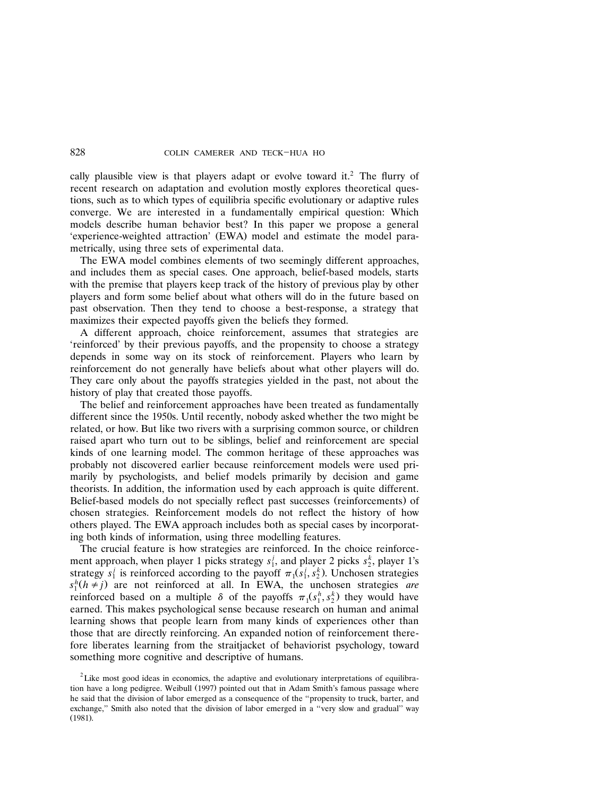cally plausible view is that players adapt or evolve toward it.<sup>2</sup> The flurry of recent research on adaptation and evolution mostly explores theoretical questions, such as to which types of equilibria specific evolutionary or adaptive rules converge. We are interested in a fundamentally empirical question: Which models describe human behavior best? In this paper we propose a general 'experience-weighted attraction' (EWA) model and estimate the model parametrically, using three sets of experimental data.

The EWA model combines elements of two seemingly different approaches, and includes them as special cases. One approach, belief-based models, starts with the premise that players keep track of the history of previous play by other players and form some belief about what others will do in the future based on past observation. Then they tend to choose a best-response, a strategy that maximizes their expected payoffs given the beliefs they formed.

A different approach, choice reinforcement, assumes that strategies are 'reinforced' by their previous payoffs, and the propensity to choose a strategy depends in some way on its stock of reinforcement. Players who learn by reinforcement do not generally have beliefs about what other players will do. They care only about the payoffs strategies yielded in the past, not about the history of play that created those payoffs.

The belief and reinforcement approaches have been treated as fundamentally different since the 1950s. Until recently, nobody asked whether the two might be related, or how. But like two rivers with a surprising common source, or children raised apart who turn out to be siblings, belief and reinforcement are special kinds of one learning model. The common heritage of these approaches was probably not discovered earlier because reinforcement models were used primarily by psychologists, and belief models primarily by decision and game theorists. In addition, the information used by each approach is quite different. Belief-based models do not specially reflect past successes (reinforcements) of chosen strategies. Reinforcement models do not reflect the history of how others played. The EWA approach includes both as special cases by incorporating both kinds of information, using three modelling features.

The crucial feature is how strategies are reinforced. In the choice reinforcement approach, when player 1 picks strategy  $s_1^j$ , and player 2 picks  $s_2^k$ , player 1's strategy  $s_i^j$  is reinforced according to the payoff  $\pi_1(s_i^j, s_i^k)$ . Unchosen strategies  $s_1^h(h \neq j)$  are not reinforced at all. In EWA, the unchosen strategies *are* reinforced based on a multiple  $\delta$  of the payoffs  $\pi_1(s_1^h, s_2^k)$  they would have earned. This makes psychological sense because research on human and animal learning shows that people learn from many kinds of experiences other than those that are directly reinforcing. An expanded notion of reinforcement therefore liberates learning from the straitjacket of behaviorist psychology, toward something more cognitive and descriptive of humans.

 $2^2$ Like most good ideas in economics, the adaptive and evolutionary interpretations of equilibration have a long pedigree. Weibull (1997) pointed out that in Adam Smith's famous passage where he said that the division of labor emerged as a consequence of the ''propensity to truck, barter, and exchange,'' Smith also noted that the division of labor emerged in a ''very slow and gradual'' way  $(1981)$ .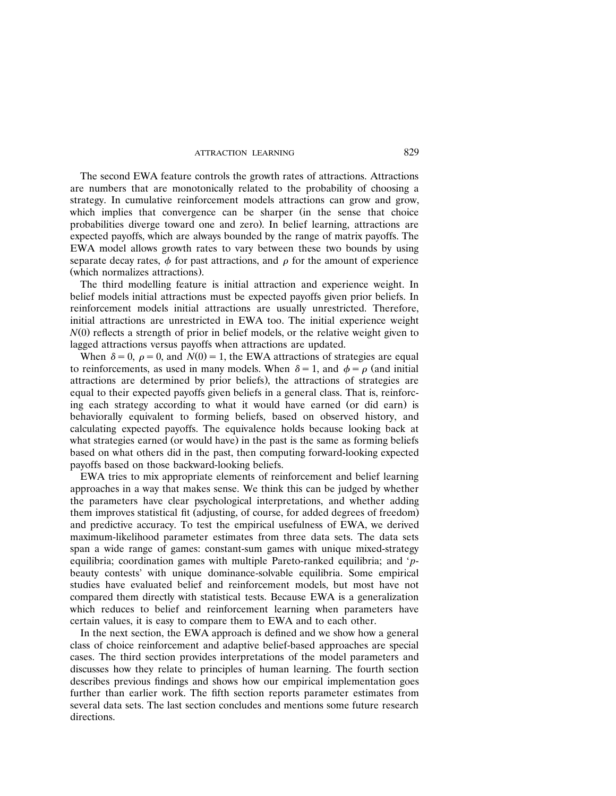The second EWA feature controls the growth rates of attractions. Attractions are numbers that are monotonically related to the probability of choosing a strategy. In cumulative reinforcement models attractions can grow and grow, which implies that convergence can be sharper (in the sense that choice probabilities diverge toward one and zero). In belief learning, attractions are expected payoffs, which are always bounded by the range of matrix payoffs. The EWA model allows growth rates to vary between these two bounds by using separate decay rates,  $\phi$  for past attractions, and  $\rho$  for the amount of experience (which normalizes attractions).

The third modelling feature is initial attraction and experience weight. In belief models initial attractions must be expected payoffs given prior beliefs. In reinforcement models initial attractions are usually unrestricted. Therefore, initial attractions are unrestricted in EWA too. The initial experience weight  $N(0)$  reflects a strength of prior in belief models, or the relative weight given to lagged attractions versus payoffs when attractions are updated.

When  $\delta = 0$ ,  $\rho = 0$ , and  $N(0) = 1$ , the EWA attractions of strategies are equal to reinforcements, as used in many models. When  $\delta = 1$ , and  $\phi = \rho$  (and initial attractions are determined by prior beliefs), the attractions of strategies are equal to their expected payoffs given beliefs in a general class. That is, reinforcing each strategy according to what it would have earned (or did earn) is behaviorally equivalent to forming beliefs, based on observed history, and calculating expected payoffs. The equivalence holds because looking back at what strategies earned (or would have) in the past is the same as forming beliefs based on what others did in the past, then computing forward-looking expected payoffs based on those backward-looking beliefs.

EWA tries to mix appropriate elements of reinforcement and belief learning approaches in a way that makes sense. We think this can be judged by whether the parameters have clear psychological interpretations, and whether adding them improves statistical fit (adjusting, of course, for added degrees of freedom) and predictive accuracy. To test the empirical usefulness of EWA, we derived maximum-likelihood parameter estimates from three data sets. The data sets span a wide range of games: constant-sum games with unique mixed-strategy equilibria; coordination games with multiple Pareto-ranked equilibria; and '*p*beauty contests' with unique dominance-solvable equilibria. Some empirical studies have evaluated belief and reinforcement models, but most have not compared them directly with statistical tests. Because EWA is a generalization which reduces to belief and reinforcement learning when parameters have certain values, it is easy to compare them to EWA and to each other.

In the next section, the EWA approach is defined and we show how a general class of choice reinforcement and adaptive belief-based approaches are special cases. The third section provides interpretations of the model parameters and discusses how they relate to principles of human learning. The fourth section describes previous findings and shows how our empirical implementation goes further than earlier work. The fifth section reports parameter estimates from several data sets. The last section concludes and mentions some future research directions.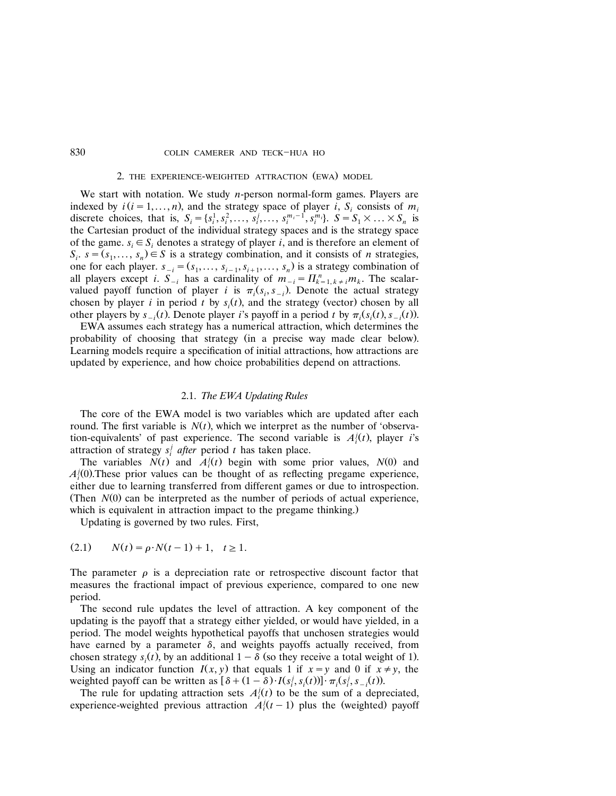#### 2. THE EXPERIENCE-WEIGHTED ATTRACTION (EWA) MODEL

We start with notation. We study *n*-person normal-form games. Players are indexed by  $i(i = 1, ..., n)$ , and the strategy space of player *i*,  $S_i$  consists of  $m_i$ discrete choices, that is,  $S_i = \{s_i^1, s_i^2, \dots, s_i^j, \dots, s_i^{m_i-1}, s_i^{m_i}\}\$ .  $S = S_1 \times \dots \times S_n$  is the Cartesian product of the individual strategy spaces and is the strategy space of the game.  $s_i \in S_i$  denotes a strategy of player *i*, and is therefore an element of  $S_i$ ,  $s = (s_1, \ldots, s_n) \in S$  is a strategy combination, and it consists of *n* strategies, one for each player.  $s_{-i} = (s_1, \ldots, s_{i-1}, s_{i+1}, \ldots, s_n)$  is a strategy combination of all players except *i*.  $S_{-i}$  has a cardinality of  $m_{-i} = \prod_{k=1, k \neq i}^{n} m_k$ . The scalarvalued payoff function of player *i* is  $\pi_i(s_i, s_{-i})$ . Denote the actual strategy chosen by player *i* in period *t* by  $s_i(t)$ , and the strategy (vector) chosen by all other players by  $s_{-i}(t)$ . Denote player *i*'s payoff in a period *t* by  $\pi_i(s_i(t), s_{-i}(t))$ .

EWA assumes each strategy has a numerical attraction, which determines the probability of choosing that strategy (in a precise way made clear below). Learning models require a specification of initial attractions, how attractions are updated by experience, and how choice probabilities depend on attractions.

## 2.1. *The EWA Updating Rules*

The core of the EWA model is two variables which are updated after each round. The first variable is  $N(t)$ , which we interpret as the number of 'observa*tion-equivalents'* of past experience. The second variable is  $A_i^j(t)$ , player *i*'s attraction of strategy *s<sup>j</sup> after* period *t* has taken place. *<sup>i</sup>*

The variables  $N(t)$  and  $A_i^j(t)$  begin with some prior values,  $N(0)$  and  $A_i^j(0)$ . These prior values can be thought of as reflecting pregame experience, either due to learning transferred from different games or due to introspection. (Then  $N(0)$  can be interpreted as the number of periods of actual experience, which is equivalent in attraction impact to the pregame thinking.)

Updating is governed by two rules. First,

$$
(2.1) \qquad N(t) = \rho \cdot N(t-1) + 1, \quad t \ge 1.
$$

The parameter  $\rho$  is a depreciation rate or retrospective discount factor that measures the fractional impact of previous experience, compared to one new period.

The second rule updates the level of attraction. A key component of the updating is the payoff that a strategy either yielded, or would have yielded, in a period. The model weights hypothetical payoffs that unchosen strategies would have earned by a parameter  $\delta$ , and weights payoffs actually received, from chosen strategy  $s_i(t)$ , by an additional  $1 - \delta$  (so they receive a total weight of 1). Using an indicator function  $I(x, y)$  that equals 1 if  $x = y$  and 0 if  $x \neq y$ , the weighted payoff can be written as  $\left[\delta + (1 - \delta) \cdot I(s_i^j, s_i(t))\right] \cdot \pi_i(s_i^j, s_{-i}(t))$ .

The rule for updating attraction sets  $A_i^j(t)$  to be the sum of a depreciated, experience-weighted previous attraction  $A_i^j(t-1)$  plus the (weighted) payoff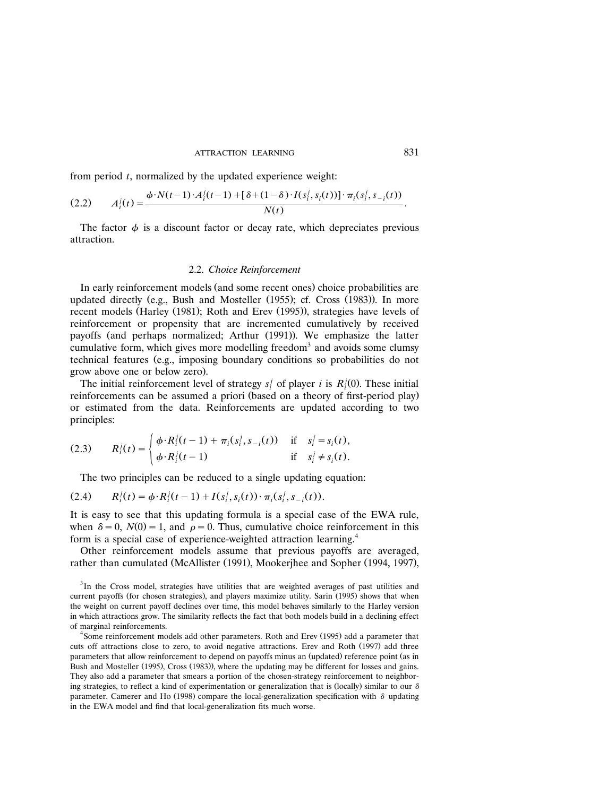from period *t*, normalized by the updated experience weight:

(2.2) 
$$
A_i^j(t) = \frac{\phi \cdot N(t-1) \cdot A_i^j(t-1) + [\delta + (1-\delta) \cdot I(s_i^j, s_i(t))] \cdot \pi_i(s_i^j, s_{-i}(t))}{N(t)}.
$$

The factor  $\phi$  is a discount factor or decay rate, which depreciates previous attraction.

#### 2.2. *Choice Reinforcement*

In early reinforcement models (and some recent ones) choice probabilities are updated directly (e.g., Bush and Mosteller (1955); cf. Cross (1983)). In more recent models (Harley (1981); Roth and Erev (1995)), strategies have levels of reinforcement or propensity that are incremented cumulatively by received payoffs (and perhaps normalized; Arthur (1991)). We emphasize the latter cumulative form, which gives more modelling freedom $3$  and avoids some clumsy technical features (e.g., imposing boundary conditions so probabilities do not grow above one or below zero).

The initial reinforcement level of strategy  $s_i^j$  of player *i* is  $R_i^j(0)$ . These initial reinforcements can be assumed a priori (based on a theory of first-period play) or estimated from the data. Reinforcements are updated according to two principles:

(2.3) 
$$
R_i^j(t) = \begin{cases} \phi \cdot R_i^j(t-1) + \pi_i(s_i^j, s_{-i}(t)) & \text{if } s_i^j = s_i(t), \\ \phi \cdot R_i^j(t-1) & \text{if } s_i^j \neq s_i(t). \end{cases}
$$

The two principles can be reduced to a single updating equation:

(2.4) 
$$
R_i^j(t) = \phi \cdot R_i^j(t-1) + I(s_i^j, s_i(t)) \cdot \pi_i(s_i^j, s_{-i}(t)).
$$

It is easy to see that this updating formula is a special case of the EWA rule, when  $\delta = 0$ ,  $N(0) = 1$ , and  $\rho = 0$ . Thus, cumulative choice reinforcement in this form is a special case of experience-weighted attraction learning.<sup>4</sup>

Other reinforcement models assume that previous payoffs are averaged, rather than cumulated (McAllister (1991), Mookerjhee and Sopher (1994, 1997),

<sup>&</sup>lt;sup>3</sup>In the Cross model, strategies have utilities that are weighted averages of past utilities and current payoffs (for chosen strategies), and players maximize utility. Sarin (1995) shows that when the weight on current payoff declines over time, this model behaves similarly to the Harley version in which attractions grow. The similarity reflects the fact that both models build in a declining effect of marginal reinforcements. <sup>4</sup>

<sup>&</sup>lt;sup>4</sup> Some reinforcement models add other parameters. Roth and Erev (1995) add a parameter that cuts off attractions close to zero, to avoid negative attractions. Erev and Roth (1997) add three parameters that allow reinforcement to depend on payoffs minus an (updated) reference point (as in Bush and Mosteller (1995), Cross (1983)), where the updating may be different for losses and gains. They also add a parameter that smears a portion of the chosen-strategy reinforcement to neighboring strategies, to reflect a kind of experimentation or generalization that is (locally) similar to our  $\delta$ parameter. Camerer and Ho (1998) compare the local-generalization specification with  $\delta$  updating in the EWA model and find that local-generalization fits much worse.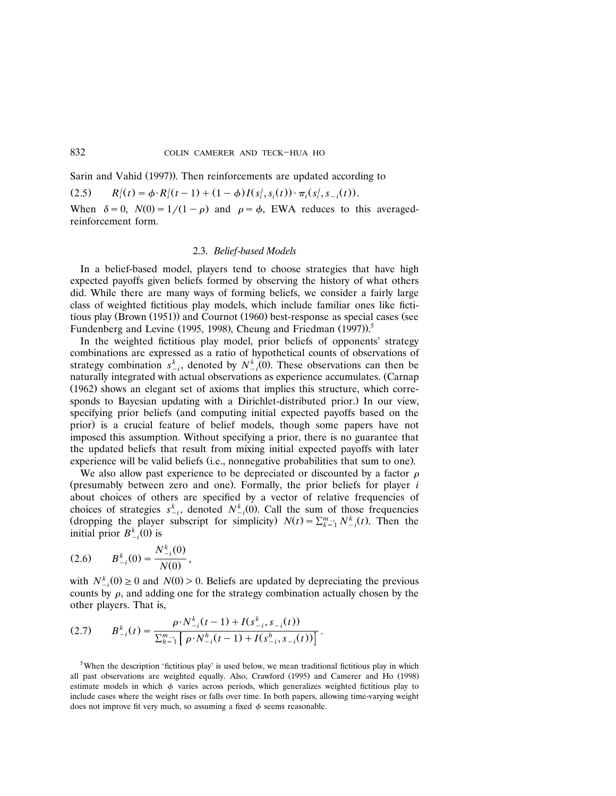Sarin and Vahid (1997)). Then reinforcements are updated according to

 $(2.5)$ 2.5)  $R_i^j(t) = \phi \cdot R_i^j(t-1) + (1-\phi)I(s_i^j, s_i(t)) \cdot \pi_i(s_i^j, s_{-i}(t)).$ When  $\delta = 0$ ,  $N(0) = 1/(1 - \rho)$  and  $\rho = \phi$ , EWA reduces to this averagedreinforcement form.

## 2.3. *Belief*-*based Models*

In a belief-based model, players tend to choose strategies that have high expected payoffs given beliefs formed by observing the history of what others did. While there are many ways of forming beliefs, we consider a fairly large class of weighted fictitious play models, which include familiar ones like fictitious play (Brown  $(1951)$ ) and Cournot  $(1960)$  best-response as special cases (see Fundenberg and Levine (1995, 1998), Cheung and Friedman  $(1997)$ .<sup>5</sup>

In the weighted fictitious play model, prior beliefs of opponents' strategy combinations are expressed as a ratio of hypothetical counts of observations of strategy combination  $s_{-i}^k$ , denoted by  $N_{-i}^k(0)$ . These observations can then be naturally integrated with actual observations as experience accumulates. (Carnap  $(1962)$  shows an elegant set of axioms that implies this structure, which corresponds to Bayesian updating with a Dirichlet-distributed prior.) In our view, specifying prior beliefs (and computing initial expected payoffs based on the prior) is a crucial feature of belief models, though some papers have not imposed this assumption. Without specifying a prior, there is no guarantee that the updated beliefs that result from mixing initial expected payoffs with later experience will be valid beliefs (i.e., nonnegative probabilities that sum to one).

We also allow past experience to be depreciated or discounted by a factor  $\rho$ (presumably between zero and one). Formally, the prior beliefs for player  $i$ about choices of others are specified by a vector of relative frequencies of choices of strategies  $s_{-i}^k$ , denoted  $N_{-i}^k(0)$ . Call the sum of those frequencies (dropping the player subscript for simplicity)  $N(t) = \sum_{k=1}^{m} N_{-i}^{k}(t)$ . Then the initial prior  $B_{-i}^k(0)$  is

$$
(2.6) \t Bk-i(0) = \frac{Nk-i(0)}{N(0)},
$$

with  $N_{-i}^{k}(0) \ge 0$  and  $N(0) > 0$ . Beliefs are updated by depreciating the previous counts by  $\rho$ , and adding one for the strategy combination actually chosen by the other players. That is,

$$
(2.7) \tB_{-i}^{k}(t) = \frac{\rho \cdot N_{-i}^{k}(t-1) + I(s_{-i}^{k}, s_{-i}(t))}{\sum_{h=1}^{m_{-i}} \left[ \rho \cdot N_{-i}^{h}(t-1) + I(s_{-i}^{h}, s_{-i}(t)) \right]}.
$$

<sup>5</sup>When the description 'fictitious play' is used below, we mean traditional fictitious play in which all past observations are weighted equally. Also, Crawford (1995) and Camerer and Ho (1998) estimate models in which  $\phi$  varies across periods, which generalizes weighted fictitious play to include cases where the weight rises or falls over time. In both papers, allowing time-varying weight does not improve fit very much, so assuming a fixed  $\phi$  seems reasonable.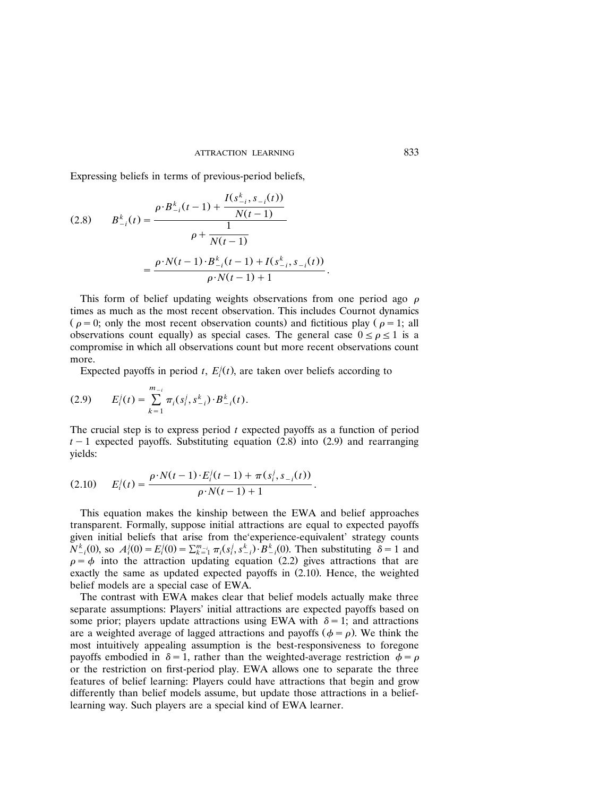Expressing beliefs in terms of previous-period beliefs,

(2.8) 
$$
B_{-i}^{k}(t) = \frac{\rho \cdot B_{-i}^{k}(t-1) + \frac{I(s_{-i}^{k}, s_{-i}(t))}{N(t-1)}}{\rho + \frac{1}{N(t-1)}} = \frac{\rho \cdot N(t-1) \cdot B_{-i}^{k}(t-1) + I(s_{-i}^{k}, s_{-i}(t))}{\rho \cdot N(t-1) + 1}.
$$

This form of belief updating weights observations from one period ago  $\rho$ times as much as the most recent observation. This includes Cournot dynamics  $\varphi = 0$ ; only the most recent observation counts) and fictitious play  $\varphi = 1$ ; all observations count equally) as special cases. The general case  $0 \le \rho \le 1$  is a compromise in which all observations count but more recent observations count more.

Expected payoffs in period *t*,  $E_i^j(t)$ , are taken over beliefs according to

$$
(2.9) \tE_i^j(t) = \sum_{k=1}^{m_{-i}} \pi_i(s_i^j, s_{-i}^k) \cdot B_{-i}^k(t).
$$

The crucial step is to express period *t* expected payoffs as a function of period  $t-1$  expected payoffs. Substituting equation (2.8) into (2.9) and rearranging yields:

(2.10) 
$$
E_i^j(t) = \frac{\rho \cdot N(t-1) \cdot E_i^j(t-1) + \pi(s_i^j, s_{-i}(t))}{\rho \cdot N(t-1) + 1}.
$$

This equation makes the kinship between the EWA and belief approaches transparent. Formally, suppose initial attractions are equal to expected payoffs given initial beliefs that arise from the'experience-equivalent' strategy counts  $N_{-i}^k(0)$ , so  $A_i^j(0) = E_i^j(0) = \sum_{k=1}^{m_{-i}} \pi_i(s_i^j, s_{-i}^k) \cdot B_{-i}^k(0)$ . Then substituting  $\delta = 1$  and  $\rho = \phi$  into the attraction updating equation (2.2) gives attractions that are exactly the same as updated expected payoffs in  $(2.10)$ . Hence, the weighted belief models are a special case of EWA.

The contrast with EWA makes clear that belief models actually make three separate assumptions: Players' initial attractions are expected payoffs based on some prior; players update attractions using EWA with  $\delta = 1$ ; and attractions are a weighted average of lagged attractions and payoffs ( $\phi = \rho$ ). We think the most intuitively appealing assumption is the best-responsiveness to foregone payoffs embodied in  $\delta = 1$ , rather than the weighted-average restriction  $\phi = \rho$ or the restriction on first-period play. EWA allows one to separate the three features of belief learning: Players could have attractions that begin and grow differently than belief models assume, but update those attractions in a belieflearning way. Such players are a special kind of EWA learner.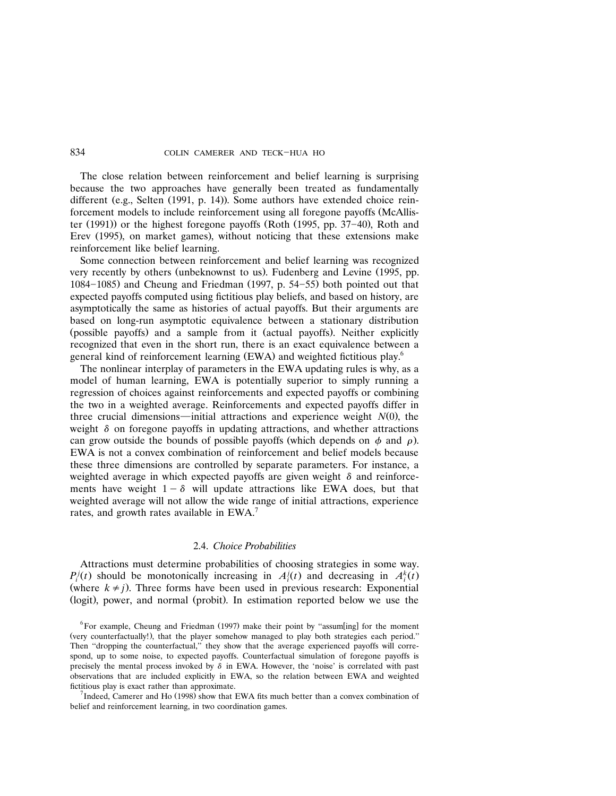The close relation between reinforcement and belief learning is surprising because the two approaches have generally been treated as fundamentally different (e.g., Selten  $(1991, p. 14)$ ). Some authors have extended choice reinforcement models to include reinforcement using all foregone payoffs (McAllister  $(1991)$ ) or the highest foregone payoffs (Roth  $(1995, pp. 37-40)$ , Roth and Erev (1995), on market games), without noticing that these extensions make reinforcement like belief learning.

Some connection between reinforcement and belief learning was recognized very recently by others (unbeknownst to us). Fudenberg and Levine (1995, pp. 1084 $-1085$ ) and Cheung and Friedman (1997, p. 54 $-55$ ) both pointed out that expected payoffs computed using fictitious play beliefs, and based on history, are asymptotically the same as histories of actual payoffs. But their arguments are based on long-run asymptotic equivalence between a stationary distribution (possible payoffs) and a sample from it (actual payoffs). Neither explicitly recognized that even in the short run, there is an exact equivalence between a general kind of reinforcement learning (EWA) and weighted fictitious play.<sup>6</sup>

The nonlinear interplay of parameters in the EWA updating rules is why, as a model of human learning, EWA is potentially superior to simply running a regression of choices against reinforcements and expected payoffs or combining the two in a weighted average. Reinforcements and expected payoffs differ in three crucial dimensions—initial attractions and experience weight  $N(0)$ , the weight  $\delta$  on foregone payoffs in updating attractions, and whether attractions can grow outside the bounds of possible payoffs (which depends on  $\phi$  and  $\rho$ ). EWA is not a convex combination of reinforcement and belief models because these three dimensions are controlled by separate parameters. For instance, a weighted average in which expected payoffs are given weight  $\delta$  and reinforcements have weight  $1 - \delta$  will update attractions like EWA does, but that weighted average will not allow the wide range of initial attractions, experience rates, and growth rates available in EWA.<sup>7</sup>

#### 2.4. *Choice Probabilities*

Attractions must determine probabilities of choosing strategies in some way.  $P_i^j(t)$  should be monotonically increasing in  $A_i^j(t)$  and decreasing in  $A_i^k(t)$ (where  $k \neq j$ ). Three forms have been used in previous research: Exponential (logit), power, and normal (probit). In estimation reported below we use the

Indeed, Camerer and Ho (1998) show that EWA fits much better than a convex combination of belief and reinforcement learning, in two coordination games.

 $6$  For example, Cheung and Friedman (1997) make their point by "assum[ing] for the moment (very counterfactually!), that the player somehow managed to play both strategies each period." Then "dropping the counterfactual," they show that the average experienced payoffs will correspond, up to some noise, to expected payoffs. Counterfactual simulation of foregone payoffs is precisely the mental process invoked by  $\delta$  in EWA. However, the 'noise' is correlated with past observations that are included explicitly in EWA, so the relation between EWA and weighted fictitious play is exact rather than approximate.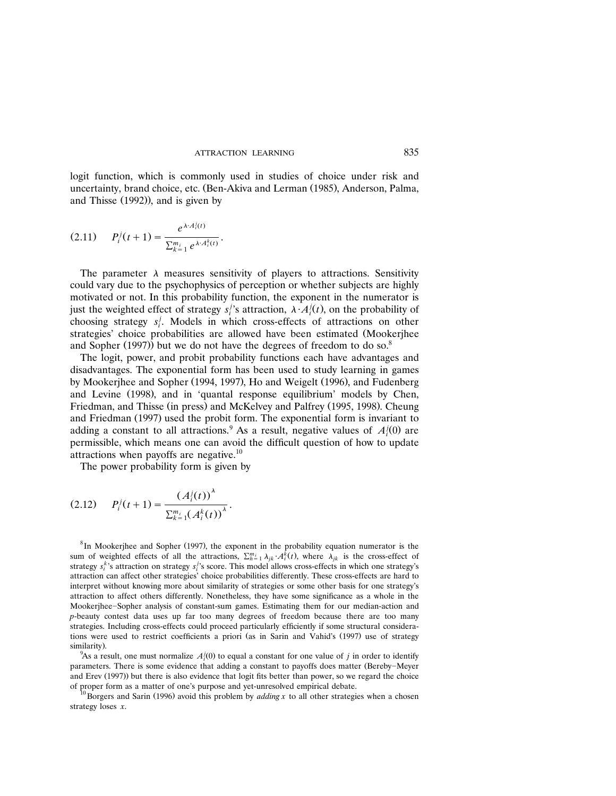logit function, which is commonly used in studies of choice under risk and uncertainty, brand choice, etc. (Ben-Akiva and Lerman (1985), Anderson, Palma, and Thisse  $(1992)$ , and is given by

$$
(2.11) \t P_i(t+1) = \frac{e^{\lambda \cdot A_i^i(t)}}{\sum_{k=1}^{m_i} e^{\lambda \cdot A_i^k(t)}}.
$$

The parameter  $\lambda$  measures sensitivity of players to attractions. Sensitivity could vary due to the psychophysics of perception or whether subjects are highly motivated or not. In this probability function, the exponent in the numerator is *just* the weighted effect of strategy  $s_i$ 's attraction,  $\lambda \cdot A_i^j(t)$ , on the probability of choosing strategy *s<sup>j</sup>* . Models in which cross-effects of attractions on other *<sup>i</sup>* strategies' choice probabilities are allowed have been estimated (Mookerjhee and Sopher (1997)) but we do not have the degrees of freedom to do so.<sup>8</sup>

The logit, power, and probit probability functions each have advantages and disadvantages. The exponential form has been used to study learning in games by Mookerjhee and Sopher (1994, 1997), Ho and Weigelt (1996), and Fudenberg and Levine (1998), and in 'quantal response equilibrium' models by Chen, Friedman, and Thisse (in press) and McKelvey and Palfrey (1995, 1998). Cheung and Friedman (1997) used the probit form. The exponential form is invariant to adding a constant to all attractions.<sup>9</sup> As a result, negative values of  $A_i^j(0)$  are permissible, which means one can avoid the difficult question of how to update attractions when payoffs are negative.<sup>10</sup>

The power probability form is given by

$$
(2.12) \tP_i^j(t+1) = \frac{(A_i^j(t))^{\lambda}}{\sum_{k=1}^{m_i} (A_i^k(t))^{\lambda}}.
$$

 ${}^{8}$ In Mookerjhee and Sopher (1997), the exponent in the probability equation numerator is the sum of weighted effects of all the attractions,  $\sum_{h=1}^{m_i} \lambda_{jk} A_i^k(t)$ , where  $\lambda_{jk}$  is the cross-effect of strategy  $s_i^k$ 's attraction on strategy  $s_i^j$ 's score. This model allows cross-effects in which one strategy's attraction can affect other strategies' choice probabilities differently. These cross-effects are hard to interpret without knowing more about similarity of strategies or some other basis for one strategy's attraction to affect others differently. Nonetheless, they have some significance as a whole in the Mookerjhee-Sopher analysis of constant-sum games. Estimating them for our median-action and *p*-beauty contest data uses up far too many degrees of freedom because there are too many strategies. Including cross-effects could proceed particularly efficiently if some structural considerations were used to restrict coefficients a priori (as in Sarin and Vahid's (1997) use of strategy similarity).<br><sup>9</sup> As a result, one must normalize  $A_i^j(0)$  to equal a constant for one value of *j* in order to identify

parameters. There is some evidence that adding a constant to payoffs does matter (Bereby–Meyer and Erev (1997)) but there is also evidence that logit fits better than power, so we regard the choice of proper form as a matter of one's purpose and yet-unresolved empirical debate.<br><sup>10</sup>Borgers and Sarin (1996) avoid this problem by *adding x* to all other strategies when a chosen

strategy loses *x*.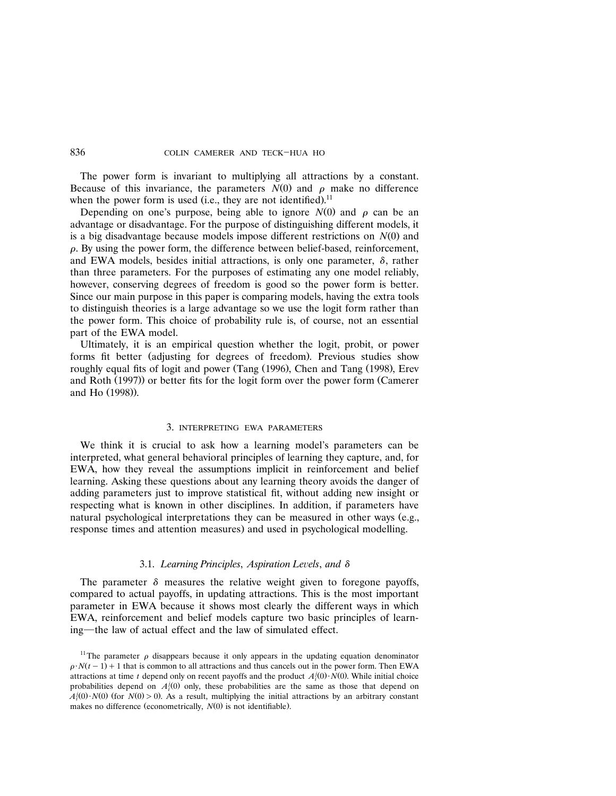The power form is invariant to multiplying all attractions by a constant. Because of this invariance, the parameters  $N(0)$  and  $\rho$  make no difference when the power form is used (i.e., they are not identified).<sup>11</sup>

Depending on one's purpose, being able to ignore  $N(0)$  and  $\rho$  can be an advantage or disadvantage. For the purpose of distinguishing different models, it is a big disadvantage because models impose different restrictions on  $N(0)$  and  $\rho$ . By using the power form, the difference between belief-based, reinforcement, and EWA models, besides initial attractions, is only one parameter,  $\delta$ , rather than three parameters. For the purposes of estimating any one model reliably, however, conserving degrees of freedom is good so the power form is better. Since our main purpose in this paper is comparing models, having the extra tools to distinguish theories is a large advantage so we use the logit form rather than the power form. This choice of probability rule is, of course, not an essential part of the EWA model.

Ultimately, it is an empirical question whether the logit, probit, or power forms fit better (adjusting for degrees of freedom). Previous studies show roughly equal fits of logit and power (Tang (1996), Chen and Tang (1998), Erev and Roth (1997)) or better fits for the logit form over the power form (Camerer and Ho (1998)).

#### 3. INTERPRETING EWA PARAMETERS

We think it is crucial to ask how a learning model's parameters can be interpreted, what general behavioral principles of learning they capture, and, for EWA, how they reveal the assumptions implicit in reinforcement and belief learning. Asking these questions about any learning theory avoids the danger of adding parameters just to improve statistical fit, without adding new insight or respecting what is known in other disciplines. In addition, if parameters have natural psychological interpretations they can be measured in other ways (e.g., response times and attention measures) and used in psychological modelling.

# 3.1. Learning Principles, Aspiration Levels, and  $\delta$

The parameter  $\delta$  measures the relative weight given to foregone payoffs, compared to actual payoffs, in updating attractions. This is the most important parameter in EWA because it shows most clearly the different ways in which EWA, reinforcement and belief models capture two basic principles of learning-the law of actual effect and the law of simulated effect.

<sup>&</sup>lt;sup>11</sup>The parameter  $\rho$  disappears because it only appears in the updating equation denominator  $\rho \cdot N(t-1) + 1$  that is common to all attractions and thus cancels out in the power form. Then EWA attractions at time t depend only on recent payoffs and the product  $A_i^j(0) \cdot N(0)$ . While initial choice<br>probabilities depend on  $A_i^j(0)$  only, these probabilities are the same as those that depend on  $A_i^j(0) \cdot N(0)$  (for  $N(0) > 0$ ). As a result, multiplying the initial attractions by an arbitrary constant makes no difference (econometrically,  $N(0)$  is not identifiable).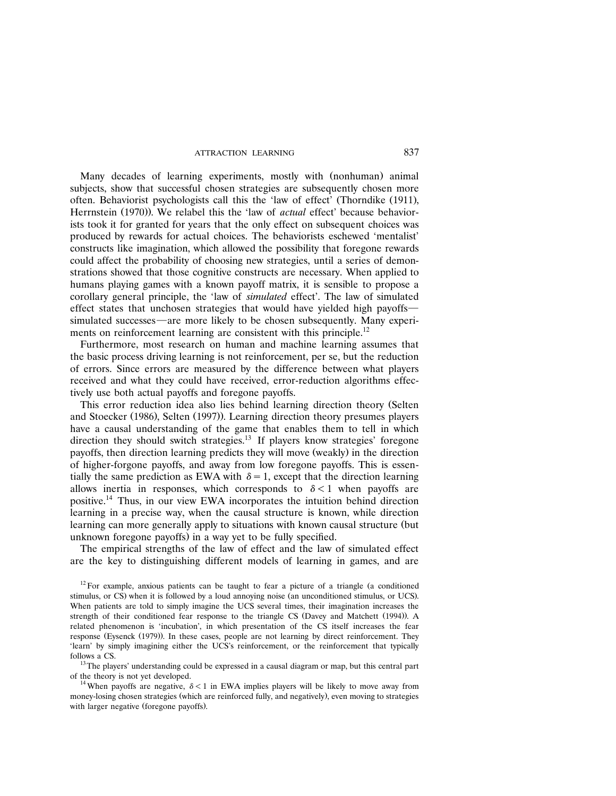Many decades of learning experiments, mostly with (nonhuman) animal subjects, show that successful chosen strategies are subsequently chosen more often. Behaviorist psychologists call this the 'law of effect' (Thorndike (1911), Herrnstein (1970)). We relabel this the 'law of *actual* effect' because behaviorists took it for granted for years that the only effect on subsequent choices was produced by rewards for actual choices. The behaviorists eschewed 'mentalist' constructs like imagination, which allowed the possibility that foregone rewards could affect the probability of choosing new strategies, until a series of demonstrations showed that those cognitive constructs are necessary. When applied to humans playing games with a known payoff matrix, it is sensible to propose a corollary general principle, the 'law of *simulated* effect'. The law of simulated effect states that unchosen strategies that would have yielded high payoffs simulated successes—are more likely to be chosen subsequently. Many experiments on reinforcement learning are consistent with this principle.<sup>12</sup>

Furthermore, most research on human and machine learning assumes that the basic process driving learning is not reinforcement, per se, but the reduction of errors. Since errors are measured by the difference between what players received and what they could have received, error-reduction algorithms effectively use both actual payoffs and foregone payoffs.

This error reduction idea also lies behind learning direction theory (Selten and Stoecker (1986), Selten (1997)). Learning direction theory presumes players have a causal understanding of the game that enables them to tell in which direction they should switch strategies.<sup>13</sup> If players know strategies' foregone payoffs, then direction learning predicts they will move (weakly) in the direction of higher-forgone payoffs, and away from low foregone payoffs. This is essentially the same prediction as EWA with  $\delta = 1$ , except that the direction learning allows inertia in responses, which corresponds to  $\delta < 1$  when payoffs are positive.14 Thus, in our view EWA incorporates the intuition behind direction learning in a precise way, when the causal structure is known, while direction learning can more generally apply to situations with known causal structure (but unknown foregone payoffs) in a way yet to be fully specified.

The empirical strengths of the law of effect and the law of simulated effect are the key to distinguishing different models of learning in games, and are

 $12$  For example, anxious patients can be taught to fear a picture of a triangle (a conditioned stimulus, or CS) when it is followed by a loud annoying noise (an unconditioned stimulus, or UCS). When patients are told to simply imagine the UCS several times, their imagination increases the strength of their conditioned fear response to the triangle CS (Davey and Matchett (1994)). A related phenomenon is 'incubation', in which presentation of the CS itself increases the fear response (Eysenck (1979)). In these cases, people are not learning by direct reinforcement. They 'learn' by simply imagining either the UCS's reinforcement, or the reinforcement that typically

 $13$ The players' understanding could be expressed in a causal diagram or map, but this central part

of the theory is not yet developed.<br><sup>14</sup> When payoffs are negative,  $\delta < 1$  in EWA implies players will be likely to move away from money-losing chosen strategies (which are reinforced fully, and negatively), even moving to strategies with larger negative (foregone payoffs).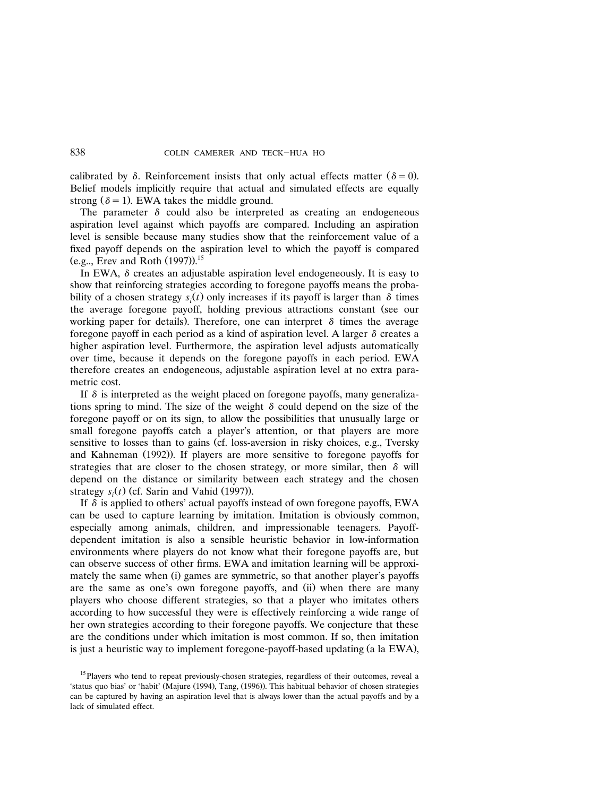calibrated by  $\delta$ . Reinforcement insists that only actual effects matter ( $\delta = 0$ ). Belief models implicitly require that actual and simulated effects are equally strong ( $\delta$  = 1). EWA takes the middle ground.

The parameter  $\delta$  could also be interpreted as creating an endogeneous aspiration level against which payoffs are compared. Including an aspiration level is sensible because many studies show that the reinforcement value of a fixed payoff depends on the aspiration level to which the payoff is compared (e.g.., Erev and Roth (1997)).<sup>15</sup>

In EWA,  $\delta$  creates an adjustable aspiration level endogeneously. It is easy to show that reinforcing strategies according to foregone payoffs means the probability of a chosen strategy  $s_i(t)$  only increases if its payoff is larger than  $\delta$  times the average foregone payoff, holding previous attractions constant (see our working paper for details). Therefore, one can interpret  $\delta$  times the average foregone payoff in each period as a kind of aspiration level. A larger  $\delta$  creates a higher aspiration level. Furthermore, the aspiration level adjusts automatically over time, because it depends on the foregone payoffs in each period. EWA therefore creates an endogeneous, adjustable aspiration level at no extra parametric cost.

If  $\delta$  is interpreted as the weight placed on foregone payoffs, many generalizations spring to mind. The size of the weight  $\delta$  could depend on the size of the foregone payoff or on its sign, to allow the possibilities that unusually large or small foregone payoffs catch a player's attention, or that players are more sensitive to losses than to gains (cf. loss-aversion in risky choices, e.g., Tversky and Kahneman (1992)). If players are more sensitive to foregone payoffs for strategies that are closer to the chosen strategy, or more similar, then  $\delta$  will depend on the distance or similarity between each strategy and the chosen strategy  $s_i(t)$  (cf. Sarin and Vahid (1997)).

If  $\delta$  is applied to others' actual payoffs instead of own foregone payoffs, EWA can be used to capture learning by imitation. Imitation is obviously common, especially among animals, children, and impressionable teenagers. Payoffdependent imitation is also a sensible heuristic behavior in low-information environments where players do not know what their foregone payoffs are, but can observe success of other firms. EWA and imitation learning will be approximately the same when (i) games are symmetric, so that another player's payoffs are the same as one's own foregone payoffs, and (ii) when there are many players who choose different strategies, so that a player who imitates others according to how successful they were is effectively reinforcing a wide range of her own strategies according to their foregone payoffs. We conjecture that these are the conditions under which imitation is most common. If so, then imitation is just a heuristic way to implement foregone-payoff-based updating (a la EWA),

<sup>&</sup>lt;sup>15</sup>Players who tend to repeat previously-chosen strategies, regardless of their outcomes, reveal a 'status quo bias' or 'habit' (Majure (1994), Tang, (1996)). This habitual behavior of chosen strategies can be captured by having an aspiration level that is always lower than the actual payoffs and by a lack of simulated effect.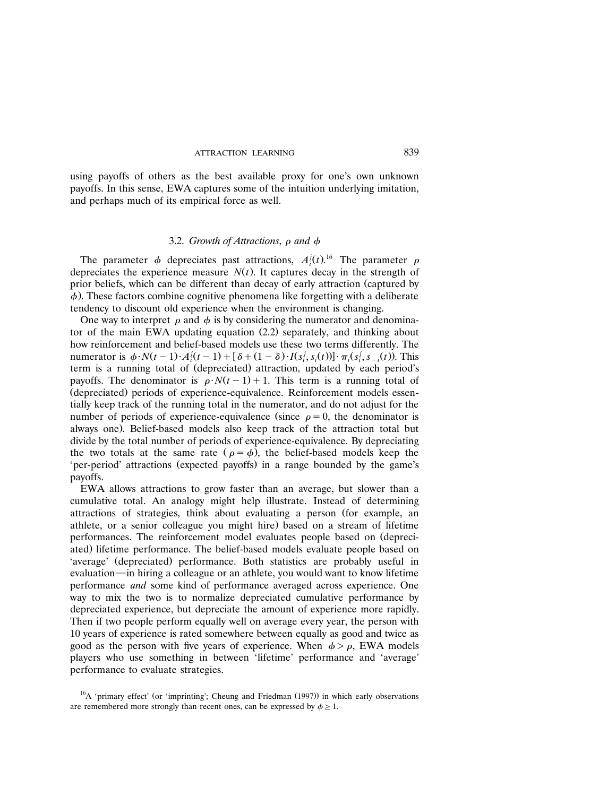using payoffs of others as the best available proxy for one's own unknown payoffs. In this sense, EWA captures some of the intuition underlying imitation, and perhaps much of its empirical force as well.

#### 3.2. *Growth of Attractions*, *and*

The parameter  $\phi$  depreciates past attractions,  $A_i^j(t)$ <sup>16</sup>. The parameter  $\rho$ depreciates the experience measure  $N(t)$ . It captures decay in the strength of prior beliefs, which can be different than decay of early attraction (captured by  $\phi$ ). These factors combine cognitive phenomena like forgetting with a deliberate tendency to discount old experience when the environment is changing.

One way to interpret  $\rho$  and  $\phi$  is by considering the numerator and denominator of the main EWA updating equation  $(2.2)$  separately, and thinking about how reinforcement and belief-based models use these two terms differently. The numerator is  $\phi \cdot N(t-1) \cdot A_i^j(t-1) + [\delta + (1-\delta) \cdot I(s_i^j, s_i^j(t))] \cdot \pi_i(s_i^j, s_{-i}^j(t))$ . This term is a running total of (depreciated) attraction, updated by each period's payoffs. The denominator is  $\rho \cdot N(t-1) + 1$ . This term is a running total of (depreciated) periods of experience-equivalence. Reinforcement models essentially keep track of the running total in the numerator, and do not adjust for the number of periods of experience-equivalence (since  $\rho = 0$ , the denominator is always one). Belief-based models also keep track of the attraction total but divide by the total number of periods of experience-equivalence. By depreciating the two totals at the same rate ( $\rho = \phi$ ), the belief-based models keep the 'per-period' attractions (expected payoffs) in a range bounded by the game's payoffs.

EWA allows attractions to grow faster than an average, but slower than a cumulative total. An analogy might help illustrate. Instead of determining attractions of strategies, think about evaluating a person (for example, an athlete, or a senior colleague you might hire) based on a stream of lifetime performances. The reinforcement model evaluates people based on (depreciated) lifetime performance. The belief-based models evaluate people based on 'average' (depreciated) performance. Both statistics are probably useful in  $e$ valuation—in hiring a colleague or an athlete, you would want to know lifetime performance *and* some kind of performance averaged across experience. One way to mix the two is to normalize depreciated cumulative performance by depreciated experience, but depreciate the amount of experience more rapidly. Then if two people perform equally well on average every year, the person with 10 years of experience is rated somewhere between equally as good and twice as good as the person with five years of experience. When  $\phi > \rho$ , EWA models players who use something in between 'lifetime' performance and 'average' performance to evaluate strategies.

 $^{16}$ A 'primary effect' (or 'imprinting'; Cheung and Friedman (1997)) in which early observations are remembered more strongly than recent ones, can be expressed by  $\phi \geq 1$ .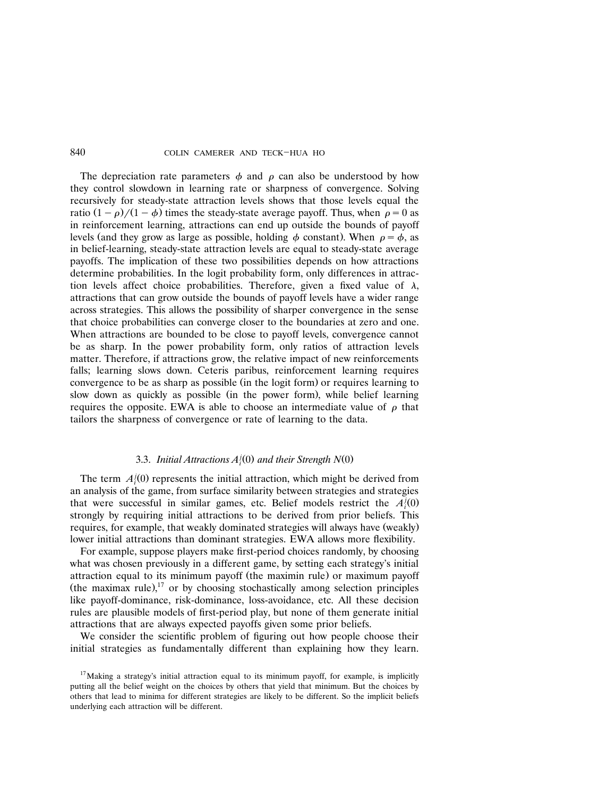The depreciation rate parameters  $\phi$  and  $\rho$  can also be understood by how they control slowdown in learning rate or sharpness of convergence. Solving recursively for steady-state attraction levels shows that those levels equal the ratio  $(1 - \rho)/(1 - \phi)$  times the steady-state average payoff. Thus, when  $\rho = 0$  as in reinforcement learning, attractions can end up outside the bounds of payoff levels (and they grow as large as possible, holding  $\phi$  constant). When  $\rho = \phi$ , as in belief-learning, steady-state attraction levels are equal to steady-state average payoffs. The implication of these two possibilities depends on how attractions determine probabilities. In the logit probability form, only differences in attraction levels affect choice probabilities. Therefore, given a fixed value of  $\lambda$ , attractions that can grow outside the bounds of payoff levels have a wider range across strategies. This allows the possibility of sharper convergence in the sense that choice probabilities can converge closer to the boundaries at zero and one. When attractions are bounded to be close to payoff levels, convergence cannot be as sharp. In the power probability form, only ratios of attraction levels matter. Therefore, if attractions grow, the relative impact of new reinforcements falls; learning slows down. Ceteris paribus, reinforcement learning requires convergence to be as sharp as possible (in the logit form) or requires learning to slow down as quickly as possible (in the power form), while belief learning requires the opposite. EWA is able to choose an intermediate value of  $\rho$  that tailors the sharpness of convergence or rate of learning to the data.

# 3.3. *Initial Attractions*  $A_i^j(0)$  *and their Strength N*(0)

The term  $A_i^j(0)$  represents the initial attraction, which might be derived from an analysis of the game, from surface similarity between strategies and strategies that were successful in similar games, etc. Belief models restrict the  $A_i^j(0)$ strongly by requiring initial attractions to be derived from prior beliefs. This requires, for example, that weakly dominated strategies will always have (weakly) lower initial attractions than dominant strategies. EWA allows more flexibility.

For example, suppose players make first-period choices randomly, by choosing what was chosen previously in a different game, by setting each strategy's initial attraction equal to its minimum payoff (the maximin rule) or maximum payoff (the maximax rule),<sup>17</sup> or by choosing stochastically among selection principles like payoff-dominance, risk-dominance, loss-avoidance, etc. All these decision rules are plausible models of first-period play, but none of them generate initial attractions that are always expected payoffs given some prior beliefs.

We consider the scientific problem of figuring out how people choose their initial strategies as fundamentally different than explaining how they learn.

 $17$ Making a strategy's initial attraction equal to its minimum payoff, for example, is implicitly putting all the belief weight on the choices by others that yield that minimum. But the choices by others that lead to minima for different strategies are likely to be different. So the implicit beliefs underlying each attraction will be different.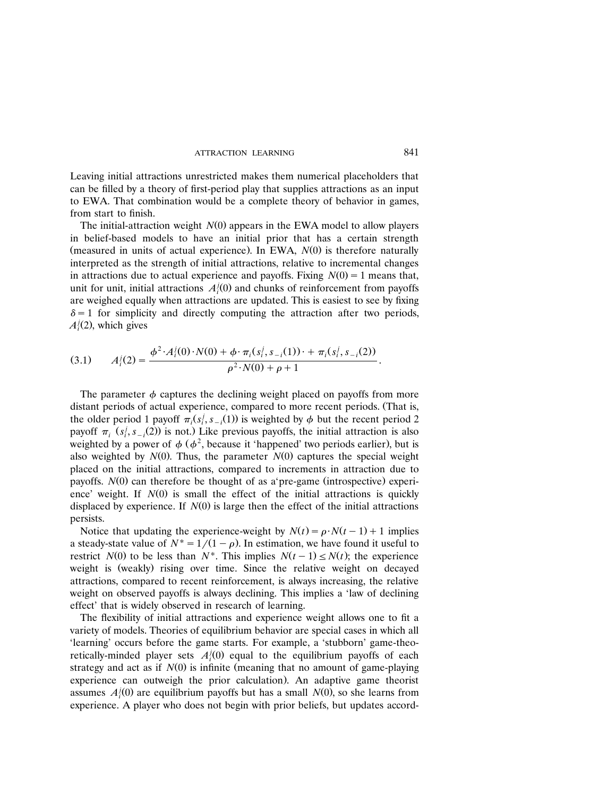Leaving initial attractions unrestricted makes them numerical placeholders that can be filled by a theory of first-period play that supplies attractions as an input to EWA. That combination would be a complete theory of behavior in games, from start to finish.

The initial-attraction weight  $N(0)$  appears in the EWA model to allow players in belief-based models to have an initial prior that has a certain strength (measured in units of actual experience). In EWA,  $N(0)$  is therefore naturally interpreted as the strength of initial attractions, relative to incremental changes in attractions due to actual experience and payoffs. Fixing  $N(0) = 1$  means that, unit for unit, initial attractions  $A_i^j(0)$  and chunks of reinforcement from payoffs are weighed equally when attractions are updated. This is easiest to see by fixing  $\delta = 1$  for simplicity and directly computing the attraction after two periods,  $A_i^j(2)$ , which gives

(3.1) 
$$
A_i^j(2) = \frac{\phi^2 \cdot A_i^j(0) \cdot N(0) + \phi \cdot \pi_i(s_i^j, s_{-i}(1)) \cdot + \pi_i(s_i^j, s_{-i}(2))}{\rho^2 \cdot N(0) + \rho + 1}.
$$

The parameter  $\phi$  captures the declining weight placed on payoffs from more distant periods of actual experience, compared to more recent periods. (That is, the older period 1 payoff  $\pi_i(s_i^j, s_{-i}(1))$  is weighted by  $\phi$  but the recent period 2 payoff  $\pi_i$  ( $s_i^j$ ,  $s_{-i}$ (2)) is not.) Like previous payoffs, the initial attraction is also weighted by a power of  $\phi$  ( $\phi^2$ , because it 'happened' two periods earlier), but is also weighted by  $N(0)$ . Thus, the parameter  $N(0)$  captures the special weight placed on the initial attractions, compared to increments in attraction due to payoffs.  $N(0)$  can therefore be thought of as a'pre-game (introspective) experience' weight. If  $N(0)$  is small the effect of the initial attractions is quickly displaced by experience. If  $N(0)$  is large then the effect of the initial attractions persists.

Notice that updating the experience-weight by  $N(t) = \rho \cdot N(t-1) + 1$  implies a steady-state value of  $N^* = 1/(1 - \rho)$ . In estimation, we have found it useful to restrict *N*(0) to be less than *N*<sup>\*</sup>. This implies  $N(t-1) \le N(t)$ ; the experience weight is (weakly) rising over time. Since the relative weight on decayed attractions, compared to recent reinforcement, is always increasing, the relative weight on observed payoffs is always declining. This implies a 'law of declining effect' that is widely observed in research of learning.

The flexibility of initial attractions and experience weight allows one to fit a variety of models. Theories of equilibrium behavior are special cases in which all 'learning' occurs before the game starts. For example, a 'stubborn' game-theoretically-minded player sets  $A_i^j(0)$  equal to the equilibrium payoffs of each strategy and act as if  $N(0)$  is infinite (meaning that no amount of game-playing experience can outweigh the prior calculation). An adaptive game theorist assumes  $A_i^j(0)$  are equilibrium payoffs but has a small  $N(0)$ , so she learns from experience. A player who does not begin with prior beliefs, but updates accord-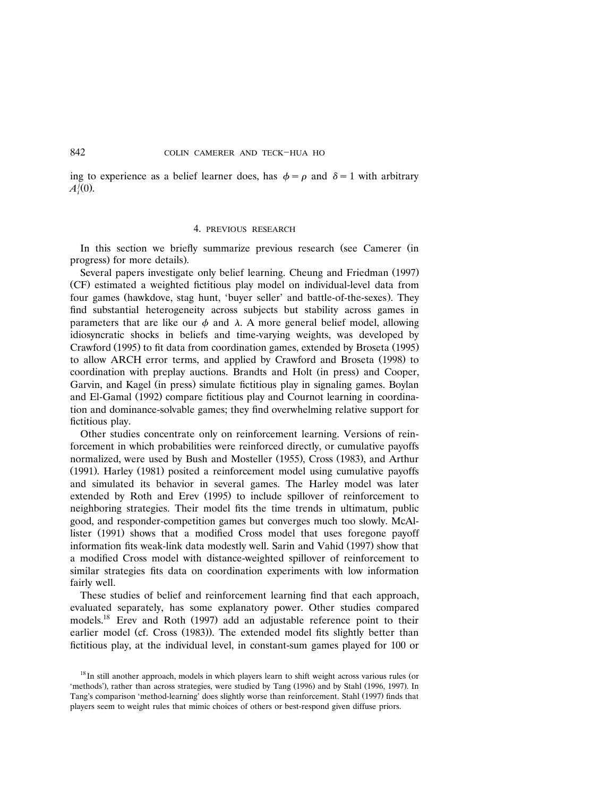ing to experience as a belief learner does, has  $\phi = \rho$  and  $\delta = 1$  with arbitrary  $A_i^j(0)$ .

#### 4. PREVIOUS RESEARCH

In this section we briefly summarize previous research (see Camerer (in progress) for more details).

Several papers investigate only belief learning. Cheung and Friedman (1997) (CF) estimated a weighted fictitious play model on individual-level data from four games (hawkdove, stag hunt, 'buyer seller' and battle-of-the-sexes). They find substantial heterogeneity across subjects but stability across games in parameters that are like our  $\phi$  and  $\lambda$ . A more general belief model, allowing idiosyncratic shocks in beliefs and time-varying weights, was developed by Crawford (1995) to fit data from coordination games, extended by Broseta (1995) to allow ARCH error terms, and applied by Crawford and Broseta (1998) to coordination with preplay auctions. Brandts and Holt (in press) and Cooper, Garvin, and Kagel (in press) simulate fictitious play in signaling games. Boylan and El-Gamal (1992) compare fictitious play and Cournot learning in coordination and dominance-solvable games; they find overwhelming relative support for fictitious play.

Other studies concentrate only on reinforcement learning. Versions of reinforcement in which probabilities were reinforced directly, or cumulative payoffs normalized, were used by Bush and Mosteller (1955), Cross (1983), and Arthur  $(1991)$ . Harley  $(1981)$  posited a reinforcement model using cumulative payoffs and simulated its behavior in several games. The Harley model was later extended by Roth and Erev (1995) to include spillover of reinforcement to neighboring strategies. Their model fits the time trends in ultimatum, public good, and responder-competition games but converges much too slowly. McAllister (1991) shows that a modified Cross model that uses foregone payoff information fits weak-link data modestly well. Sarin and Vahid (1997) show that a modified Cross model with distance-weighted spillover of reinforcement to similar strategies fits data on coordination experiments with low information fairly well.

These studies of belief and reinforcement learning find that each approach, evaluated separately, has some explanatory power. Other studies compared models.<sup>18</sup> Erev and Roth (1997) add an adjustable reference point to their earlier model (cf. Cross (1983)). The extended model fits slightly better than fictitious play, at the individual level, in constant-sum games played for 100 or

 $18$  In still another approach, models in which players learn to shift weight across various rules (or 'methods'), rather than across strategies, were studied by Tang (1996) and by Stahl (1996, 1997). In Tang's comparison 'method-learning' does slightly worse than reinforcement. Stahl (1997) finds that players seem to weight rules that mimic choices of others or best-respond given diffuse priors.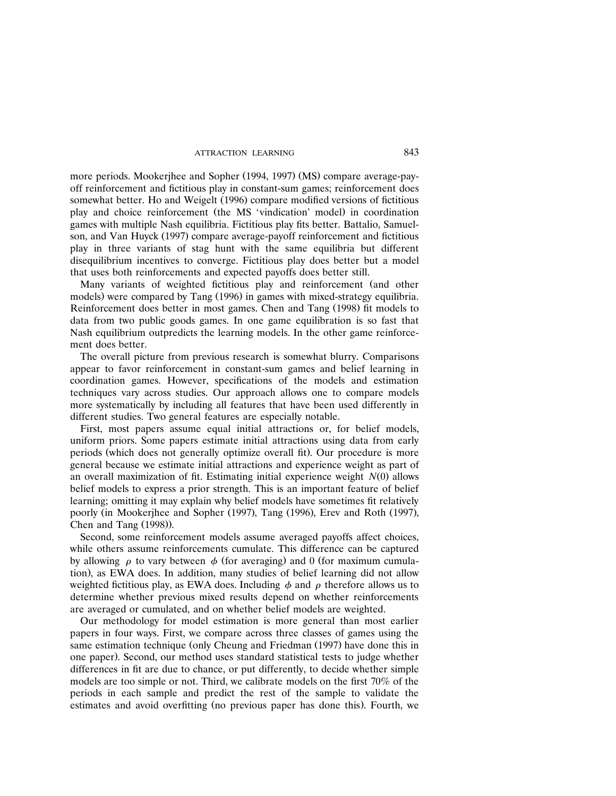more periods. Mookerjhee and Sopher (1994, 1997) (MS) compare average-payoff reinforcement and fictitious play in constant-sum games; reinforcement does somewhat better. Ho and Weigelt (1996) compare modified versions of fictitious play and choice reinforcement (the MS 'vindication' model) in coordination games with multiple Nash equilibria. Fictitious play fits better. Battalio, Samuelson, and Van Huyck (1997) compare average-payoff reinforcement and fictitious play in three variants of stag hunt with the same equilibria but different disequilibrium incentives to converge. Fictitious play does better but a model that uses both reinforcements and expected payoffs does better still.

Many variants of weighted fictitious play and reinforcement (and other models) were compared by Tang (1996) in games with mixed-strategy equilibria. Reinforcement does better in most games. Chen and Tang (1998) fit models to data from two public goods games. In one game equilibration is so fast that Nash equilibrium outpredicts the learning models. In the other game reinforcement does better.

The overall picture from previous research is somewhat blurry. Comparisons appear to favor reinforcement in constant-sum games and belief learning in coordination games. However, specifications of the models and estimation techniques vary across studies. Our approach allows one to compare models more systematically by including all features that have been used differently in different studies. Two general features are especially notable.

First, most papers assume equal initial attractions or, for belief models, uniform priors. Some papers estimate initial attractions using data from early periods (which does not generally optimize overall fit). Our procedure is more general because we estimate initial attractions and experience weight as part of an overall maximization of fit. Estimating initial experience weight  $N(0)$  allows belief models to express a prior strength. This is an important feature of belief learning; omitting it may explain why belief models have sometimes fit relatively poorly (in Mookerjhee and Sopher (1997), Tang (1996), Erev and Roth (1997), Chen and Tang  $(1998)$ .

Second, some reinforcement models assume averaged payoffs affect choices, while others assume reinforcements cumulate. This difference can be captured by allowing  $\rho$  to vary between  $\phi$  (for averaging) and 0 (for maximum cumulation), as EWA does. In addition, many studies of belief learning did not allow weighted fictitious play, as EWA does. Including  $\phi$  and  $\rho$  therefore allows us to determine whether previous mixed results depend on whether reinforcements are averaged or cumulated, and on whether belief models are weighted.

Our methodology for model estimation is more general than most earlier papers in four ways. First, we compare across three classes of games using the same estimation technique (only Cheung and Friedman (1997) have done this in one paper). Second, our method uses standard statistical tests to judge whether differences in fit are due to chance, or put differently, to decide whether simple models are too simple or not. Third, we calibrate models on the first 70% of the periods in each sample and predict the rest of the sample to validate the estimates and avoid overfitting (no previous paper has done this). Fourth, we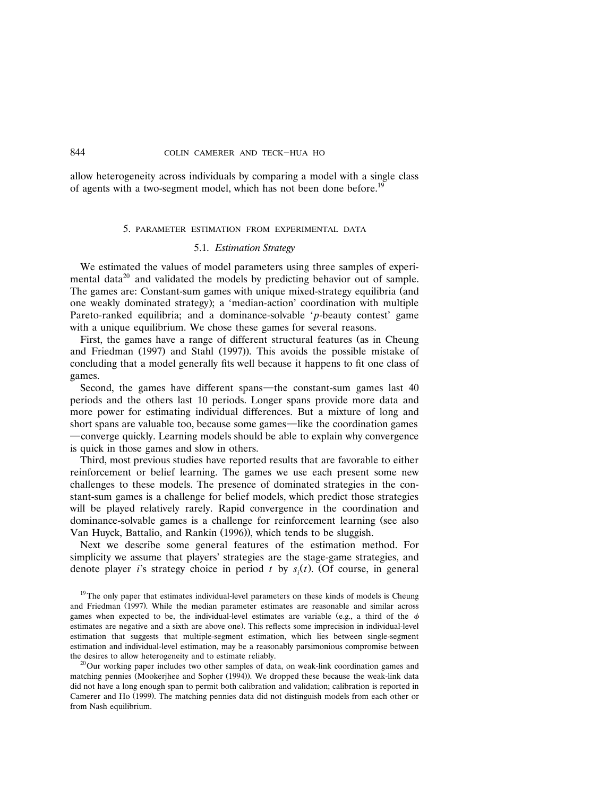allow heterogeneity across individuals by comparing a model with a single class of agents with a two-segment model, which has not been done before.<sup>19</sup>

#### 5. PARAMETER ESTIMATION FROM EXPERIMENTAL DATA

#### 5.1. *Estimation Strategy*

We estimated the values of model parameters using three samples of experimental data<sup>20</sup> and validated the models by predicting behavior out of sample. The games are: Constant-sum games with unique mixed-strategy equilibria (and one weakly dominated strategy); a 'median-action' coordination with multiple Pareto-ranked equilibria; and a dominance-solvable '*p*-beauty contest' game with a unique equilibrium. We chose these games for several reasons.

First, the games have a range of different structural features (as in Cheung and Friedman (1997) and Stahl (1997). This avoids the possible mistake of concluding that a model generally fits well because it happens to fit one class of games.

Second, the games have different spans—the constant-sum games last  $40$ periods and the others last 10 periods. Longer spans provide more data and more power for estimating individual differences. But a mixture of long and short spans are valuable too, because some games—like the coordination games converge quickly. Learning models should be able to explain why convergence is quick in those games and slow in others.

Third, most previous studies have reported results that are favorable to either reinforcement or belief learning. The games we use each present some new challenges to these models. The presence of dominated strategies in the constant-sum games is a challenge for belief models, which predict those strategies will be played relatively rarely. Rapid convergence in the coordination and dominance-solvable games is a challenge for reinforcement learning (see also Van Huyck, Battalio, and Rankin (1996)), which tends to be sluggish.

Next we describe some general features of the estimation method. For simplicity we assume that players' strategies are the stage-game strategies, and denote player *i*'s strategy choice in period *t* by  $s<sub>i</sub>(t)$ . (Of course, in general

<sup>19</sup>The only paper that estimates individual-level parameters on these kinds of models is Cheung and Friedman (1997). While the median parameter estimates are reasonable and similar across games when expected to be, the individual-level estimates are variable (e.g., a third of the  $\phi$ estimates are negative and a sixth are above one). This reflects some imprecision in individual-level estimation that suggests that multiple-segment estimation, which lies between single-segment estimation and individual-level estimation, may be a reasonably parsimonious compromise between<br>the desires to allow heterogeneity and to estimate reliably.

<sup>20</sup>Our working paper includes two other samples of data, on weak-link coordination games and matching pennies (Mookerjhee and Sopher (1994)). We dropped these because the weak-link data did not have a long enough span to permit both calibration and validation; calibration is reported in Camerer and Ho (1999). The matching pennies data did not distinguish models from each other or from Nash equilibrium.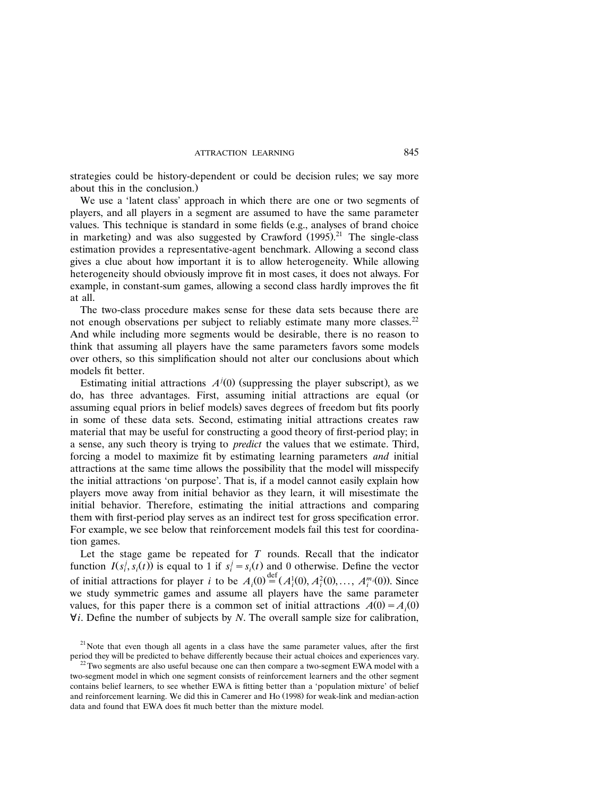strategies could be history-dependent or could be decision rules; we say more about this in the conclusion..

We use a 'latent class' approach in which there are one or two segments of players, and all players in a segment are assumed to have the same parameter values. This technique is standard in some fields (e.g., analyses of brand choice in marketing) and was also suggested by Crawford  $(1995)$ .<sup>21</sup> The single-class estimation provides a representative-agent benchmark. Allowing a second class gives a clue about how important it is to allow heterogeneity. While allowing heterogeneity should obviously improve fit in most cases, it does not always. For example, in constant-sum games, allowing a second class hardly improves the fit at all.

The two-class procedure makes sense for these data sets because there are not enough observations per subject to reliably estimate many more classes.<sup>22</sup> And while including more segments would be desirable, there is no reason to think that assuming all players have the same parameters favors some models over others, so this simplification should not alter our conclusions about which models fit better.

Estimating initial attractions  $A^{j}(0)$  (suppressing the player subscript), as we do, has three advantages. First, assuming initial attractions are equal (or assuming equal priors in belief models) saves degrees of freedom but fits poorly in some of these data sets. Second, estimating initial attractions creates raw material that may be useful for constructing a good theory of first-period play; in a sense, any such theory is trying to *predict* the values that we estimate. Third, forcing a model to maximize fit by estimating learning parameters *and* initial attractions at the same time allows the possibility that the model will misspecify the initial attractions 'on purpose'. That is, if a model cannot easily explain how players move away from initial behavior as they learn, it will misestimate the initial behavior. Therefore, estimating the initial attractions and comparing them with first-period play serves as an indirect test for gross specification error. For example, we see below that reinforcement models fail this test for coordination games.

Let the stage game be repeated for  $T$  rounds. Recall that the indicator function  $I(s_i^j, s_i(t))$  is equal to 1 if  $s_i^j = s_i(t)$  and 0 otherwise. Define the vector def of initial attractions for player *i* to be  $A_i(0) = (A_i^1(0), A_i^2(0), ..., A_i^{m_i}(0))$ . Since we study symmetric games and assume all players have the same parameter values, for this paper there is a common set of initial attractions  $A(0) = A<sub>i</sub>(0)$ *i*. Define the number of subjects by *N*. The overall sample size for calibration,

<sup>&</sup>lt;sup>21</sup> Note that even though all agents in a class have the same parameter values, after the first period they will be predicted to behave differently because their actual choices and experiences vary.

 $^{22}$ Two segments are also useful because one can then compare a two-segment EWA model with a two-segment model in which one segment consists of reinforcement learners and the other segment contains belief learners, to see whether EWA is fitting better than a 'population mixture' of belief and reinforcement learning. We did this in Camerer and Ho (1998) for weak-link and median-action data and found that EWA does fit much better than the mixture model.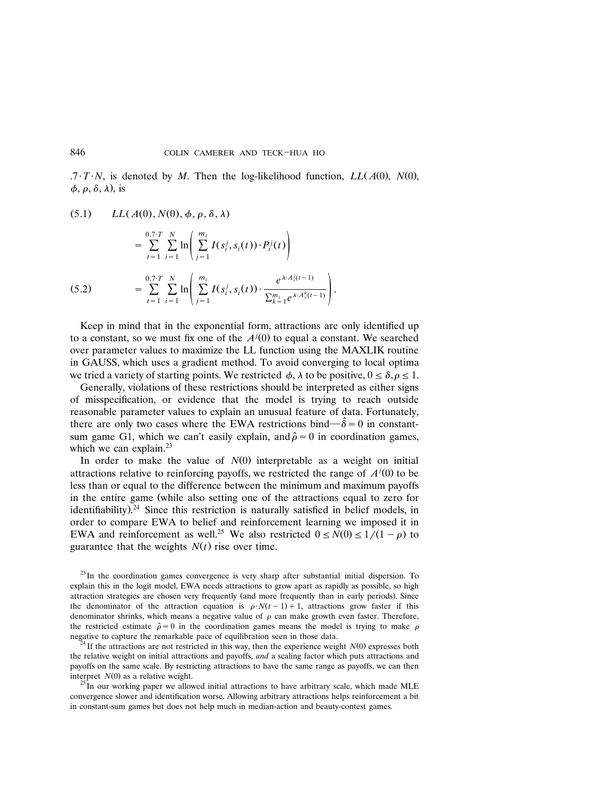$T \cdot T \cdot N$ , is denoted by *M*. Then the log-likelihood function,  $LL(A(0), N(0), N(0))$ .  $\phi$ ,  $\rho$ ,  $\delta$ ,  $\lambda$ ), is

(5.1) 
$$
LL(A(0), N(0), \phi, \rho, \delta, \lambda)
$$
  
= 
$$
\sum_{t=1}^{0.7 \cdot T} \sum_{i=1}^{N} \ln \left( \sum_{j=1}^{m_i} I(s_i^j, s_i(t)) \cdot P_i^j(t) \right)
$$
  
= 
$$
\sum_{t=1}^{0.7 \cdot T} \sum_{i=1}^{N} \ln \left( \sum_{j=1}^{m_i} I(s_i^j, s_i(t)) \cdot \frac{e^{\lambda \cdot A_i^j(t-1)}}{\sum_{k=1}^{m_i} e^{\lambda \cdot A_i^k(t-1)}} \right).
$$

Keep in mind that in the exponential form, attractions are only identified up to a constant, so we must fix one of the  $A<sup>j</sup>(0)$  to equal a constant. We searched over parameter values to maximize the LL function using the MAXLIK routine in GAUSS, which uses a gradient method. To avoid converging to local optima we tried a variety of starting points. We restricted  $\phi$ ,  $\lambda$  to be positive,  $0 \le \delta, \rho \le 1$ .

Generally, violations of these restrictions should be interpreted as either signs of misspecification, or evidence that the model is trying to reach outside reasonable parameter values to explain an unusual feature of data. Fortunately, there are only two cases where the EWA restrictions bind— $\hat{\delta} = 0$  in constantsum game G1, which we can't easily explain, and  $\hat{\rho} = 0$  in coordination games, which we can explain. $^{23}$ 

In order to make the value of  $N(0)$  interpretable as a weight on initial attractions relative to reinforcing payoffs, we restricted the range of  $A^{j}(0)$  to be less than or equal to the difference between the minimum and maximum payoffs in the entire game (while also setting one of the attractions equal to zero for identifiability).<sup>24</sup> Since this restriction is naturally satisfied in belief models, in order to compare EWA to belief and reinforcement learning we imposed it in EWA and reinforcement as well.<sup>25</sup> We also restricted  $0 \le N(0) \le 1/(1-\rho)$  to guarantee that the weights  $N(t)$  rise over time.

 $23$  In the coordination games convergence is very sharp after substantial initial dispersion. To explain this in the logit model, EWA needs attractions to grow apart as rapidly as possible, so high attraction strategies are chosen very frequently (and more frequently than in early periods). Since the denominator of the attraction equation is  $\rho \cdot N(t-1) + 1$ , attractions grow faster if this denominator shrinks, which means a negative value of  $\rho$  can make growth even faster. Therefore, the restricted estimate  $\hat{\rho} = 0$  in the coordination games means the model is trying to make  $\rho$  negative to capture the remarkable pace of equilibration seen in those data.

If the attractions are not restricted in this way, then the experience weight  $N(0)$  expresses both the relative weight on initial attractions and payoffs, *and* a scaling factor which puts attractions and payoffs on the same scale. By restricting attractions to have the same range as payoffs, we can then interpret  $N(0)$  as a relative weight.<br><sup>25</sup> In our working paper we allowed initial attractions to have arbitrary scale, which made MLE

convergence slower and identification worse. Allowing arbitrary attractions helps reinforcement a bit in constant-sum games but does not help much in median-action and beauty-contest games.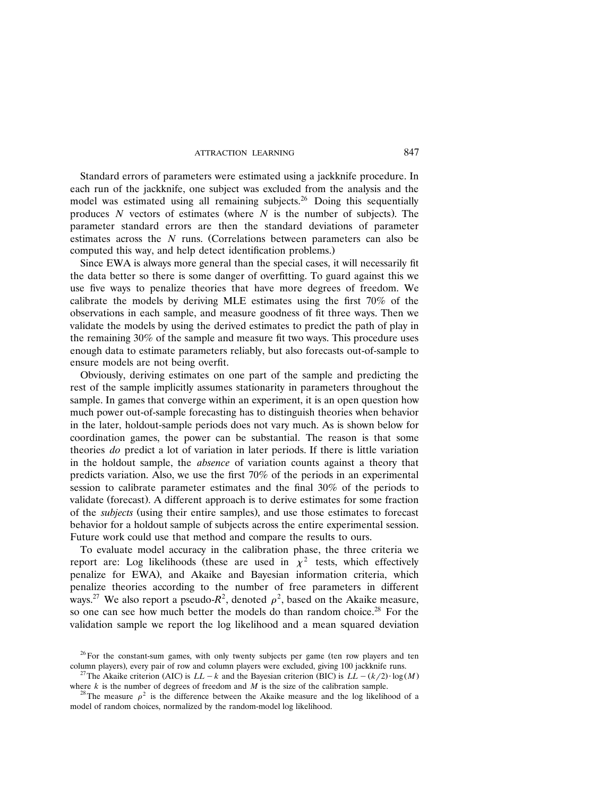Standard errors of parameters were estimated using a jackknife procedure. In each run of the jackknife, one subject was excluded from the analysis and the model was estimated using all remaining subjects.<sup>26</sup> Doing this sequentially produces  $N$  vectors of estimates (where  $N$  is the number of subjects). The parameter standard errors are then the standard deviations of parameter estimates across the  *runs. (Correlations between parameters can also be* computed this way, and help detect identification problems..

Since EWA is always more general than the special cases, it will necessarily fit the data better so there is some danger of overfitting. To guard against this we use five ways to penalize theories that have more degrees of freedom. We calibrate the models by deriving MLE estimates using the first 70% of the observations in each sample, and measure goodness of fit three ways. Then we validate the models by using the derived estimates to predict the path of play in the remaining 30% of the sample and measure fit two ways. This procedure uses enough data to estimate parameters reliably, but also forecasts out-of-sample to ensure models are not being overfit.

Obviously, deriving estimates on one part of the sample and predicting the rest of the sample implicitly assumes stationarity in parameters throughout the sample. In games that converge within an experiment, it is an open question how much power out-of-sample forecasting has to distinguish theories when behavior in the later, holdout-sample periods does not vary much. As is shown below for coordination games, the power can be substantial. The reason is that some theories *do* predict a lot of variation in later periods. If there is little variation in the holdout sample, the *absence* of variation counts against a theory that predicts variation. Also, we use the first 70% of the periods in an experimental session to calibrate parameter estimates and the final 30% of the periods to validate (forecast). A different approach is to derive estimates for some fraction of the *subjects* (using their entire samples), and use those estimates to forecast behavior for a holdout sample of subjects across the entire experimental session. Future work could use that method and compare the results to ours.

To evaluate model accuracy in the calibration phase, the three criteria we report are: Log likelihoods (these are used in  $\chi^2$  tests, which effectively penalize for EWA), and Akaike and Bayesian information criteria, which penalize theories according to the number of free parameters in different ways.<sup>27</sup> We also report a pseudo- $R^2$ , denoted  $\rho^2$ , based on the Akaike measure, so one can see how much better the models do than random choice.<sup>28</sup> For the validation sample we report the log likelihood and a mean squared deviation

<sup>&</sup>lt;sup>26</sup>For the constant-sum games, with only twenty subjects per game (ten row players and ten column players), every pair of row and column players were excluded, giving 100 jackknife runs.

column players), every pair of row and column players were excluded, giving 100 jackknife runs.<br><sup>27</sup>The Akaike criterion (AIC) is  $LL - k$  and the Bayesian criterion (BIC) is  $LL - (k/2) \cdot \log(M)$ where *k* is the number of degrees of freedom and *M* is the size of the calibration sample. <sup>28</sup>The measure  $\rho^2$  is the difference between the Akaike measure and the log likelihood of a

model of random choices, normalized by the random-model log likelihood.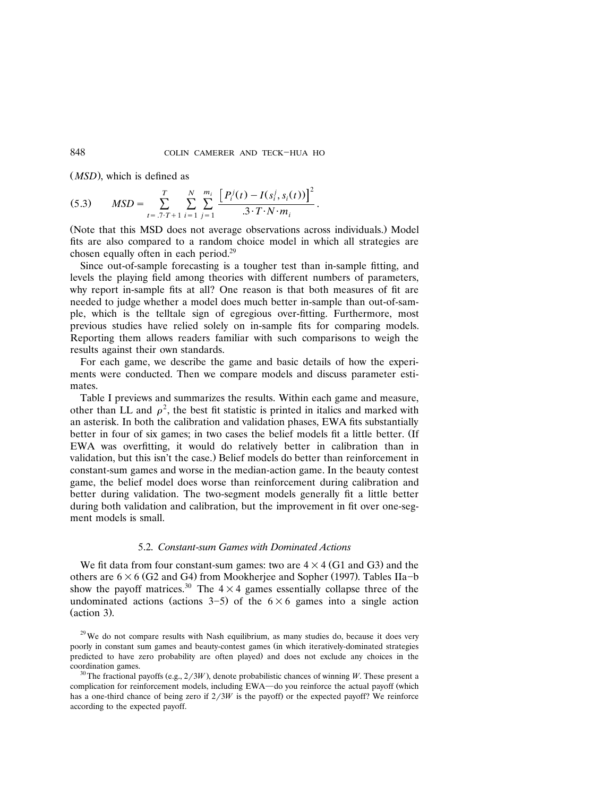(*MSD*), which is defined as

(5.3) 
$$
MSD = \sum_{t = .7 \cdot T + 1}^{T} \sum_{i = 1}^{N} \sum_{j = 1}^{m_i} \frac{\left[ P_i^j(t) - I(s_i^j, s_i(t)) \right]^2}{.3 \cdot T \cdot N \cdot m_i}.
$$

(Note that this MSD does not average observations across individuals.) Model fits are also compared to a random choice model in which all strategies are chosen equally often in each period.<sup>29</sup>

Since out-of-sample forecasting is a tougher test than in-sample fitting, and levels the playing field among theories with different numbers of parameters, why report in-sample fits at all? One reason is that both measures of fit are needed to judge whether a model does much better in-sample than out-of-sample, which is the telltale sign of egregious over-fitting. Furthermore, most previous studies have relied solely on in-sample fits for comparing models. Reporting them allows readers familiar with such comparisons to weigh the results against their own standards.

For each game, we describe the game and basic details of how the experiments were conducted. Then we compare models and discuss parameter estimates.

Table I previews and summarizes the results. Within each game and measure, other than LL and  $\rho^2$ , the best fit statistic is printed in italics and marked with an asterisk. In both the calibration and validation phases, EWA fits substantially better in four of six games; in two cases the belief models fit a little better. If EWA was overfitting, it would do relatively better in calibration than in validation, but this isn't the case.) Belief models do better than reinforcement in constant-sum games and worse in the median-action game. In the beauty contest game, the belief model does worse than reinforcement during calibration and better during validation. The two-segment models generally fit a little better during both validation and calibration, but the improvement in fit over one-segment models is small.

## 5.2. *Constant*-*sum Games with Dominated Actions*

We fit data from four constant-sum games: two are  $4 \times 4$  (G1 and G3) and the others are  $6 \times 6$  (G2 and G4) from Mookherjee and Sopher (1997). Tables IIa-b show the payoff matrices.<sup>30</sup> The  $4 \times 4$  games essentially collapse three of the undominated actions (actions 3–5) of the  $6 \times 6$  games into a single action  $(\text{action } 3)$ .

 $29$  We do not compare results with Nash equilibrium, as many studies do, because it does very poorly in constant sum games and beauty-contest games (in which iteratively-dominated strategies predicted to have zero probability are often played) and does not exclude any choices in the coordination games.<br><sup>30</sup>The fractional payoffs (e.g.,  $2/3W$ ), denote probabilistic chances of winning *W*. These present a

complication for reinforcement models, including EWA—do you reinforce the actual payoff (which has a one-third chance of being zero if  $2/3W$  is the payoff) or the expected payoff? We reinforce according to the expected payoff.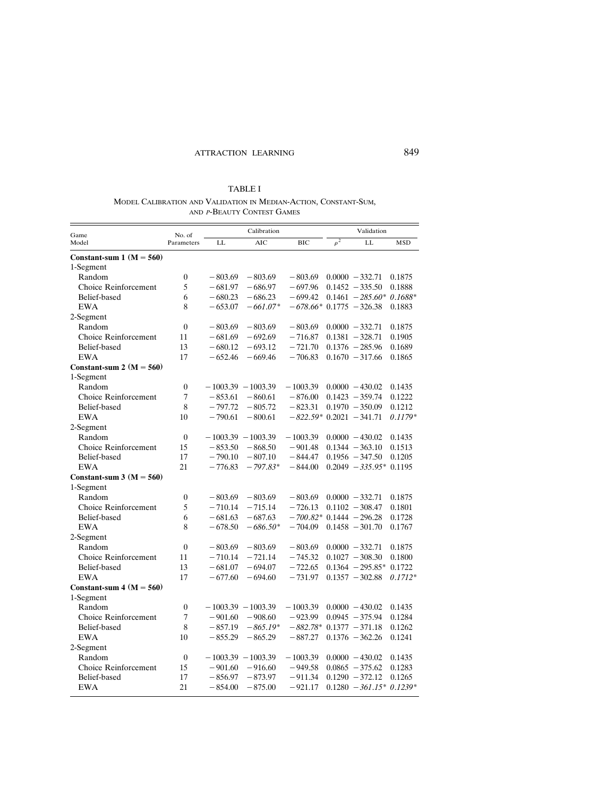# ATTRACTION LEARNING 849

## TABLE I

#### MODEL CALIBRATION AND VALIDATION IN MEDIAN-ACTION, CONSTANT-SUM, AND *P*-BEAUTY CONTEST GAMES

| Game                         | No. of           |                      | Calibration |                             |          | Validation                     |            |
|------------------------------|------------------|----------------------|-------------|-----------------------------|----------|--------------------------------|------------|
| Model                        | Parameters       | LL                   | AIC         | <b>BIC</b>                  | $\rho^2$ | LL                             | <b>MSD</b> |
| Constant-sum $1 (M = 560)$   |                  |                      |             |                             |          |                                |            |
| 1-Segment                    |                  |                      |             |                             |          |                                |            |
| Random                       | $\boldsymbol{0}$ | $-803.69$            | $-803.69$   | $-803.69$                   |          | $0.0000 - 332.71$              | 0.1875     |
| Choice Reinforcement         | 5                | $-681.97$            | $-686.97$   | $-697.96$                   |          | $0.1452 - 335.50$              | 0.1888     |
| Belief-based                 | 6                | $-680.23$            | $-686.23$   | $-699.42$                   |          | $0.1461 - 285.60^* 0.1688^*$   |            |
| <b>EWA</b>                   | 8                | $-653.07$            | $-661.07*$  | $-678.66*0.1775-326.38$     |          |                                | 0.1883     |
| 2-Segment                    |                  |                      |             |                             |          |                                |            |
| Random                       | $\boldsymbol{0}$ | $-803.69$            | $-803.69$   | $-803.69$                   |          | $0.0000 - 332.71$              | 0.1875     |
| Choice Reinforcement         | 11               | $-681.69$            | $-692.69$   | $-716.87$                   |          | $0.1381 - 328.71$              | 0.1905     |
| Belief-based                 | 13               | $-680.12$            | $-693.12$   | $-721.70$                   |          | $0.1376 - 285.96$              | 0.1689     |
| <b>EWA</b>                   | 17               | $-652.46$            | $-669.46$   | $-706.83$                   |          | $0.1670 - 317.66$              | 0.1865     |
| Constant-sum 2 ( $M = 560$ ) |                  |                      |             |                             |          |                                |            |
| 1-Segment                    |                  |                      |             |                             |          |                                |            |
| Random                       | $\boldsymbol{0}$ | $-1003.39 - 1003.39$ |             | $-1003.39$                  |          | $0.0000 - 430.02$              | 0.1435     |
| Choice Reinforcement         | 7                | $-853.61$            | $-860.61$   | $-876.00$                   |          | $0.1423 - 359.74$              | 0.1222     |
| Belief-based                 | 8                | $-797.72$            | $-805.72$   | $-823.31$                   |          | $0.1970 - 350.09$              | 0.1212     |
| <b>EWA</b>                   | 10               | $-790.61$            | $-800.61$   | $-822.59*0.2021-341.71$     |          |                                | $0.1179*$  |
| 2-Segment                    |                  |                      |             |                             |          |                                |            |
| Random                       | $\boldsymbol{0}$ | $-1003.39 - 1003.39$ |             | $-1003.39$                  |          | $0.0000 - 430.02$              | 0.1435     |
| Choice Reinforcement         | 15               | $-853.50$            | $-868.50$   | $-901.48$                   |          | $0.1344 - 363.10$              | 0.1513     |
| Belief-based                 | 17               | $-790.10$            | $-807.10$   | $-844.47$                   |          | $0.1956 - 347.50$              | 0.1205     |
| <b>EWA</b>                   | 21               | $-776.83$            | $-797.83*$  | $-844.00$                   |          | $0.2049 - 335.95* 0.1195$      |            |
| Constant-sum $3 (M = 560)$   |                  |                      |             |                             |          |                                |            |
| 1-Segment                    |                  |                      |             |                             |          |                                |            |
| Random                       | 0                | $-803.69$            | $-803.69$   | $-803.69$                   |          | $0.0000 - 332.71$              | 0.1875     |
| Choice Reinforcement         | 5                | $-710.14$            | $-715.14$   | $-726.13$                   |          | $0.1102 - 308.47$              | 0.1801     |
| Belief-based                 | 6                | $-681.63$            | $-687.63$   | $-700.82*0.1444-296.28$     |          |                                | 0.1728     |
| <b>EWA</b>                   | 8                | $-678.50$            | $-686.50*$  | $-704.09$                   |          | $0.1458 - 301.70$              | 0.1767     |
| 2-Segment                    |                  |                      |             |                             |          |                                |            |
| Random                       | $\boldsymbol{0}$ | $-803.69$            | $-803.69$   | $-803.69$                   |          | $0.0000 - 332.71$              | 0.1875     |
| Choice Reinforcement         | 11               | $-710.14$            | $-721.14$   | $-745.32$                   |          | $0.1027 - 308.30$              | 0.1800     |
| Belief-based                 | 13               | $-681.07$            | $-694.07$   | $-722.65$                   |          | $0.1364 - 295.85^*$            | 0.1722     |
| <b>EWA</b>                   | 17               | $-677.60$            | $-694.60$   | $-731.97$                   |          | $0.1357 - 302.88$              | $0.1712*$  |
| Constant-sum $4 (M = 560)$   |                  |                      |             |                             |          |                                |            |
| 1-Segment                    |                  |                      |             |                             |          |                                |            |
| Random                       | $\boldsymbol{0}$ | $-1003.39 - 1003.39$ |             | $-1003.39$                  |          | $0.0000 - 430.02$              | 0.1435     |
| Choice Reinforcement         | $\overline{7}$   | $-901.60$            | $-908.60$   | $-923.99$                   |          | $0.0945 - 375.94$              | 0.1284     |
| Belief-based                 | 8                | $-857.19$            | $-865.19*$  | $-882.78*$ 0.1377 $-371.18$ |          |                                | 0.1262     |
| <b>EWA</b>                   | 10               | $-855.29$            | $-865.29$   | $-887.27$                   |          | $0.1376 - 362.26$              | 0.1241     |
| 2-Segment                    |                  |                      |             |                             |          |                                |            |
| Random                       | $\boldsymbol{0}$ | $-1003.39 - 1003.39$ |             | $-1003.39$                  |          | $0.0000 - 430.02$              | 0.1435     |
| Choice Reinforcement         | 15               | $-901.60$            | $-916.60$   | $-949.58$                   |          | $0.0865 - 375.62$              | 0.1283     |
| Belief-based                 | 17               | - 856.97             | $-873.97$   | $-911.34$                   |          | $0.1290 - 372.12$              | 0.1265     |
| <b>EWA</b>                   | 21               | $-854.00$            | $-875.00$   | $-921.17$                   |          | $0.1280 - 361.15$ * $0.1239$ * |            |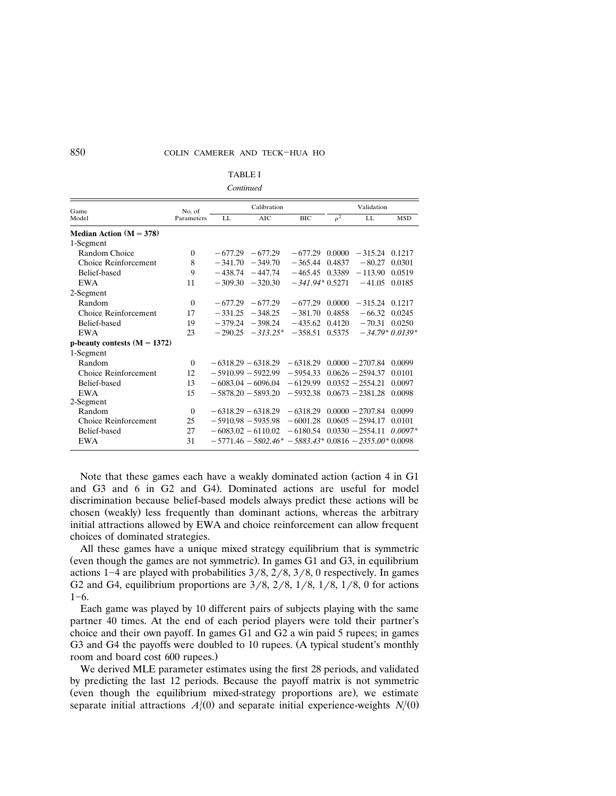| Game                             | No. of       |                      | Calibration          |                                                              |          | Validation         |                  |
|----------------------------------|--------------|----------------------|----------------------|--------------------------------------------------------------|----------|--------------------|------------------|
| Model                            | Parameters   | LL                   | AIC                  | <b>BIC</b>                                                   | $\rho^2$ | LL                 | <b>MSD</b>       |
| <b>Median Action</b> $(M = 378)$ |              |                      |                      |                                                              |          |                    |                  |
| 1-Segment                        |              |                      |                      |                                                              |          |                    |                  |
| Random Choice                    | $\theta$     |                      | $-677.29 - 677.29$   | $-677.29$                                                    | 0.0000   | $-315.24$          | 0.1217           |
| Choice Reinforcement             | 8            |                      | $-341.70 - 349.70$   | $-365.44$ 0.4837                                             |          | $-80.27$           | 0.0301           |
| Belief-based                     | 9            |                      | $-438.74 - 447.74$   | $-465.45$ 0.3389                                             |          | $-113.90$          | 0.0519           |
| <b>EWA</b>                       | 11           |                      | $-309.30 - 320.30$   | $-341.94*0.5271$                                             |          | $-41.05$           | 0.0185           |
| 2-Segment                        |              |                      |                      |                                                              |          |                    |                  |
| Random                           | $\mathbf{0}$ |                      | $-677.29 - 677.29$   | $-677.29$ 0.0000                                             |          | $-315.24$ 0.1217   |                  |
| Choice Reinforcement             | 17           |                      | $-331.25 -348.25$    | $-381.70$                                                    | 0.4858   | $-66.32$           | 0.0245           |
| Belief-based                     | 19           |                      | $-379.24 - 398.24$   | $-435.62$ 0.4120                                             |          | $-70.31$ 0.0250    |                  |
| <b>EWA</b>                       | 23           |                      | $-290.25$ $-313.25*$ | $-358.51$ 0.5375                                             |          |                    | $-34.79*0.0139*$ |
| p-beauty contests $(M = 1372)$   |              |                      |                      |                                                              |          |                    |                  |
| 1-Segment                        |              |                      |                      |                                                              |          |                    |                  |
| Random                           | $\Omega$     |                      | $-6318.29 - 6318.29$ | $-6318.29$                                                   |          | $0.0000 - 2707.84$ | 0.0099           |
| Choice Reinforcement             | 12           |                      | $-5910.99 - 5922.99$ | $-5954.33$                                                   |          | $0.0626 - 2594.37$ | 0.0101           |
| Belief-based                     | 13           |                      | $-6083.04 - 6096.04$ | $-6129.99$                                                   |          | $0.0352 - 2554.21$ | 0.0097           |
| <b>EWA</b>                       | 15           | $-5878.20 - 5893.20$ |                      | $-5932.38$ 0.0673 $-2381.28$                                 |          |                    | 0.0098           |
| 2-Segment                        |              |                      |                      |                                                              |          |                    |                  |
| Random                           | $\mathbf{0}$ |                      | $-6318.29 - 6318.29$ | $-6318.29$                                                   |          | $0.0000 - 2707.84$ | 0.0099           |
| Choice Reinforcement             | 25           | $-5910.98 - 5935.98$ |                      | $-6001.28$                                                   |          | $0.0605 - 2594.17$ | 0.0101           |
| Belief-based                     | 27           |                      | $-6083.02 - 6110.02$ | $-6180.54$ $0.0330 - 2554.11$                                |          |                    | $0.0097*$        |
| EWA                              | 31           |                      |                      | $-5771.46 - 5802.46^* - 5883.43^* 0.0816 - 2355.00^* 0.0098$ |          |                    |                  |

TABLE I

*Continued*

Note that these games each have a weakly dominated action (action  $4$  in  $G1$ and G3 and 6 in G2 and G4). Dominated actions are useful for model discrimination because belief-based models always predict these actions will be chosen (weakly) less frequently than dominant actions, whereas the arbitrary initial attractions allowed by EWA and choice reinforcement can allow frequent choices of dominated strategies.

All these games have a unique mixed strategy equilibrium that is symmetric (even though the games are not symmetric). In games  $G1$  and  $G3$ , in equilibrium actions 1-4 are played with probabilities  $3/8$ ,  $2/8$ ,  $3/8$ , 0 respectively. In games G2 and G4, equilibrium proportions are  $3/8$ ,  $2/8$ ,  $1/8$ ,  $1/8$ ,  $1/8$ , 0 for actions  $1 - 6$ 

Each game was played by 10 different pairs of subjects playing with the same partner 40 times. At the end of each period players were told their partner's choice and their own payoff. In games G1 and G2 a win paid 5 rupees; in games G3 and G4 the payoffs were doubled to 10 rupees. (A typical student's monthly room and board cost 600 rupees..

We derived MLE parameter estimates using the first 28 periods, and validated by predicting the last 12 periods. Because the payoff matrix is not symmetric (even though the equilibrium mixed-strategy proportions are), we estimate separate initial attractions  $A_i^j(0)$  and separate initial experience-weights  $N_i^j(0)$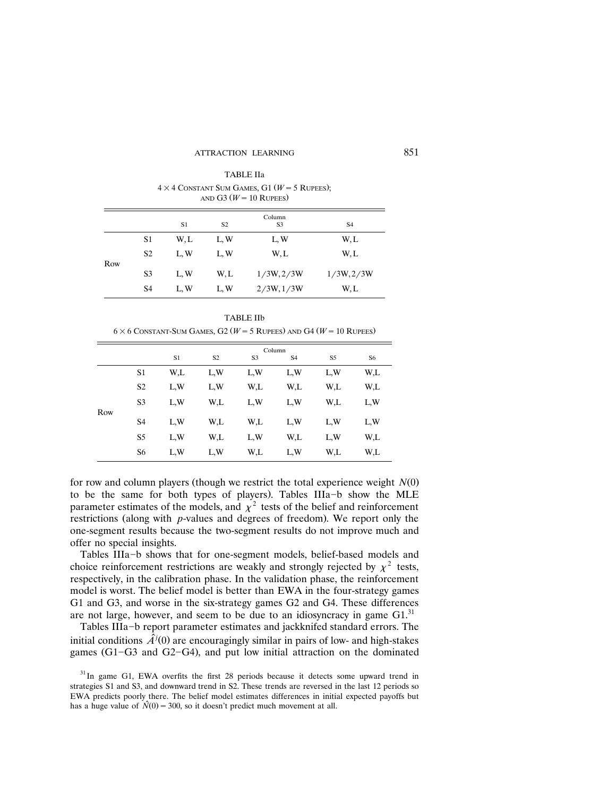|     |                |                |                | AIND $UJ \vee W = IU$ <b>IVILEES</b> |                |
|-----|----------------|----------------|----------------|--------------------------------------|----------------|
|     |                | S <sub>1</sub> | S <sub>2</sub> | Column<br>S <sub>3</sub>             | S <sub>4</sub> |
|     | S <sub>1</sub> | W.L            | L, W           | L, W                                 | W.L            |
| Row | S <sub>2</sub> | L, W           | L, W           | W.L                                  | W.L            |
|     | S <sub>3</sub> | L, W           | W, L           | 1/3W, 2/3W                           | 1/3W, 2/3W     |
|     | S <sub>4</sub> | L, W           | L, W           | 2/3W, 1/3W                           | W, L           |

TABLE IIa  $4 \times 4$  CONSTANT SUM GAMES, G1 ( $W = 5$  RUPEES); AND  $G3(W = 10 \text{ R} \text{UPE})$ 

TABLE IIb

 $6 \times 6$  CONSTANT-SUM GAMES, G2 *(W = 5* RUPEES) AND G4 *(W = 10* RUPEES)

|     |                |                |                |                | Column         |     |     |
|-----|----------------|----------------|----------------|----------------|----------------|-----|-----|
|     |                | S <sub>1</sub> | S <sub>2</sub> | S <sub>3</sub> | S <sub>4</sub> | S5  | S6  |
|     | S <sub>1</sub> | W,L            | L, W           | L,W            | L,W            | L,W | W,L |
|     | S <sub>2</sub> | L,W            | L,W            | W,L            | W,L            | W,L | W,L |
|     | S <sub>3</sub> | L,W            | W,L            | L,W            | L,W            | W,L | L,W |
| Row | S <sub>4</sub> | L, W           | W,L            | W,L            | L,W            | L,W | L,W |
|     | S <sub>5</sub> | L,W            | W,L            | L,W            | W,L            | L,W | W,L |
|     | S <sub>6</sub> | L,W            | L,W            | W,L            | L,W            | W,L | W,L |

for row and column players (though we restrict the total experience weight  $N(0)$ to be the same for both types of players). Tables IIIa-b show the MLE parameter estimates of the models, and  $\chi^2$  tests of the belief and reinforcement restrictions (along with *p*-values and degrees of freedom). We report only the one-segment results because the two-segment results do not improve much and offer no special insights.

Tables IIIa-b shows that for one-segment models, belief-based models and choice reinforcement restrictions are weakly and strongly rejected by  $\chi^2$  tests, respectively, in the calibration phase. In the validation phase, the reinforcement model is worst. The belief model is better than EWA in the four-strategy games G1 and G3, and worse in the six-strategy games G2 and G4. These differences are not large, however, and seem to be due to an idiosyncracy in game  $G1<sup>31</sup>$ 

Tables IIIa-b report parameter estimates and jackknifed standard errors. The initial conditions  $\hat{A}^j(0)$  are encouragingly similar in pairs of low- and high-stakes games  $(G1-G3$  and  $G2-G4$ ), and put low initial attraction on the dominated

<sup>&</sup>lt;sup>31</sup> In game G1, EWA overfits the first 28 periods because it detects some upward trend in strategies S1 and S3, and downward trend in S2. These trends are reversed in the last 12 periods so EWA predicts poorly there. The belief model estimates differences in initial expected payoffs but has a huge value of  $\hat{N}(0) = 300$ , so it doesn't predict much movement at all.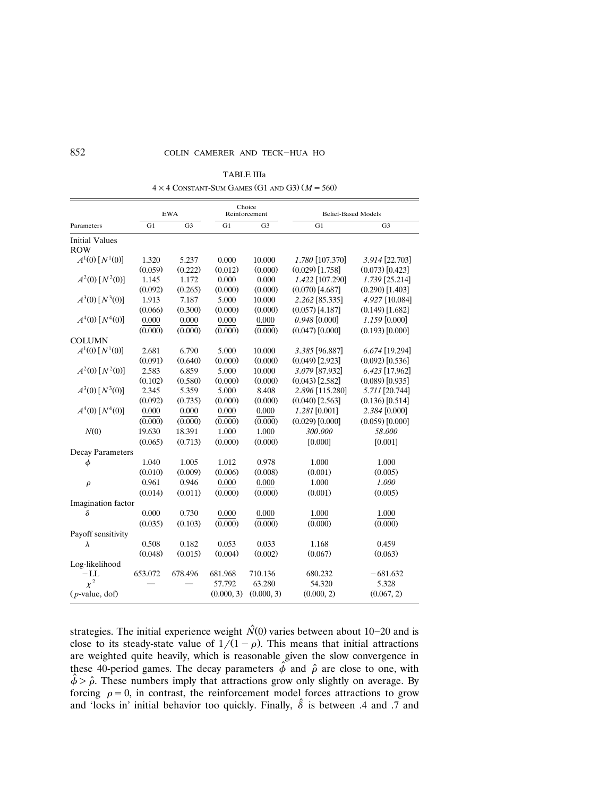| <b>TABLE III</b> a |
|--------------------|
|--------------------|

|                                     |         | <b>EWA</b>     |            | Choice<br>Reinforcement | <b>Belief-Based Models</b> |                     |
|-------------------------------------|---------|----------------|------------|-------------------------|----------------------------|---------------------|
| Parameters                          | G1      | G <sub>3</sub> | G1         | G <sub>3</sub>          | G1                         | G <sub>3</sub>      |
| <b>Initial Values</b><br><b>ROW</b> |         |                |            |                         |                            |                     |
| $A^1(0)$ [N <sup>1</sup> (0)]       | 1.320   | 5.237          | 0.000      | 10.000                  | 1.780 [107.370]            | 3.914 [22.703]      |
|                                     | (0.059) | (0.222)        | (0.012)    | (0.000)                 | $(0.029)$ [1.758]          | $(0.073)$ [0.423]   |
| $A^2(0)$ [N <sup>2</sup> (0)]       | 1.145   | 1.172          | 0.000      | 0.000                   | 1.422 [107.290]            | 1.739 [25.214]      |
|                                     | (0.092) | (0.265)        | (0.000)    | (0.000)                 | $(0.070)$ [4.687]          | $(0.290)$ [1.403]   |
| $A^3(0)$ [N <sup>3</sup> (0)]       | 1.913   | 7.187          | 5.000      | 10.000                  | 2.262 [85.335]             | 4.927 [10.084]      |
|                                     | (0.066) | (0.300)        | (0.000)    | (0.000)                 | $(0.057)$ [4.187]          | $(0.149)$ [1.682]   |
| $A^4(0)$ [N <sup>4</sup> (0)]       | 0.000   | 0.000          | 0.000      | 0.000                   | $0.948$ [0.000]            | 1.159 [0.000]       |
|                                     | (0.000) | (0.000)        | (0.000)    | (0.000)                 | $(0.047)$ [0.000]          | $(0.193)$ $[0.000]$ |
| <b>COLUMN</b>                       |         |                |            |                         |                            |                     |
| $A^1(0)$ [N <sup>1</sup> (0)]       | 2.681   | 6.790          | 5.000      | 10.000                  | 3.385 [96.887]             | 6.674 [19.294]      |
|                                     | (0.091) | (0.640)        | (0.000)    | (0.000)                 | $(0.049)$ [2.923]          | $(0.092)$ [0.536]   |
| $A^2(0)$ [N <sup>2</sup> (0)]       | 2.583   | 6.859          | 5.000      | 10.000                  | 3.079 [87.932]             | 6.423 [17.962]      |
|                                     | (0.102) | (0.580)        | (0.000)    | (0.000)                 | $(0.043)$ [2.582]          | $(0.089)$ [0.935]   |
| $A^3(0)$ [N <sup>3</sup> (0)]       | 2.345   | 5.359          | 5.000      | 8.408                   | 2.896 [115.280]            | 5.711 [20.744]      |
|                                     | (0.092) | (0.735)        | (0.000)    | (0.000)                 | $(0.040)$ [2.563]          | $(0.136)$ [0.514]   |
| $A^4(0)$ [N <sup>4</sup> (0)]       | 0.000   | 0.000          | 0.000      | 0.000                   | 1.281 [0.001]              | 2.384 [0.000]       |
|                                     | (0.000) | (0.000)        | (0.000)    | (0.000)                 | $(0.029)$ $[0.000]$        | $(0.059)$ [0.000]   |
| N(0)                                | 19.630  | 18.391         | 1.000      | 1.000                   | 300,000                    | 58.000              |
|                                     | (0.065) | (0.713)        | (0.000)    | (0.000)                 | [0.000]                    | [0.001]             |
| <b>Decay Parameters</b>             |         |                |            |                         |                            |                     |
| φ                                   | 1.040   | 1.005          | 1.012      | 0.978                   | 1.000                      | 1.000               |
|                                     | (0.010) | (0.009)        | (0.006)    | (0.008)                 | (0.001)                    | (0.005)             |
| $\rho$                              | 0.961   | 0.946          | 0.000      | 0.000                   | 1.000                      | 1.000               |
|                                     | (0.014) | (0.011)        | (0.000)    | (0.000)                 | (0.001)                    | (0.005)             |
| Imagination factor                  |         |                |            |                         |                            |                     |
| δ                                   | 0.000   | 0.730          | 0.000      | 0.000                   | 1.000                      | 1.000               |
|                                     | (0.035) | (0.103)        | (0.000)    | (0.000)                 | (0.000)                    | (0.000)             |
| Payoff sensitivity                  |         |                |            |                         |                            |                     |
| $\lambda$                           | 0.508   | 0.182          | 0.053      | 0.033                   | 1.168                      | 0.459               |
|                                     | (0.048) | (0.015)        | (0.004)    | (0.002)                 | (0.067)                    | (0.063)             |
| Log-likelihood                      |         |                |            |                         |                            |                     |
| $-LL$                               | 653.072 | 678.496        | 681.968    | 710.136                 | 680.232                    | $-681.632$          |
| $x^2$                               |         |                | 57.792     | 63.280                  | 54.320                     | 5.328               |
| $(p$ -value, dof)                   |         |                | (0.000, 3) | (0.000, 3)              | (0.000, 2)                 | (0.067, 2)          |

 $4 \times 4$  CONSTANT-SUM GAMES (G1 AND G3)  $(M = 560)$ 

strategies. The initial experience weight  $\hat{N}(0)$  varies between about 10-20 and is close to its steady-state value of  $1/(1 - \rho)$ . This means that initial attractions are weighted quite heavily, which is reasonable given the slow convergence in these 40-period games. The decay parameters  $\phi$  and  $\hat{\rho}$  are close to one, with  $\hat{\phi} > \hat{\rho}$ . These numbers imply that attractions grow only slightly on average. By forcing  $\rho = 0$ , in contrast, the reinforcement model forces attractions to grow and 'locks in' initial behavior too quickly. Finally,  $\hat{\delta}$  is between .4 and .7 and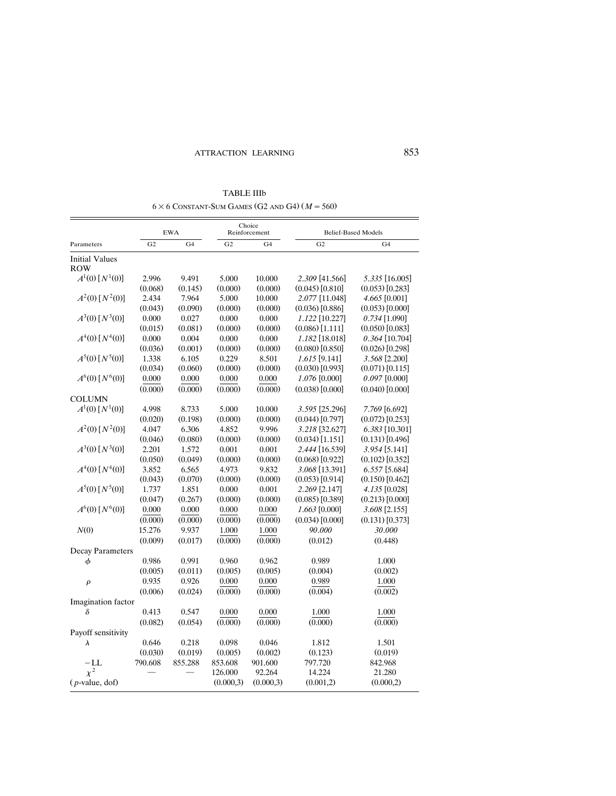|                |                | 1 ADIJ 3 1111  |                         | $6 \times 6$ CONSTANT-SUM GAMES (G2 AND G4) ( $M = 560$ ) |                            |
|----------------|----------------|----------------|-------------------------|-----------------------------------------------------------|----------------------------|
|                | <b>EWA</b>     |                | Choice<br>Reinforcement |                                                           | <b>Belief-Based Models</b> |
| G <sub>2</sub> | G <sub>4</sub> | G <sub>2</sub> | G <sub>4</sub>          | G <sub>2</sub>                                            | G <sub>4</sub>             |
| 2.996          | 9.491          | 5.000          | 10.000                  | 2.309 [41.566]                                            | 5.335 [16.005]             |
| (0.068)        | (0.145)        | (0.000)        | (0.000)                 | $(0.045)$ [0.810]                                         | $(0.053)$ [0.283]          |
| 2.434          | 7.964          | 5.000          | 10.000                  | 2.077 [11.048]                                            | $4.665$ [0.001]            |
| (0.043)        | (0.090)        | (0.000)        | (0.000)                 | $(0.036)$ [0.886]                                         | $(0.053)$ [0.000]          |
| 0.000          | 0.027          | 0.000          | 0.000                   | 1.122 [10.227]                                            | $0.734$ [1.090]            |
| (0.015)        | (0.081)        | (0.000)        | (0.000)                 | $(0.086)$ [1.111]                                         | $(0.050)$ [0.083]          |
| 0.000          | 0.004          | 0.000          | 0.000                   | 1.182 [18.018]                                            | $0.364$ [10.704]           |
| (0.036)        | (0.001)        | (0.000)        | (0.000)                 | $(0.080)$ [0.850]                                         | $(0.026)$ [0.298]          |
| 1.338          | 6.105          | 0.229          | 8.501                   | 1.615 [9.141]                                             | 3.568 [2.200]              |
| (0.034)        | (0.060)        | (0.000)        | (0.000)                 | $(0.030)$ [0.993]                                         | $(0.071)$ [0.115]          |
| 0.000          | 0.000          | 0.000          | 0.000                   | 1.076 [0.000]                                             | $0.097$ [0.000]            |
| (0.000)        | (0.000)        | (0.000)        | (0.000)                 | $(0.038)$ [0.000]                                         | $(0.040)$ [0.000]          |
| 4.998          | 8.733          | 5.000          | 10.000                  | 3.595 [25.296]                                            | 7.769 [6.692]              |
| (0.020)        | (0.198)        | (0.000)        | (0.000)                 | $(0.044)$ [0.797]                                         | $(0.072)$ [0.253]          |
| 4.047          | 6.306          | 4.852          | 9.996                   | 3.218 [32.627]                                            | 6.383 [10.301]             |
| (0.046)        | (0.080)        | (0.000)        | (0.000)                 | $(0.034)$ [1.151]                                         | $(0.131)$ [0.496]          |
| 2.201          | 1.570          | 0.001          | 0.001                   | 2.111527201                                               | 2.0515311                  |

TABLE IIIb

 $6\times6$  C

Parameters G<sub>2</sub>

 $A^1(0)$   $[N^1(0)]$  2.996<br>(0.068)

 $A^2(0) [N^2(0)]$  2.434

Initial Values

|                                 | (0.043) | (0.090) | (0.000)    | (0.000)    | $(0.036)$ [0.886]   | $(0.053)$ [0.000]   |
|---------------------------------|---------|---------|------------|------------|---------------------|---------------------|
| $A^3(0)$ [N <sup>3</sup> (0)]   | 0.000   | 0.027   | 0.000      | 0.000      | 1.122 [10.227]      | $0.734$ [1.090]     |
|                                 | (0.015) | (0.081) | (0.000)    | (0.000)    | $(0.086)$ [1.111]   | $(0.050)$ [0.083]   |
| $A^4(0)$ [N <sup>4</sup> (0)]   | 0.000   | 0.004   | 0.000      | 0.000      | 1.182 [18.018]      | $0.364$ [10.704]    |
|                                 | (0.036) | (0.001) | (0.000)    | (0.000)    | $(0.080)$ [0.850]   | $(0.026)$ [0.298]   |
| $A^5(0)$ [N <sup>5</sup> (0)]   | 1.338   | 6.105   | 0.229      | 8.501      | 1.615 [9.141]       | 3.568 [2.200]       |
|                                 | (0.034) | (0.060) | (0.000)    | (0.000)    | $(0.030)$ [0.993]   | $(0.071)$ [0.115]   |
| $A^{6}(0)$ [N <sup>6</sup> (0)] | 0.000   | 0.000   | 0.000      | 0.000      | 1.076 [0.000]       | $0.097$ [0.000]     |
|                                 | (0.000) | (0.000) | (0.000)    | (0.000)    | $(0.038)$ $[0.000]$ | $(0.040)$ $[0.000]$ |
| <b>COLUMN</b>                   |         |         |            |            |                     |                     |
| $A^1(0)$ [N <sup>1</sup> (0)]   | 4.998   | 8.733   | 5.000      | 10.000     | 3.595 [25.296]      | 7.769 [6.692]       |
|                                 | (0.020) | (0.198) | (0.000)    | (0.000)    | $(0.044)$ [0.797]   | $(0.072)$ [0.253]   |
| $A^2(0)$ [N <sup>2</sup> (0)]   | 4.047   | 6.306   | 4.852      | 9.996      | 3.218 [32.627]      | 6.383 [10.301]      |
|                                 | (0.046) | (0.080) | (0.000)    | (0.000)    | $(0.034)$ [1.151]   | $(0.131)$ [0.496]   |
| $A^3(0)$ [N <sup>3</sup> (0)]   | 2.201   | 1.572   | 0.001      | 0.001      | 2.444 [16.539]      | 3.954 [5.141]       |
|                                 | (0.050) | (0.049) | (0.000)    | (0.000)    | $(0.068)$ [0.922]   | $(0.102)$ $[0.352]$ |
| $A^4(0)$ [N <sup>4</sup> (0)]   | 3.852   | 6.565   | 4.973      | 9.832      | 3.068 [13.391]      | 6.557 [5.684]       |
|                                 | (0.043) | (0.070) | (0.000)    | (0.000)    | $(0.053)$ [0.914]   | $(0.150)$ [0.462]   |
| $A^5(0)$ [N <sup>5</sup> (0)]   | 1.737   | 1.851   | 0.000      | 0.001      | 2.269 [2.147]       | 4.135 [0.028]       |
|                                 | (0.047) | (0.267) | (0.000)    | (0.000)    | $(0.085)$ [0.389]   | $(0.213)$ [0.000]   |
| $A^6(0)$ [N <sup>6</sup> (0)]   | 0.000   | 0.000   | 0.000      | 0.000      | 1.663 [0.000]       | 3.608 [2.155]       |
|                                 | (0.000) | (0.000) | (0.000)    | (0.000)    | $(0.034)$ [0.000]   | $(0.131)$ $[0.373]$ |
| N(0)                            | 15.276  | 9.937   | 1.000      | 1.000      | 90.000              | 30.000              |
|                                 | (0.009) | (0.017) | (0.000)    | (0.000)    | (0.012)             | (0.448)             |
| <b>Decay Parameters</b>         |         |         |            |            |                     |                     |
| $\phi$                          | 0.986   | 0.991   | 0.960      | 0.962      | 0.989               | 1.000               |
|                                 | (0.005) | (0.011) | (0.005)    | (0.005)    | (0.004)             | (0.002)             |
| $\rho$                          | 0.935   | 0.926   | 0.000      | 0.000      | 0.989               | 1.000               |
|                                 | (0.006) | (0.024) | (0.000)    | (0.000)    | (0.004)             | (0.002)             |
| Imagination factor              |         |         |            |            |                     |                     |
| $\delta$                        | 0.413   | 0.547   | 0.000      | 0.000      | 1.000               | 1.000               |
|                                 | (0.082) | (0.054) | (0.000)    | (0.000)    | (0.000)             | (0.000)             |
| Payoff sensitivity              |         |         |            |            |                     |                     |
| $\lambda$                       | 0.646   | 0.218   | 0.098      | 0.046      | 1.812               | 1.501               |
|                                 | (0.030) | (0.019) | (0.005)    | (0.002)    | (0.123)             | (0.019)             |
| $-LL$                           | 790.608 | 855.288 | 853.608    | 901.600    | 797.720             | 842.968             |
| $\chi^2$                        |         |         | 126.000    | 92.264     | 14.224              | 21.280              |
| $(p$ -value, dof)               |         |         | (0.000, 3) | (0.000, 3) | (0.001,2)           | (0.000, 2)          |
|                                 |         |         |            |            |                     |                     |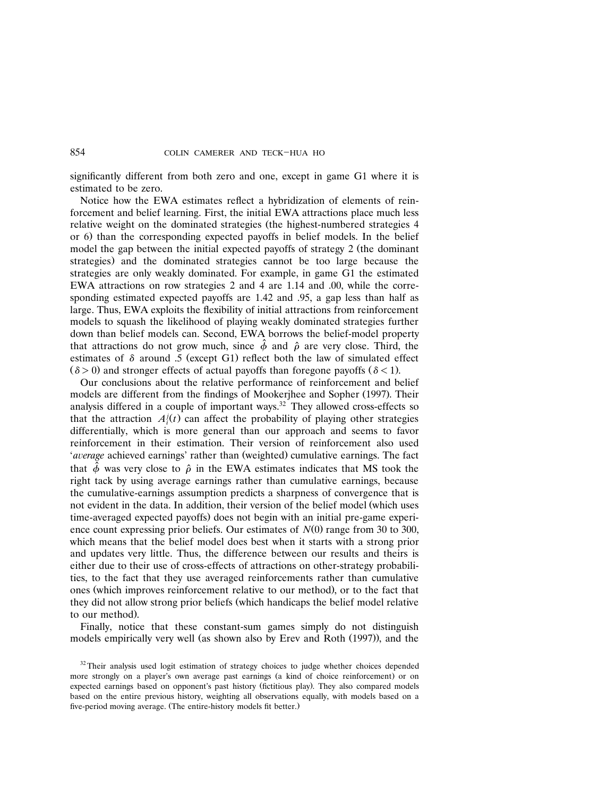significantly different from both zero and one, except in game G1 where it is estimated to be zero.

Notice how the EWA estimates reflect a hybridization of elements of reinforcement and belief learning. First, the initial EWA attractions place much less relative weight on the dominated strategies (the highest-numbered strategies 4 or 6) than the corresponding expected payoffs in belief models. In the belief model the gap between the initial expected payoffs of strategy 2 (the dominant strategies) and the dominated strategies cannot be too large because the strategies are only weakly dominated. For example, in game G1 the estimated EWA attractions on row strategies 2 and 4 are 1.14 and .00, while the corresponding estimated expected payoffs are 1.42 and .95, a gap less than half as large. Thus, EWA exploits the flexibility of initial attractions from reinforcement models to squash the likelihood of playing weakly dominated strategies further down than belief models can. Second, EWA borrows the belief-model property that attractions do not grow much, since  $\hat{\phi}$  and  $\hat{\rho}$  are very close. Third, the estimates of  $\delta$  around .5 (except G1) reflect both the law of simulated effect  $(\delta > 0)$  and stronger effects of actual payoffs than foregone payoffs  $(\delta < 1)$ .

Our conclusions about the relative performance of reinforcement and belief models are different from the findings of Mookerjhee and Sopher (1997). Their analysis differed in a couple of important ways.<sup>32</sup> They allowed cross-effects so that the attraction  $A<sup>j</sup>(t)$  can affect the probability of playing other strategies differentially, which is more general than our approach and seems to favor reinforcement in their estimation. Their version of reinforcement also used 'average achieved earnings' rather than (weighted) cumulative earnings. The fact that  $\hat{\phi}$  was very close to  $\hat{\rho}$  in the EWA estimates indicates that MS took the right tack by using average earnings rather than cumulative earnings, because the cumulative-earnings assumption predicts a sharpness of convergence that is not evident in the data. In addition, their version of the belief model which uses Ž time-averaged expected payoffs) does not begin with an initial pre-game experience count expressing prior beliefs. Our estimates of  $N(0)$  range from 30 to 300, which means that the belief model does best when it starts with a strong prior and updates very little. Thus, the difference between our results and theirs is either due to their use of cross-effects of attractions on other-strategy probabilities, to the fact that they use averaged reinforcements rather than cumulative ones (which improves reinforcement relative to our method), or to the fact that they did not allow strong prior beliefs (which handicaps the belief model relative to our method).

Finally, notice that these constant-sum games simply do not distinguish models empirically very well (as shown also by Erev and Roth (1997)), and the

 $32$  Their analysis used logit estimation of strategy choices to judge whether choices depended more strongly on a player's own average past earnings (a kind of choice reinforcement) or on expected earnings based on opponent's past history (fictitious play). They also compared models based on the entire previous history, weighting all observations equally, with models based on a five-period moving average. (The entire-history models fit better.)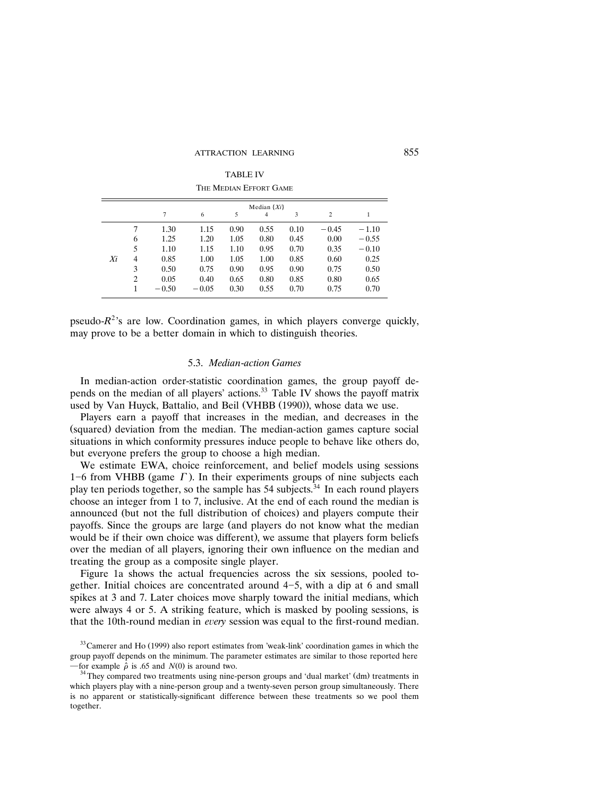|    |                            |                                                         |                                                         |                                                      | THE MEDIAN EFFORT GAME                               |                                                      |                                                         |                                                               |
|----|----------------------------|---------------------------------------------------------|---------------------------------------------------------|------------------------------------------------------|------------------------------------------------------|------------------------------------------------------|---------------------------------------------------------|---------------------------------------------------------------|
|    |                            | 7                                                       | 6                                                       | 5                                                    | Median $\{Xi\}$<br>4                                 | 3                                                    | 2                                                       | 1                                                             |
| Xi | 7<br>6<br>5<br>4<br>3<br>2 | 1.30<br>1.25<br>1.10<br>0.85<br>0.50<br>0.05<br>$-0.50$ | 1.15<br>1.20<br>1.15<br>1.00<br>0.75<br>0.40<br>$-0.05$ | 0.90<br>1.05<br>1.10<br>1.05<br>0.90<br>0.65<br>0.30 | 0.55<br>0.80<br>0.95<br>1.00<br>0.95<br>0.80<br>0.55 | 0.10<br>0.45<br>0.70<br>0.85<br>0.90<br>0.85<br>0.70 | $-0.45$<br>0.00<br>0.35<br>0.60<br>0.75<br>0.80<br>0.75 | $-1.10$<br>$-0.55$<br>$-0.10$<br>0.25<br>0.50<br>0.65<br>0.70 |

TABLE IV

pseudo- $R^2$ 's are low. Coordination games, in which players converge quickly, may prove to be a better domain in which to distinguish theories.

### 5.3. *Median*-*action Games*

In median-action order-statistic coordination games, the group payoff depends on the median of all players' actions.<sup>33</sup> Table IV shows the payoff matrix used by Van Huyck, Battalio, and Beil (VHBB (1990)), whose data we use.

Players earn a payoff that increases in the median, and decreases in the (squared) deviation from the median. The median-action games capture social situations in which conformity pressures induce people to behave like others do, but everyone prefers the group to choose a high median.

We estimate EWA, choice reinforcement, and belief models using sessions 1–6 from VHBB (game  $\Gamma$ ). In their experiments groups of nine subjects each play ten periods together, so the sample has 54 subjects.<sup>34</sup> In each round players choose an integer from 1 to 7, inclusive. At the end of each round the median is announced (but not the full distribution of choices) and players compute their payoffs. Since the groups are large (and players do not know what the median would be if their own choice was different), we assume that players form beliefs over the median of all players, ignoring their own influence on the median and treating the group as a composite single player.

Figure 1a shows the actual frequencies across the six sessions, pooled together. Initial choices are concentrated around  $4-5$ , with a dip at 6 and small spikes at 3 and 7. Later choices move sharply toward the initial medians, which were always 4 or 5. A striking feature, which is masked by pooling sessions, is that the 10th-round median in *e ery* session was equal to the first-round median.

 $33$ Camerer and Ho (1999) also report estimates from 'weak-link' coordination games in which the group payoff depends on the minimum. The parameter estimates are similar to those reported here —for example  $\hat{\rho}$  is .65 and  $N(0)$  is around two.

<sup>&</sup>lt;sup>34</sup> They compared two treatments using nine-person groups and 'dual market' (dm) treatments in which players play with a nine-person group and a twenty-seven person group simultaneously. There is no apparent or statistically-significant difference between these treatments so we pool them together.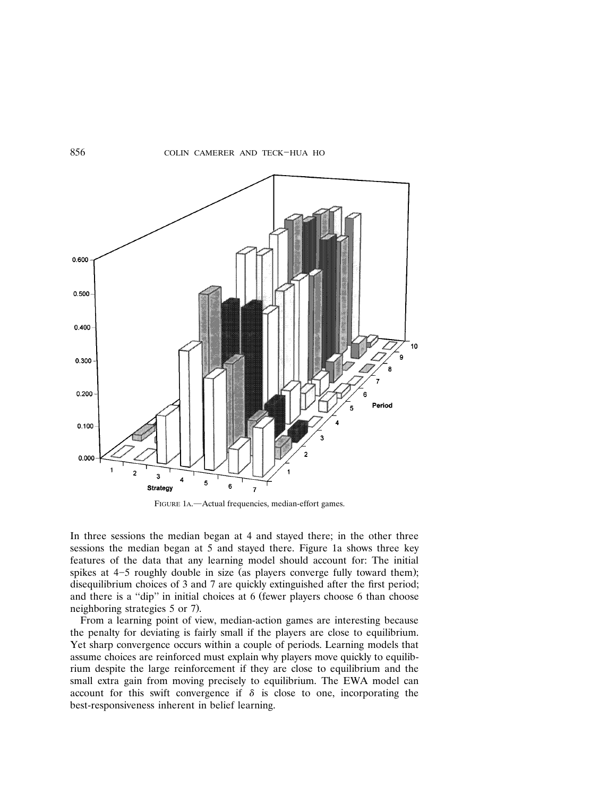

FIGURE 1A. - Actual frequencies, median-effort games.

In three sessions the median began at 4 and stayed there; in the other three sessions the median began at 5 and stayed there. Figure 1a shows three key features of the data that any learning model should account for: The initial spikes at  $4-5$  roughly double in size (as players converge fully toward them); disequilibrium choices of 3 and 7 are quickly extinguished after the first period; and there is a "dip" in initial choices at 6 (fewer players choose 6 than choose neighboring strategies 5 or 7).

From a learning point of view, median-action games are interesting because the penalty for deviating is fairly small if the players are close to equilibrium. Yet sharp convergence occurs within a couple of periods. Learning models that assume choices are reinforced must explain why players move quickly to equilibrium despite the large reinforcement if they are close to equilibrium and the small extra gain from moving precisely to equilibrium. The EWA model can account for this swift convergence if  $\delta$  is close to one, incorporating the best-responsiveness inherent in belief learning.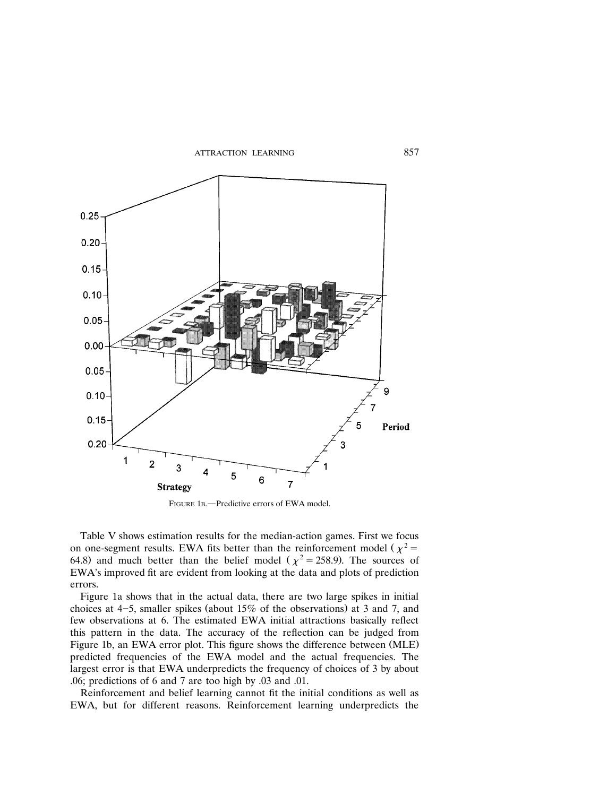

FIGURE 1B. - Predictive errors of EWA model.

Table V shows estimation results for the median-action games. First we focus on one-segment results. EWA fits better than the reinforcement model ( $\chi^2$  = 64.8) and much better than the belief model ( $\chi^2$  = 258.9). The sources of EWA's improved fit are evident from looking at the data and plots of prediction errors.

Figure 1a shows that in the actual data, there are two large spikes in initial choices at  $4-5$ , smaller spikes (about  $15\%$  of the observations) at 3 and 7, and few observations at 6. The estimated EWA initial attractions basically reflect this pattern in the data. The accuracy of the reflection can be judged from Figure 1b, an EWA error plot. This figure shows the difference between (MLE) predicted frequencies of the EWA model and the actual frequencies. The largest error is that EWA underpredicts the frequency of choices of 3 by about .06; predictions of 6 and 7 are too high by .03 and .01.

Reinforcement and belief learning cannot fit the initial conditions as well as EWA, but for different reasons. Reinforcement learning underpredicts the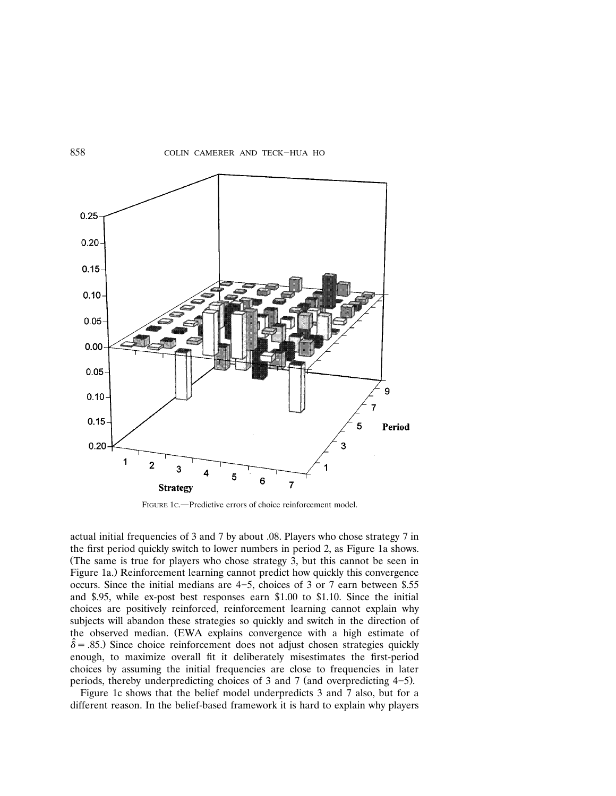

FIGURE 1c.—Predictive errors of choice reinforcement model.

actual initial frequencies of 3 and 7 by about .08. Players who chose strategy 7 in the first period quickly switch to lower numbers in period 2, as Figure 1a shows. (The same is true for players who chose strategy 3, but this cannot be seen in Figure 1a.) Reinforcement learning cannot predict how quickly this convergence occurs. Since the initial medians are 45, choices of 3 or 7 earn between \$.55 and \$.95, while ex-post best responses earn \$1.00 to \$1.10. Since the initial choices are positively reinforced, reinforcement learning cannot explain why subjects will abandon these strategies so quickly and switch in the direction of the observed median. (EWA explains convergence with a high estimate of  $\hat{\delta}$  = .85.) Since choice reinforcement does not adjust chosen strategies quickly enough, to maximize overall fit it deliberately misestimates the first-period choices by assuming the initial frequencies are close to frequencies in later periods, thereby underpredicting choices of 3 and 7 (and overpredicting  $4-5$ ).

Figure 1c shows that the belief model underpredicts 3 and 7 also, but for a different reason. In the belief-based framework it is hard to explain why players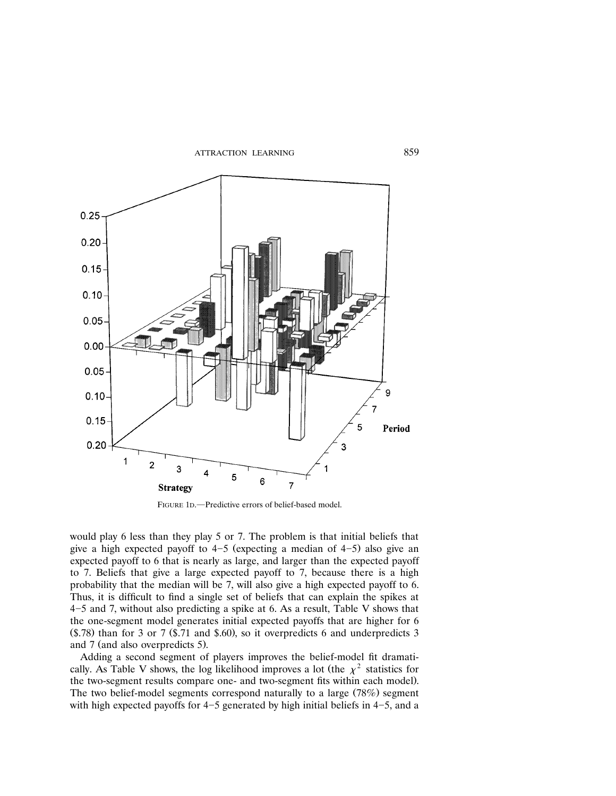

FIGURE 1D.—Predictive errors of belief-based model.

would play 6 less than they play 5 or 7. The problem is that initial beliefs that give a high expected payoff to  $4-5$  (expecting a median of  $4-5$ ) also give an expected payoff to 6 that is nearly as large, and larger than the expected payoff to 7. Beliefs that give a large expected payoff to 7, because there is a high probability that the median will be 7, will also give a high expected payoff to 6. Thus, it is difficult to find a single set of beliefs that can explain the spikes at 45 and 7, without also predicting a spike at 6. As a result, Table V shows that the one-segment model generates initial expected payoffs that are higher for 6  $(\$.78)$  than for 3 or 7  $(\$.71$  and  $\$.60$ , so it overpredicts 6 and underpredicts 3 and 7 (and also overpredicts 5).

Adding a second segment of players improves the belief-model fit dramatically. As Table V shows, the log likelihood improves a lot (the  $\chi^2$  statistics for the two-segment results compare one- and two-segment fits within each model). The two belief-model segments correspond naturally to a large  $(78%)$  segment with high expected payoffs for  $4-5$  generated by high initial beliefs in  $4-5$ , and a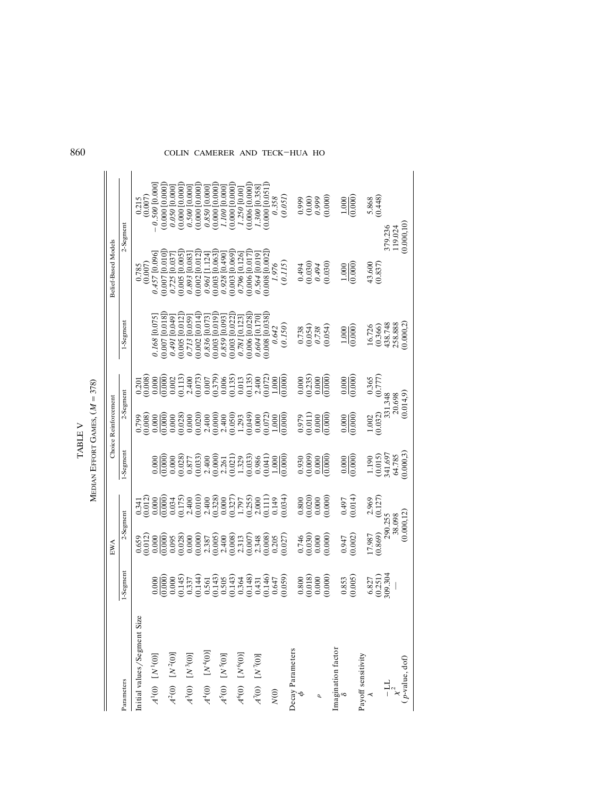|                                          |                                                                                                                                                                                                                                                                   | EWA                                                                                                                    |                                                                 |                                                                                   | Choice Reinforcement                                                                                                                                                                                                                                                                                |                         |                                                                                                                                                                                                                                                                                               | Belief-Based Models                                                                                                                                                                                                                           |                                                                                                                                                        |
|------------------------------------------|-------------------------------------------------------------------------------------------------------------------------------------------------------------------------------------------------------------------------------------------------------------------|------------------------------------------------------------------------------------------------------------------------|-----------------------------------------------------------------|-----------------------------------------------------------------------------------|-----------------------------------------------------------------------------------------------------------------------------------------------------------------------------------------------------------------------------------------------------------------------------------------------------|-------------------------|-----------------------------------------------------------------------------------------------------------------------------------------------------------------------------------------------------------------------------------------------------------------------------------------------|-----------------------------------------------------------------------------------------------------------------------------------------------------------------------------------------------------------------------------------------------|--------------------------------------------------------------------------------------------------------------------------------------------------------|
| Parameters                               | 1-Segment                                                                                                                                                                                                                                                         |                                                                                                                        | 2-Segment                                                       | 1-Segmen                                                                          | 2-Segment                                                                                                                                                                                                                                                                                           |                         | 1-Segmen                                                                                                                                                                                                                                                                                      |                                                                                                                                                                                                                                               | 2-Segment                                                                                                                                              |
| Initial values/Segment Size              |                                                                                                                                                                                                                                                                   | ๑ กิ้วออิหลิ้วอิหาริจูลิซิก โหริสุลิหาริ<br>ซิธี 303 33 3 3 3 3 4 3 5 5 5 4 3 5 4<br>อออเออออล์ อิหาริสุลิหาริจูลิหาริ |                                                                 |                                                                                   | $\begin{array}{l} 9,829 \\ 0,939 \\ 0,939 \\ 0,939 \\ 0,939 \\ 0,939 \\ 0,939 \\ 0,939 \\ 0,939 \\ 0,939 \\ 0,939 \\ 0,939 \\ 0,939 \\ 0,939 \\ 0,939 \\ 0,939 \\ 0,939 \\ 0,939 \\ 0,939 \\ 0,939 \\ 0,939 \\ 0,939 \\ 0,939 \\ 0,939 \\ 0,939 \\ 0,939 \\ 0,939 \\ 0,939 \\ 0,939 \\ 0,939 \\ 0,$ |                         |                                                                                                                                                                                                                                                                                               | (0.007)<br>0.785                                                                                                                                                                                                                              | $\binom{0.215}{0.007}$                                                                                                                                 |
| $A^1(0)$ [N <sup>1</sup> (0)]            |                                                                                                                                                                                                                                                                   |                                                                                                                        |                                                                 |                                                                                   |                                                                                                                                                                                                                                                                                                     |                         |                                                                                                                                                                                                                                                                                               | 0.457[0.096]                                                                                                                                                                                                                                  | $-0.500$ [0.000]                                                                                                                                       |
|                                          |                                                                                                                                                                                                                                                                   |                                                                                                                        |                                                                 |                                                                                   |                                                                                                                                                                                                                                                                                                     |                         |                                                                                                                                                                                                                                                                                               | (0.007 [0.010]                                                                                                                                                                                                                                |                                                                                                                                                        |
| $A^2(0)$ [N <sup>2</sup> (0)]            |                                                                                                                                                                                                                                                                   |                                                                                                                        |                                                                 |                                                                                   |                                                                                                                                                                                                                                                                                                     |                         |                                                                                                                                                                                                                                                                                               |                                                                                                                                                                                                                                               | $\begin{array}{l} (0.000\ [0.000]) \\ \hline 0.050\ [0.000] \\ (0.000\ [0.000]) \\ (0.000\ [0.000]) \\ 0.500\ [0.000] \\ (0.000\ [0.000]) \end{array}$ |
| $A^3(0)$ [N <sup>3</sup> (0)]            |                                                                                                                                                                                                                                                                   |                                                                                                                        |                                                                 |                                                                                   |                                                                                                                                                                                                                                                                                                     |                         |                                                                                                                                                                                                                                                                                               |                                                                                                                                                                                                                                               |                                                                                                                                                        |
|                                          |                                                                                                                                                                                                                                                                   |                                                                                                                        |                                                                 |                                                                                   |                                                                                                                                                                                                                                                                                                     |                         |                                                                                                                                                                                                                                                                                               |                                                                                                                                                                                                                                               |                                                                                                                                                        |
| $A^4(0)$ [N <sup>4</sup> (0)]            |                                                                                                                                                                                                                                                                   |                                                                                                                        |                                                                 |                                                                                   |                                                                                                                                                                                                                                                                                                     |                         |                                                                                                                                                                                                                                                                                               |                                                                                                                                                                                                                                               |                                                                                                                                                        |
| $N^5(0)$ [N <sup>5</sup> (0)]            | $\begin{array}{l} 0.000\\ 0.0000\\ 0.0000\\ 0.014,7\\ 0.0000\\ 0.0000\\ 0.0000\\ 0.0000\\ 0.0000\\ 0.0000\\ 0.0000\\ 0.0000\\ 0.0000\\ 0.0000\\ 0.0000\\ 0.0000\\ 0.0000\\ 0.0000\\ 0.0000\\ 0.0000\\ 0.0000\\ 0.0000\\ 0.0000\\ 0.0000\\ 0.0000\\ 0.0000\\ 0.00$ |                                                                                                                        |                                                                 |                                                                                   |                                                                                                                                                                                                                                                                                                     |                         | $\begin{array}{c} 0.168\, [0.075] \\ (0.007\, [0.018]) \\ (0.007\, [0.049] \\ (0.491\, [0.049] \\ (0.0105\, [0.012]) \\ (0.012\, [0.059] \\ (0.0101\, [0.073] \\ (0.003\, [0.073] \\ (0.005\, [0.022] \\ (0.005\, [0.022] \\ (0.006\, [0.022] \\ (0.007\, [0.023] \\ (0.008\, [0.023] \\ (0.$ | $\begin{array}{l} 0.725 \, (0.037)\\ 0.005 \, (0.005)\\ 0.005 \, (0.005)\\ 0.005 \, (0.005)\\ 0.002 \, (0.012)\\ 0.002 \, (0.012)\\ 0.003 \, (0.012)\\ 0.003 \, (0.005)\\ 0.000 \, (0.005)\\ 0.000 \, (0.005)\\ 0.000 \, (0.126) \end{array}$ | $\begin{array}{l} 0.850\ [0.000] \\ (0.000\ [0.000]) \\ (1.100\ [0.000] \\ 1.100\ [0.000] \\ (0.000\ [0.1000]) \end{array}$                            |
|                                          |                                                                                                                                                                                                                                                                   |                                                                                                                        |                                                                 |                                                                                   |                                                                                                                                                                                                                                                                                                     |                         |                                                                                                                                                                                                                                                                                               |                                                                                                                                                                                                                                               |                                                                                                                                                        |
| $[(0)_9N]$ (0) <sub>9</sub>              |                                                                                                                                                                                                                                                                   |                                                                                                                        |                                                                 |                                                                                   |                                                                                                                                                                                                                                                                                                     |                         |                                                                                                                                                                                                                                                                                               |                                                                                                                                                                                                                                               | 1.250 [0.00]                                                                                                                                           |
|                                          |                                                                                                                                                                                                                                                                   |                                                                                                                        |                                                                 |                                                                                   |                                                                                                                                                                                                                                                                                                     |                         | $0.006$ [0.028]                                                                                                                                                                                                                                                                               | $[0.006\ [0.017]$                                                                                                                                                                                                                             | $(0.006\ [0.000]$                                                                                                                                      |
| [(0) <sup>r</sup> $N$ ] (0) <sup>r</sup> |                                                                                                                                                                                                                                                                   |                                                                                                                        |                                                                 |                                                                                   |                                                                                                                                                                                                                                                                                                     |                         | 0.604 [0.170]                                                                                                                                                                                                                                                                                 | 9.564 [0.019]                                                                                                                                                                                                                                 | 1.300 [0.358]                                                                                                                                          |
|                                          |                                                                                                                                                                                                                                                                   |                                                                                                                        |                                                                 |                                                                                   |                                                                                                                                                                                                                                                                                                     |                         | $0.008$ [0.038]                                                                                                                                                                                                                                                                               | $0.008$ [0.002]                                                                                                                                                                                                                               | $0.000$ $[0.051]$                                                                                                                                      |
| $N(0)$                                   |                                                                                                                                                                                                                                                                   |                                                                                                                        |                                                                 |                                                                                   |                                                                                                                                                                                                                                                                                                     |                         | 0.642                                                                                                                                                                                                                                                                                         | 1.976                                                                                                                                                                                                                                         | 0.358                                                                                                                                                  |
|                                          |                                                                                                                                                                                                                                                                   |                                                                                                                        |                                                                 |                                                                                   |                                                                                                                                                                                                                                                                                                     |                         | (0.150)                                                                                                                                                                                                                                                                                       | (0.115)                                                                                                                                                                                                                                       | (0.051)                                                                                                                                                |
| Decay Parameters<br>$\phi$               |                                                                                                                                                                                                                                                                   |                                                                                                                        |                                                                 |                                                                                   |                                                                                                                                                                                                                                                                                                     |                         |                                                                                                                                                                                                                                                                                               |                                                                                                                                                                                                                                               |                                                                                                                                                        |
|                                          |                                                                                                                                                                                                                                                                   |                                                                                                                        |                                                                 |                                                                                   |                                                                                                                                                                                                                                                                                                     |                         |                                                                                                                                                                                                                                                                                               |                                                                                                                                                                                                                                               |                                                                                                                                                        |
|                                          |                                                                                                                                                                                                                                                                   |                                                                                                                        |                                                                 |                                                                                   |                                                                                                                                                                                                                                                                                                     |                         |                                                                                                                                                                                                                                                                                               |                                                                                                                                                                                                                                               |                                                                                                                                                        |
|                                          | $\begin{array}{c} 0.800 \\ 0.018 \\ 0.000 \\ 0.000 \end{array}$                                                                                                                                                                                                   | $\begin{array}{c} 0.746 \\ 0.030 \\ 0.000 \\ 0.000 \end{array}$                                                        | $\begin{array}{c} 0.800 \\ 0.020 \\ 0.000 \\ 0.000 \end{array}$ | $\begin{array}{r} 0.930 \\ 0.000 \\ 0.000 \\ 0.000 \\ \hline \end{array}$         | $\begin{array}{c} 0.979 \\ 0.011 \\ 0.000 \\ 0.000 \end{array}$                                                                                                                                                                                                                                     | $\frac{0.000}{0.235}$   | $\begin{array}{c} 0.738 \\ 0.054) \\ 0.738 \\ 0.054) \\ 0.054) \end{array}$                                                                                                                                                                                                                   |                                                                                                                                                                                                                                               |                                                                                                                                                        |
|                                          |                                                                                                                                                                                                                                                                   |                                                                                                                        |                                                                 |                                                                                   |                                                                                                                                                                                                                                                                                                     |                         |                                                                                                                                                                                                                                                                                               |                                                                                                                                                                                                                                               |                                                                                                                                                        |
| Imagination factor $\delta$              |                                                                                                                                                                                                                                                                   | 0.947                                                                                                                  |                                                                 |                                                                                   |                                                                                                                                                                                                                                                                                                     |                         |                                                                                                                                                                                                                                                                                               |                                                                                                                                                                                                                                               |                                                                                                                                                        |
|                                          | $\frac{0.853}{(0.005)}$                                                                                                                                                                                                                                           | (0.002)                                                                                                                | (610, 0)                                                        | $\frac{0.000}{0.000}$                                                             | $rac{0.000}{0.000}$                                                                                                                                                                                                                                                                                 | $0.000$<br>$0.000$      | $\frac{1000}{0.000}$                                                                                                                                                                                                                                                                          | $\frac{1.000}{0.000}$                                                                                                                                                                                                                         | $\frac{000}{0.000}$                                                                                                                                    |
| Payoff sensitivity                       |                                                                                                                                                                                                                                                                   |                                                                                                                        |                                                                 |                                                                                   |                                                                                                                                                                                                                                                                                                     |                         |                                                                                                                                                                                                                                                                                               |                                                                                                                                                                                                                                               |                                                                                                                                                        |
|                                          |                                                                                                                                                                                                                                                                   |                                                                                                                        | $\frac{2.969}{(0.127)}$                                         |                                                                                   |                                                                                                                                                                                                                                                                                                     | $\frac{0.365}{(0.777)}$ |                                                                                                                                                                                                                                                                                               |                                                                                                                                                                                                                                               | 5.868<br>0.448)                                                                                                                                        |
|                                          |                                                                                                                                                                                                                                                                   | 17.987<br>(0.869)                                                                                                      |                                                                 |                                                                                   | $\frac{1.002}{0.032}$                                                                                                                                                                                                                                                                               |                         |                                                                                                                                                                                                                                                                                               | 43.600<br>(0.837)                                                                                                                                                                                                                             |                                                                                                                                                        |
|                                          | $\begin{array}{c} 6.827 \\ 0.251) \\ 09.304 \end{array}$                                                                                                                                                                                                          | 290.255<br>38.098                                                                                                      |                                                                 | $\begin{array}{c} 1.190 \\ (0.015) \\ 341.697 \\ 64.785 \\ (0.000,3) \end{array}$ | 331.348                                                                                                                                                                                                                                                                                             |                         | $\begin{array}{c} 16.726 \\ (0.366) \\ 438.748 \\ 258.888 \\ (0.000,2) \end{array}$                                                                                                                                                                                                           |                                                                                                                                                                                                                                               | 379.236<br>119.024                                                                                                                                     |
|                                          |                                                                                                                                                                                                                                                                   |                                                                                                                        |                                                                 |                                                                                   |                                                                                                                                                                                                                                                                                                     |                         |                                                                                                                                                                                                                                                                                               |                                                                                                                                                                                                                                               |                                                                                                                                                        |
| $(p$ -value, dof)                        |                                                                                                                                                                                                                                                                   | (0.000, 12)                                                                                                            |                                                                 |                                                                                   | (0.014, 9)                                                                                                                                                                                                                                                                                          |                         |                                                                                                                                                                                                                                                                                               |                                                                                                                                                                                                                                               | (0.000, 10)                                                                                                                                            |

TABLE V $_{\rm ORT}$  Games,  $(M=378)$ 

MEDIAN EFFORT GAMES, *M* 378

# 860 COLIN CAMERER AND TECK-HUA HO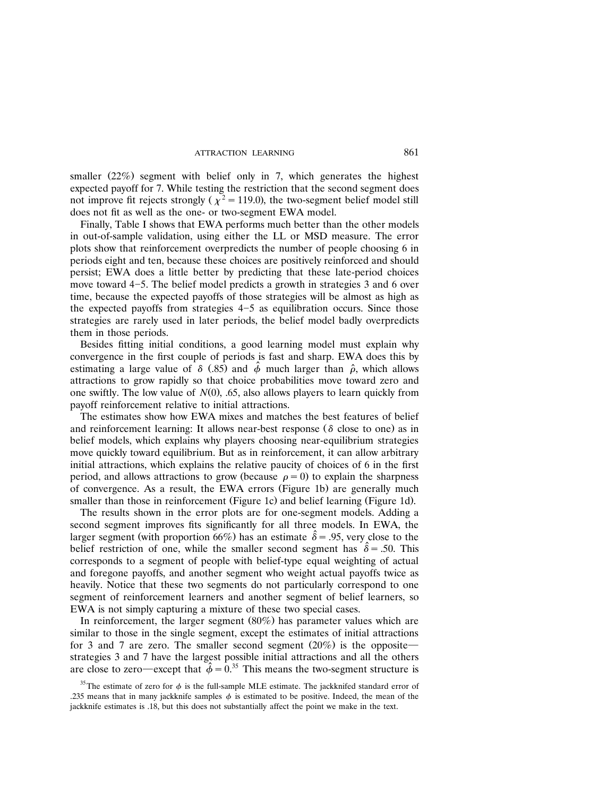smaller  $(22\%)$  segment with belief only in 7, which generates the highest expected payoff for 7. While testing the restriction that the second segment does not improve fit rejects strongly ( $\chi^2$  = 119.0), the two-segment belief model still does not fit as well as the one- or two-segment EWA model.

Finally, Table I shows that EWA performs much better than the other models in out-of-sample validation, using either the LL or MSD measure. The error plots show that reinforcement overpredicts the number of people choosing 6 in periods eight and ten, because these choices are positively reinforced and should persist; EWA does a little better by predicting that these late-period choices move toward 45. The belief model predicts a growth in strategies 3 and 6 over time, because the expected payoffs of those strategies will be almost as high as the expected payoffs from strategies  $4-5$  as equilibration occurs. Since those strategies are rarely used in later periods, the belief model badly overpredicts them in those periods.

Besides fitting initial conditions, a good learning model must explain why convergence in the first couple of periods is fast and sharp. EWA does this by estimating a large value of  $\delta$  (.85) and  $\hat{\phi}$  much larger than  $\hat{\rho}$ , which allows attractions to grow rapidly so that choice probabilities move toward zero and one swiftly. The low value of  $N(0)$ , .65, also allows players to learn quickly from payoff reinforcement relative to initial attractions.

The estimates show how EWA mixes and matches the best features of belief and reinforcement learning: It allows near-best response ( $\delta$  close to one) as in belief models, which explains why players choosing near-equilibrium strategies move quickly toward equilibrium. But as in reinforcement, it can allow arbitrary initial attractions, which explains the relative paucity of choices of 6 in the first period, and allows attractions to grow (because  $\rho = 0$ ) to explain the sharpness of convergence. As a result, the EWA errors (Figure 1b) are generally much smaller than those in reinforcement (Figure 1c) and belief learning (Figure 1d).

The results shown in the error plots are for one-segment models. Adding a second segment improves fits significantly for all three models. In EWA, the larger segment (with proportion 66%) has an estimate  $\hat{\delta} = .95$ , very close to the belief restriction of one, while the smaller second segment has  $\hat{\delta} = .50$ . This corresponds to a segment of people with belief-type equal weighting of actual and foregone payoffs, and another segment who weight actual payoffs twice as heavily. Notice that these two segments do not particularly correspond to one segment of reinforcement learners and another segment of belief learners, so EWA is not simply capturing a mixture of these two special cases.

In reinforcement, the larger segment  $(80\%)$  has parameter values which are similar to those in the single segment, except the estimates of initial attractions for 3 and 7 are zero. The smaller second segment  $(20\%)$  is the opposite – strategies 3 and 7 have the largest possible initial attractions and all the others are close to zero—except that  $\hat{\phi} = 0.35$  This means the two-segment structure is

<sup>&</sup>lt;sup>35</sup>The estimate of zero for  $\phi$  is the full-sample MLE estimate. The jackknifed standard error of .235 means that in many jackknife samples  $\phi$  is estimated to be positive. Indeed, the mean of the jackknife estimates is .18, but this does not substantially affect the point we make in the text.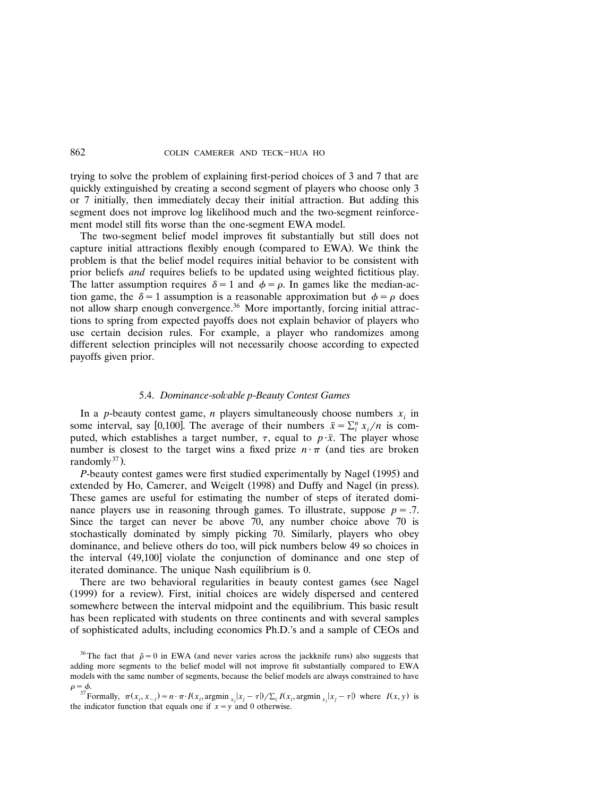trying to solve the problem of explaining first-period choices of 3 and 7 that are quickly extinguished by creating a second segment of players who choose only 3 or 7 initially, then immediately decay their initial attraction. But adding this segment does not improve log likelihood much and the two-segment reinforcement model still fits worse than the one-segment EWA model.

The two-segment belief model improves fit substantially but still does not capture initial attractions flexibly enough (compared to EWA). We think the problem is that the belief model requires initial behavior to be consistent with prior beliefs *and* requires beliefs to be updated using weighted fictitious play. The latter assumption requires  $\delta = 1$  and  $\phi = \rho$ . In games like the median-action game, the  $\delta = 1$  assumption is a reasonable approximation but  $\phi = \rho$  does not allow sharp enough convergence.<sup>36</sup> More importantly, forcing initial attractions to spring from expected payoffs does not explain behavior of players who use certain decision rules. For example, a player who randomizes among different selection principles will not necessarily choose according to expected payoffs given prior.

# 5.4. *Dominance*-*sol able p*-*Beauty Contest Games*

In a *p*-beauty contest game, *n* players simultaneously choose numbers  $x_i$  in some interval, say [0,100]. The average of their numbers  $\bar{x} = \sum_i^n x_i/n$  is computed, which establishes a target number,  $\tau$ , equal to  $p \cdot \bar{x}$ . The player whose number is closest to the target wins a fixed prize  $n \cdot \pi$  (and ties are broken randomly  $37$ ).

*P*-beauty contest games were first studied experimentally by Nagel (1995) and extended by Ho, Camerer, and Weigelt (1998) and Duffy and Nagel (in press). These games are useful for estimating the number of steps of iterated dominance players use in reasoning through games. To illustrate, suppose  $p = .7$ . Since the target can never be above 70, any number choice above 70 is stochastically dominated by simply picking 70. Similarly, players who obey dominance, and believe others do too, will pick numbers below 49 so choices in the interval  $(49,100)$  violate the conjunction of dominance and one step of iterated dominance. The unique Nash equilibrium is 0.

There are two behavioral regularities in beauty contest games (see Nagel (1999) for a review). First, initial choices are widely dispersed and centered somewhere between the interval midpoint and the equilibrium. This basic result has been replicated with students on three continents and with several samples of sophisticated adults, including economics Ph.D.'s and a sample of CEOs and

<sup>&</sup>lt;sup>36</sup>The fact that  $\hat{\rho} = 0$  in EWA (and never varies across the jackknife runs) also suggests that adding more segments to the belief model will not improve fit substantially compared to EWA models with the same number of segments, because the belief models are always constrained to have

 $\rho = \phi$ .<br><sup>37</sup> Formally,  $\pi(x_i, x_{-i}) = n \cdot \pi \cdot I(x_i, \text{argmin}_{x_i} |x_i - \tau| / \sum_i I(x_i, \text{argmin}_{x_i} |x_j - \tau|)$  where  $I(x, y)$  is the indicator function that equals one if  $x = y$  and 0 otherwise.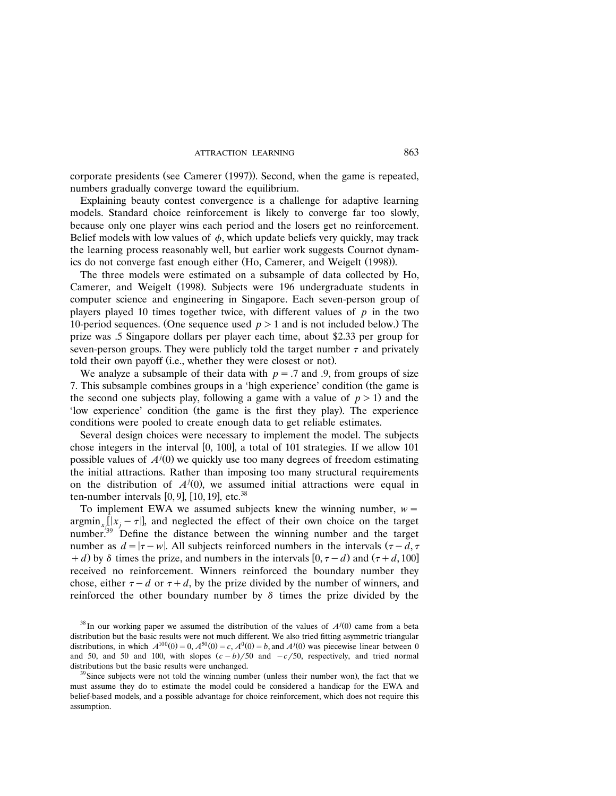corporate presidents (see Camerer  $(1997)$ ). Second, when the game is repeated, numbers gradually converge toward the equilibrium.

Explaining beauty contest convergence is a challenge for adaptive learning models. Standard choice reinforcement is likely to converge far too slowly, because only one player wins each period and the losers get no reinforcement. Belief models with low values of  $\phi$ , which update beliefs very quickly, may track the learning process reasonably well, but earlier work suggests Cournot dynamics do not converge fast enough either (Ho, Camerer, and Weigelt (1998)).

The three models were estimated on a subsample of data collected by Ho, Camerer, and Weigelt (1998). Subjects were 196 undergraduate students in computer science and engineering in Singapore. Each seven-person group of players played 10 times together twice, with different values of *p* in the two 10-period sequences. (One sequence used  $p > 1$  and is not included below.) The prize was .5 Singapore dollars per player each time, about \$2.33 per group for seven-person groups. They were publicly told the target number  $\tau$  and privately told their own payoff (i.e., whether they were closest or not).

We analyze a subsample of their data with  $p = .7$  and .9, from groups of size 7. This subsample combines groups in a 'high experience' condition (the game is the second one subjects play, following a game with a value of  $p>1$  and the 'low experience' condition (the game is the first they play). The experience conditions were pooled to create enough data to get reliable estimates.

Several design choices were necessary to implement the model. The subjects chose integers in the interval  $[0, 100]$ , a total of 101 strategies. If we allow 101 possible values of  $A^{j}(0)$  we quickly use too many degrees of freedom estimating the initial attractions. Rather than imposing too many structural requirements on the distribution of  $A^{j}(0)$ , we assumed initial attractions were equal in ten-number intervals  $[0, 9]$ ,  $[10, 19]$ , etc.<sup>38</sup>

To implement EWA we assumed subjects knew the winning number,  $w =$  $\argmin_{x} \prod_{i=1}^{n} |x_i - \tau|$ , and neglected the effect of their own choice on the target number.<sup>39</sup> Define the distance between the winning number and the target number as  $d = |\tau - w|$ . All subjects reinforced numbers in the intervals  $(\tau - d, \tau)$  $d$ ,  $d$ ) by  $\delta$  times the prize, and numbers in the intervals  $[0, \tau - d)$  and  $(\tau + d, 100]$ received no reinforcement. Winners reinforced the boundary number they chose, either  $\tau - d$  or  $\tau + d$ , by the prize divided by the number of winners, and reinforced the other boundary number by  $\delta$  times the prize divided by the

<sup>&</sup>lt;sup>38</sup> In our working paper we assumed the distribution of the values of  $A<sup>j</sup>(0)$  came from a beta distribution but the basic results were not much different. We also tried fitting asymmetric triangular distributions, in which  $A^{100}(0) = 0$ ,  $A^{50}(0) = c$ ,  $A^0(0) = b$ , and  $A^j(0)$  was piecewise linear between 0 and 50, and 50 and 100, with slopes  $(c - b)/50$  and  $-c/50$ , respectively, and tried normal distributions but the basic results were unchanged.<br><sup>39</sup>Since subjects were not told the winning number (unless their number won), the fact that we

must assume they do to estimate the model could be considered a handicap for the EWA and belief-based models, and a possible advantage for choice reinforcement, which does not require this assumption.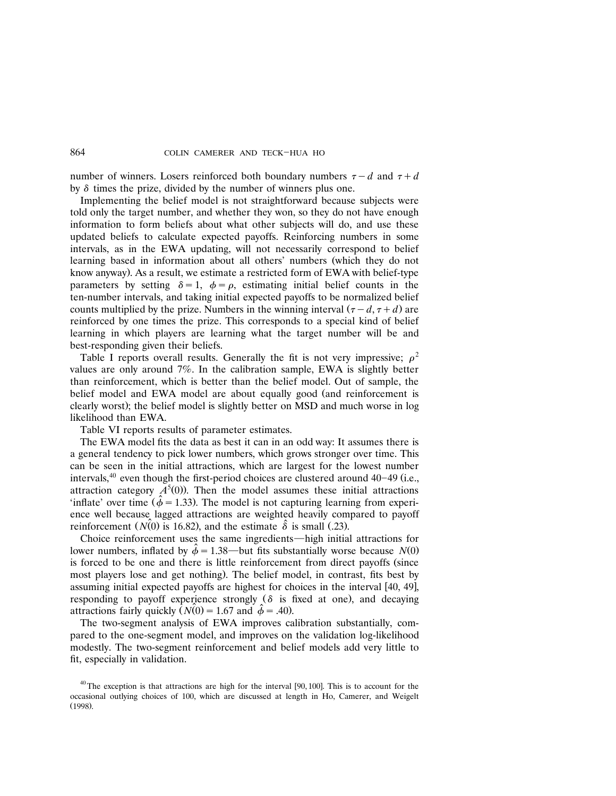number of winners. Losers reinforced both boundary numbers  $\tau - d$  and  $\tau + d$ by  $\delta$  times the prize, divided by the number of winners plus one.

Implementing the belief model is not straightforward because subjects were told only the target number, and whether they won, so they do not have enough information to form beliefs about what other subjects will do, and use these updated beliefs to calculate expected payoffs. Reinforcing numbers in some intervals, as in the EWA updating, will not necessarily correspond to belief learning based in information about all others' numbers (which they do not know anyway). As a result, we estimate a restricted form of EWA with belief-type parameters by setting  $\delta = 1$ ,  $\phi = \rho$ , estimating initial belief counts in the ten-number intervals, and taking initial expected payoffs to be normalized belief counts multiplied by the prize. Numbers in the winning interval  $(\tau - d, \tau + d)$  are reinforced by one times the prize. This corresponds to a special kind of belief learning in which players are learning what the target number will be and best-responding given their beliefs.

Table I reports overall results. Generally the fit is not very impressive;  $\rho^2$ values are only around 7%. In the calibration sample, EWA is slightly better than reinforcement, which is better than the belief model. Out of sample, the belief model and EWA model are about equally good (and reinforcement is clearly worst); the belief model is slightly better on MSD and much worse in log likelihood than EWA.

Table VI reports results of parameter estimates.

The EWA model fits the data as best it can in an odd way: It assumes there is a general tendency to pick lower numbers, which grows stronger over time. This can be seen in the initial attractions, which are largest for the lowest number intervals,  $40$  even though the first-period choices are clustered around  $40-49$  (i.e., attraction category  $A^{5}(0)$ . Then the model assumes these initial attractions 'inflate' over time ( $\hat{\phi}$  = 1.33). The model is not capturing learning from experience well because lagged attractions are weighted heavily compared to payoff reinforcement ( $N(0)$  is 16.82), and the estimate  $\hat{\delta}$  is small (.23).

Choice reinforcement uses the same ingredients—high initial attractions for lower numbers, inflated by  $\hat{\phi} = 1.38$ —but fits substantially worse because *N*(0) is forced to be one and there is little reinforcement from direct payoffs (since most players lose and get nothing). The belief model, in contrast, fits best by assuming initial expected payoffs are highest for choices in the interval [40, 49], responding to payoff experience strongly  $(\delta$  is fixed at one), and decaying attractions fairly quickly  $(N(0) = 1.67$  and  $\hat{\phi} = .40$ .

The two-segment analysis of EWA improves calibration substantially, compared to the one-segment model, and improves on the validation log-likelihood modestly. The two-segment reinforcement and belief models add very little to fit, especially in validation.

 $40$ The exception is that attractions are high for the interval [90, 100]. This is to account for the occasional outlying choices of 100, which are discussed at length in Ho, Camerer, and Weigelt  $(1998)$ .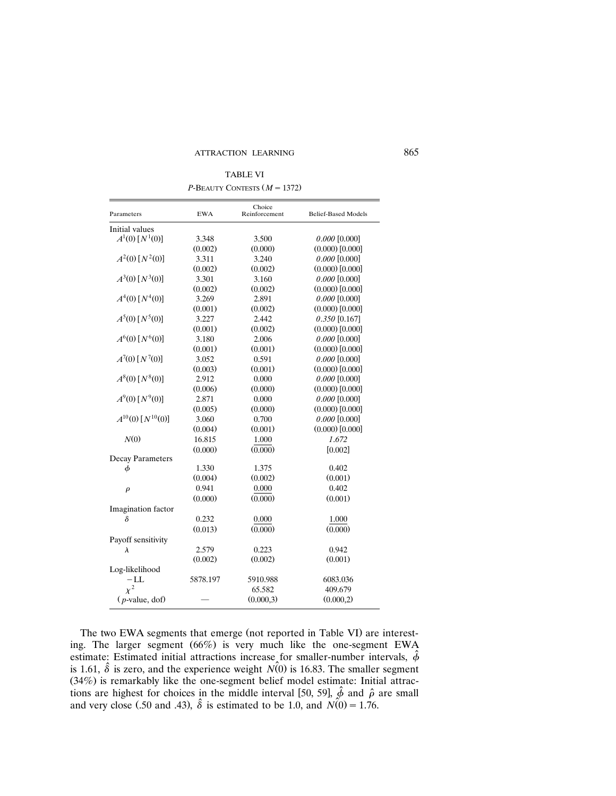#### TABLE VI

| Parameters                        | <b>EWA</b> | Choice<br>Reinforcement | <b>Belief-Based Models</b> |
|-----------------------------------|------------|-------------------------|----------------------------|
|                                   |            |                         |                            |
| Initial values                    |            |                         |                            |
| $A^1(0)$ [N <sup>1</sup> (0)]     | 3.348      | 3.500                   | $0.000$ [0.000]            |
|                                   | (0.002)    | (0.000)                 | $(0.000)$ [0.000]          |
| $A^2(0)$ [N <sup>2</sup> (0)]     | 3.311      | 3.240                   | $0.000$ [0.000]            |
|                                   | (0.002)    | (0.002)                 | $(0.000)$ $[0.000]$        |
| $A^3(0)$ [N <sup>3</sup> (0)]     | 3.301      | 3.160                   | $0.000$ [0.000]            |
|                                   | (0.002)    | (0.002)                 | $(0.000)$ $[0.000]$        |
| $A^4(0)$ [N <sup>4</sup> (0)]     | 3.269      | 2.891                   | $0.000$ [0.000]            |
|                                   | (0.001)    | (0.002)                 | $(0.000)$ $[0.000]$        |
| $A^5(0)$ [N <sup>5</sup> (0)]     | 3.227      | 2.442                   | $0.350$ [0.167]            |
|                                   | (0.001)    | (0.002)                 | $(0.000)$ $[0.000]$        |
| $A^6(0)$ [N <sup>6</sup> (0)]     | 3.180      | 2.006                   | $0.000$ [0.000]            |
|                                   | (0.001)    | (0.001)                 | $(0.000)$ [0.000]          |
| $A^7(0)$ [N <sup>7</sup> (0)]     | 3.052      | 0.591                   | $0.000$ [0.000]            |
|                                   | (0.003)    | (0.001)                 | $(0.000)$ $[0.000]$        |
| $A^{8}(0)$ [N <sup>8</sup> (0)]   | 2.912      | 0.000                   | $0.000$ [0.000]            |
|                                   | (0.006)    | (0.000)                 | $(0.000)$ $[0.000]$        |
| $A^9(0)$ [N <sup>9</sup> (0)]     | 2.871      | 0.000                   | $0.000$ [0.000]            |
|                                   | (0.005)    | (0.000)                 | $(0.000)$ $[0.000]$        |
| $A^{10}(0)$ [N <sup>10</sup> (0)] | 3.060      | 0.700                   | $0.000$ [0.000]            |
|                                   | (0.004)    | (0.001)                 | $(0.000)$ [0.000]          |
| N(0)                              | 16.815     | 1.000                   | 1.672                      |
|                                   | (0.000)    | (0.000)                 | [0.002]                    |
| <b>Decay Parameters</b>           |            |                         |                            |
| φ                                 | 1.330      | 1.375                   | 0.402                      |
|                                   | (0.004)    | (0.002)                 | (0.001)                    |
| $\rho$                            | 0.941      | 0.000                   | 0.402                      |
|                                   | (0.000)    | (0.000)                 | (0.001)                    |
| Imagination factor                |            |                         |                            |
| δ                                 | 0.232      | 0.000                   | 1.000                      |
|                                   | (0.013)    | (0.000)                 | (0.000)                    |
| Payoff sensitivity                |            |                         |                            |
| $\lambda$                         | 2.579      | 0.223                   | 0.942                      |
|                                   | (0.002)    | (0.002)                 | (0.001)                    |
| Log-likelihood                    |            |                         |                            |
| $-L$                              | 5878.197   | 5910.988                | 6083.036                   |
| $\chi^2$                          |            | 65.582                  | 409.679                    |
| $(p$ -value, dof)                 |            | (0.000, 3)              | (0.000,2)                  |
|                                   |            |                         |                            |

 $P$ -BEAUTY CONTESTS  $(M = 1372)$ 

The two EWA segments that emerge (not reported in Table VI) are interesting. The larger segment (66%) is very much like the one-segment EWA estimate: Estimated initial attractions increase for smaller-number intervals,  $\hat{\phi}$ is 1.61,  $\hat{\delta}$  is zero, and the experience weight  $N(0)$  is 16.83. The smaller segment  $(34%)$  is remarkably like the one-segment belief model estimate: Initial attractions are highest for choices in the middle interval [50, 59],  $\hat{\phi}$  and  $\hat{\rho}$  are small and very close (.50 and .43),  $\hat{\delta}$  is estimated to be 1.0, and  $N(0) = 1.76$ .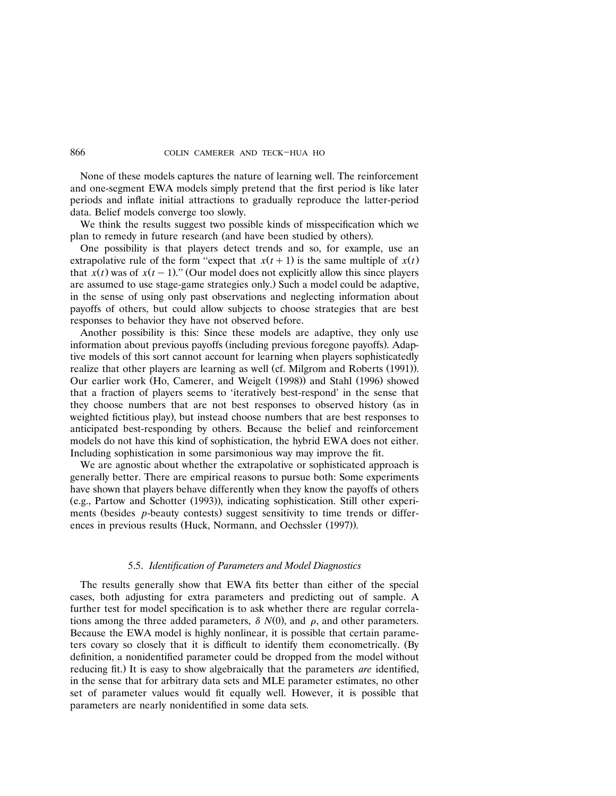None of these models captures the nature of learning well. The reinforcement and one-segment EWA models simply pretend that the first period is like later periods and inflate initial attractions to gradually reproduce the latter-period data. Belief models converge too slowly.

We think the results suggest two possible kinds of misspecification which we plan to remedy in future research (and have been studied by others).

One possibility is that players detect trends and so, for example, use an extrapolative rule of the form "expect that  $x(t + 1)$  is the same multiple of  $x(t)$ that  $x(t)$  was of  $x(t-1)$ ." (Our model does not explicitly allow this since players are assumed to use stage-game strategies only.) Such a model could be adaptive, in the sense of using only past observations and neglecting information about payoffs of others, but could allow subjects to choose strategies that are best responses to behavior they have not observed before.

Another possibility is this: Since these models are adaptive, they only use information about previous payoffs (including previous foregone payoffs). Adaptive models of this sort cannot account for learning when players sophisticatedly realize that other players are learning as well (cf. Milgrom and Roberts (1991)). Our earlier work (Ho, Camerer, and Weigelt (1998)) and Stahl (1996) showed that a fraction of players seems to 'iteratively best-respond' in the sense that they choose numbers that are not best responses to observed history (as in weighted fictitious play), but instead choose numbers that are best responses to anticipated best-responding by others. Because the belief and reinforcement models do not have this kind of sophistication, the hybrid EWA does not either. Including sophistication in some parsimonious way may improve the fit.

We are agnostic about whether the extrapolative or sophisticated approach is generally better. There are empirical reasons to pursue both: Some experiments have shown that players behave differently when they know the payoffs of others  $(e.g.,$  Partow and Schotter  $(1993)$ ), indicating sophistication. Still other experiments (besides *p*-beauty contests) suggest sensitivity to time trends or differences in previous results (Huck, Normann, and Oechssler (1997).

#### 5.5. *Identification of Parameters and Model Diagnostics*

The results generally show that EWA fits better than either of the special cases, both adjusting for extra parameters and predicting out of sample. A further test for model specification is to ask whether there are regular correlations among the three added parameters,  $\delta N(0)$ , and  $\rho$ , and other parameters. Because the EWA model is highly nonlinear, it is possible that certain parameters covary so closely that it is difficult to identify them econometrically. (By definition, a nonidentified parameter could be dropped from the model without reducing fit.) It is easy to show algebraically that the parameters *are* identified, in the sense that for arbitrary data sets and MLE parameter estimates, no other set of parameter values would fit equally well. However, it is possible that parameters are nearly nonidentified in some data sets.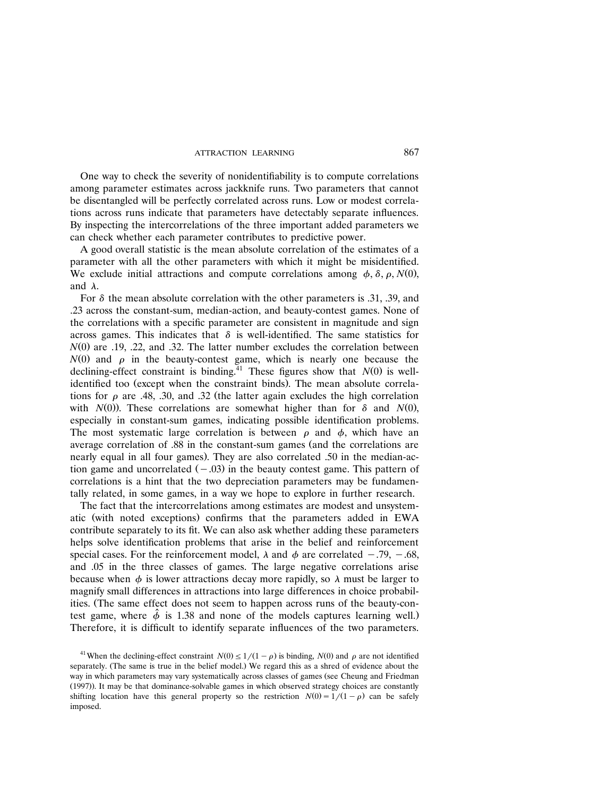One way to check the severity of nonidentifiability is to compute correlations among parameter estimates across jackknife runs. Two parameters that cannot be disentangled will be perfectly correlated across runs. Low or modest correlations across runs indicate that parameters have detectably separate influences. By inspecting the intercorrelations of the three important added parameters we can check whether each parameter contributes to predictive power.

A good overall statistic is the mean absolute correlation of the estimates of a parameter with all the other parameters with which it might be misidentified. We exclude initial attractions and compute correlations among  $\phi$ ,  $\delta$ ,  $\rho$ ,  $N(0)$ , and  $\lambda$ .

For  $\delta$  the mean absolute correlation with the other parameters is .31, .39, and .23 across the constant-sum, median-action, and beauty-contest games. None of the correlations with a specific parameter are consistent in magnitude and sign across games. This indicates that  $\delta$  is well-identified. The same statistics for  $N(0)$  are .19, .22, and .32. The latter number excludes the correlation between  $N(0)$  and  $\rho$  in the beauty-contest game, which is nearly one because the declining-effect constraint is binding.<sup>41</sup> These figures show that  $N(0)$  is wellidentified too (except when the constraint binds). The mean absolute correlations for  $\rho$  are .48, .30, and .32 (the latter again excludes the high correlation with  $N(0)$ ). These correlations are somewhat higher than for  $\delta$  and  $N(0)$ , especially in constant-sum games, indicating possible identification problems. The most systematic large correlation is between  $\rho$  and  $\phi$ , which have an average correlation of .88 in the constant-sum games (and the correlations are nearly equal in all four games). They are also correlated .50 in the median-action game and uncorrelated  $(-.03)$  in the beauty contest game. This pattern of correlations is a hint that the two depreciation parameters may be fundamentally related, in some games, in a way we hope to explore in further research.

The fact that the intercorrelations among estimates are modest and unsystematic (with noted exceptions) confirms that the parameters added in EWA contribute separately to its fit. We can also ask whether adding these parameters helps solve identification problems that arise in the belief and reinforcement special cases. For the reinforcement model,  $\lambda$  and  $\phi$  are correlated -.79, -.68, and .05 in the three classes of games. The large negative correlations arise because when  $\phi$  is lower attractions decay more rapidly, so  $\lambda$  must be larger to magnify small differences in attractions into large differences in choice probabilities. (The same effect does not seem to happen across runs of the beauty-contest game, where  $\hat{\phi}$  is 1.38 and none of the models captures learning well.) Therefore, it is difficult to identify separate influences of the two parameters.

<sup>&</sup>lt;sup>41</sup> When the declining-effect constraint  $N(0) \le 1/(1 - \rho)$  is binding,  $N(0)$  and  $\rho$  are not identified separately. (The same is true in the belief model.) We regard this as a shred of evidence about the way in which parameters may vary systematically across classes of games (see Cheung and Friedman (1997)). It may be that dominance-solvable games in which observed strategy choices are constantly shifting location have this general property so the restriction  $N(0) = 1/(1 - \rho)$  can be safely imposed.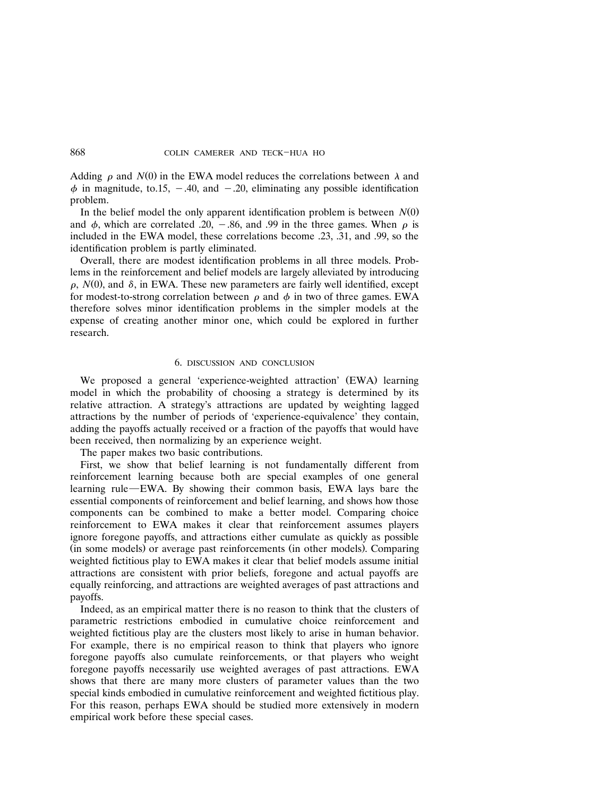Adding  $\rho$  and  $N(0)$  in the EWA model reduces the correlations between  $\lambda$  and  $\phi$  in magnitude, to.15, -.40, and -.20, eliminating any possible identification problem.

In the belief model the only apparent identification problem is between  $N(0)$ and  $\phi$ , which are correlated .20, -.86, and .99 in the three games. When  $\rho$  is included in the EWA model, these correlations become .23, .31, and .99, so the identification problem is partly eliminated.

Overall, there are modest identification problems in all three models. Problems in the reinforcement and belief models are largely alleviated by introducing  $\rho$ ,  $N(0)$ , and  $\delta$ , in EWA. These new parameters are fairly well identified, except for modest-to-strong correlation between  $\rho$  and  $\phi$  in two of three games. EWA therefore solves minor identification problems in the simpler models at the expense of creating another minor one, which could be explored in further research.

#### 6. DISCUSSION AND CONCLUSION

We proposed a general 'experience-weighted attraction' (EWA) learning model in which the probability of choosing a strategy is determined by its relative attraction. A strategy's attractions are updated by weighting lagged attractions by the number of periods of 'experience-equivalence' they contain, adding the payoffs actually received or a fraction of the payoffs that would have been received, then normalizing by an experience weight.

The paper makes two basic contributions.

First, we show that belief learning is not fundamentally different from reinforcement learning because both are special examples of one general learning rule—EWA. By showing their common basis, EWA lays bare the essential components of reinforcement and belief learning, and shows how those components can be combined to make a better model. Comparing choice reinforcement to EWA makes it clear that reinforcement assumes players ignore foregone payoffs, and attractions either cumulate as quickly as possible (in some models) or average past reinforcements (in other models). Comparing weighted fictitious play to EWA makes it clear that belief models assume initial attractions are consistent with prior beliefs, foregone and actual payoffs are equally reinforcing, and attractions are weighted averages of past attractions and payoffs.

Indeed, as an empirical matter there is no reason to think that the clusters of parametric restrictions embodied in cumulative choice reinforcement and weighted fictitious play are the clusters most likely to arise in human behavior. For example, there is no empirical reason to think that players who ignore foregone payoffs also cumulate reinforcements, or that players who weight foregone payoffs necessarily use weighted averages of past attractions. EWA shows that there are many more clusters of parameter values than the two special kinds embodied in cumulative reinforcement and weighted fictitious play. For this reason, perhaps EWA should be studied more extensively in modern empirical work before these special cases.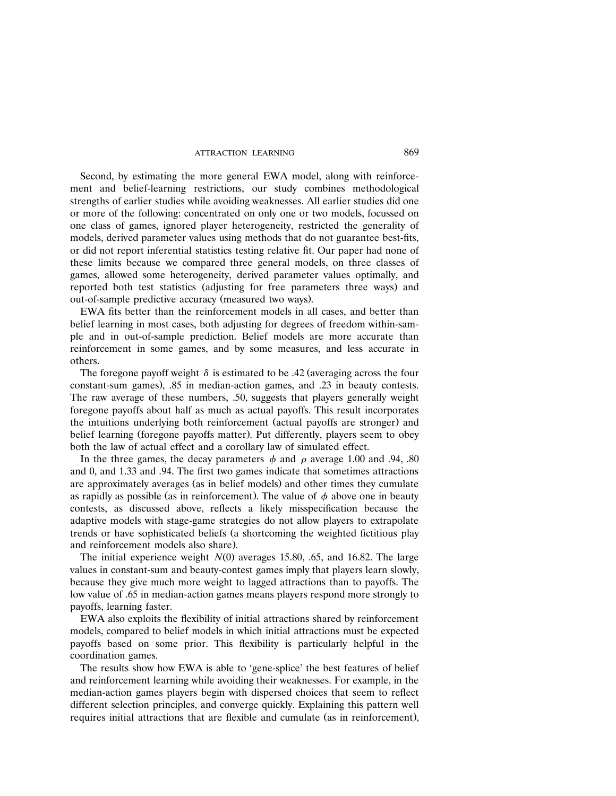Second, by estimating the more general EWA model, along with reinforcement and belief-learning restrictions, our study combines methodological strengths of earlier studies while avoiding weaknesses. All earlier studies did one or more of the following: concentrated on only one or two models, focussed on one class of games, ignored player heterogeneity, restricted the generality of models, derived parameter values using methods that do not guarantee best-fits, or did not report inferential statistics testing relative fit. Our paper had none of these limits because we compared three general models, on three classes of games, allowed some heterogeneity, derived parameter values optimally, and reported both test statistics (adjusting for free parameters three ways) and out-of-sample predictive accuracy (measured two ways).

EWA fits better than the reinforcement models in all cases, and better than belief learning in most cases, both adjusting for degrees of freedom within-sample and in out-of-sample prediction. Belief models are more accurate than reinforcement in some games, and by some measures, and less accurate in others.

The foregone payoff weight  $\delta$  is estimated to be .42 (averaging across the four constant-sum games), .85 in median-action games, and .23 in beauty contests. The raw average of these numbers, .50, suggests that players generally weight foregone payoffs about half as much as actual payoffs. This result incorporates the intuitions underlying both reinforcement (actual payoffs are stronger) and belief learning (foregone payoffs matter). Put differently, players seem to obey both the law of actual effect and a corollary law of simulated effect.

In the three games, the decay parameters  $\phi$  and  $\rho$  average 1.00 and .94, .80 and 0, and 1.33 and .94. The first two games indicate that sometimes attractions are approximately averages (as in belief models) and other times they cumulate as rapidly as possible (as in reinforcement). The value of  $\phi$  above one in beauty contests, as discussed above, reflects a likely misspecification because the adaptive models with stage-game strategies do not allow players to extrapolate trends or have sophisticated beliefs (a shortcoming the weighted fictitious play and reinforcement models also share).

The initial experience weight  $N(0)$  averages 15.80, .65, and 16.82. The large values in constant-sum and beauty-contest games imply that players learn slowly, because they give much more weight to lagged attractions than to payoffs. The low value of .65 in median-action games means players respond more strongly to payoffs, learning faster.

EWA also exploits the flexibility of initial attractions shared by reinforcement models, compared to belief models in which initial attractions must be expected payoffs based on some prior. This flexibility is particularly helpful in the coordination games.

The results show how EWA is able to 'gene-splice' the best features of belief and reinforcement learning while avoiding their weaknesses. For example, in the median-action games players begin with dispersed choices that seem to reflect different selection principles, and converge quickly. Explaining this pattern well requires initial attractions that are flexible and cumulate (as in reinforcement),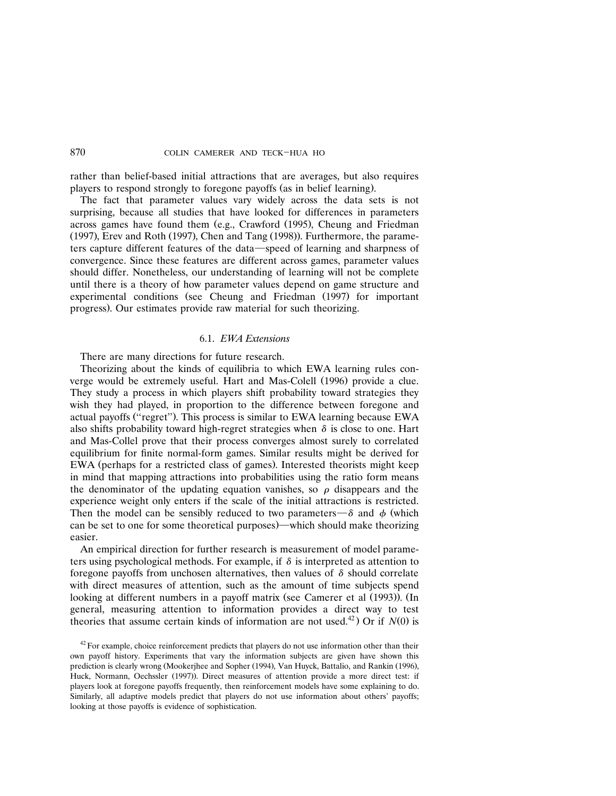rather than belief-based initial attractions that are averages, but also requires players to respond strongly to foregone payoffs (as in belief learning).

The fact that parameter values vary widely across the data sets is not surprising, because all studies that have looked for differences in parameters across games have found them (e.g., Crawford (1995), Cheung and Friedman  $(1997)$ , Erev and Roth  $(1997)$ , Chen and Tang  $(1998)$ ). Furthermore, the parameters capture different features of the data—speed of learning and sharpness of convergence. Since these features are different across games, parameter values should differ. Nonetheless, our understanding of learning will not be complete until there is a theory of how parameter values depend on game structure and experimental conditions (see Cheung and Friedman (1997) for important progress). Our estimates provide raw material for such theorizing.

## 6.1. *EWA Extensions*

There are many directions for future research.

Theorizing about the kinds of equilibria to which EWA learning rules converge would be extremely useful. Hart and Mas-Colell (1996) provide a clue. They study a process in which players shift probability toward strategies they wish they had played, in proportion to the difference between foregone and actual payoffs ("regret"). This process is similar to EWA learning because EWA also shifts probability toward high-regret strategies when  $\delta$  is close to one. Hart and Mas-Collel prove that their process converges almost surely to correlated equilibrium for finite normal-form games. Similar results might be derived for EWA (perhaps for a restricted class of games). Interested theorists might keep in mind that mapping attractions into probabilities using the ratio form means the denominator of the updating equation vanishes, so  $\rho$  disappears and the experience weight only enters if the scale of the initial attractions is restricted. Then the model can be sensibly reduced to two parameters— $\delta$  and  $\phi$  (which can be set to one for some theoretical purposes)—which should make theorizing easier.

An empirical direction for further research is measurement of model parameters using psychological methods. For example, if  $\delta$  is interpreted as attention to foregone payoffs from unchosen alternatives, then values of  $\delta$  should correlate with direct measures of attention, such as the amount of time subjects spend looking at different numbers in a payoff matrix (see Camerer et al (1993)). (In general, measuring attention to information provides a direct way to test theories that assume certain kinds of information are not used.<sup>42</sup>) Or if  $N(0)$  is

 $42$  For example, choice reinforcement predicts that players do not use information other than their own payoff history. Experiments that vary the information subjects are given have shown this prediction is clearly wrong (Mookerjhee and Sopher (1994), Van Huyck, Battalio, and Rankin (1996), Huck, Normann, Oechssler (1997)). Direct measures of attention provide a more direct test: if players look at foregone payoffs frequently, then reinforcement models have some explaining to do. Similarly, all adaptive models predict that players do not use information about others' payoffs; looking at those payoffs is evidence of sophistication.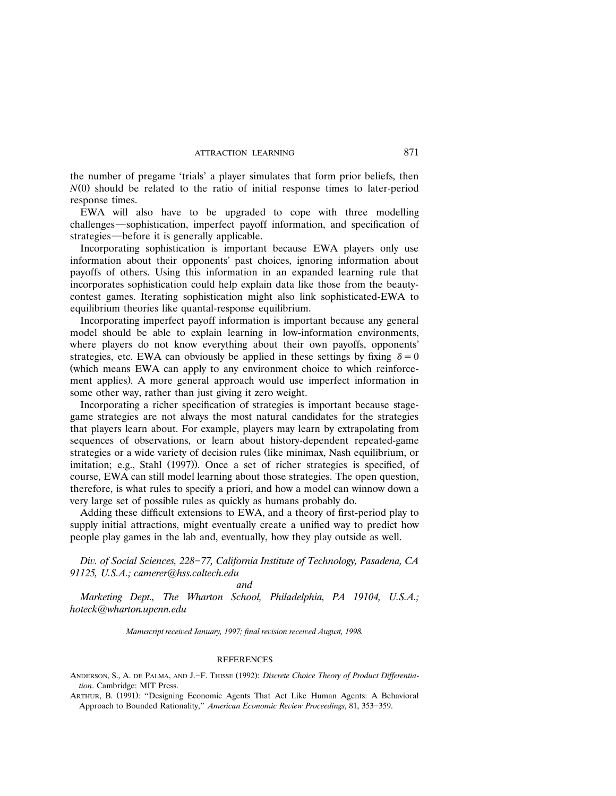the number of pregame 'trials' a player simulates that form prior beliefs, then  $N(0)$  should be related to the ratio of initial response times to later-period response times.

EWA will also have to be upgraded to cope with three modelling challenges—sophistication, imperfect payoff information, and specification of strategies—before it is generally applicable.

Incorporating sophistication is important because EWA players only use information about their opponents' past choices, ignoring information about payoffs of others. Using this information in an expanded learning rule that incorporates sophistication could help explain data like those from the beautycontest games. Iterating sophistication might also link sophisticated-EWA to equilibrium theories like quantal-response equilibrium.

Incorporating imperfect payoff information is important because any general model should be able to explain learning in low-information environments, where players do not know everything about their own payoffs, opponents' strategies, etc. EWA can obviously be applied in these settings by fixing  $\delta = 0$ (which means EWA can apply to any environment choice to which reinforcement applies). A more general approach would use imperfect information in some other way, rather than just giving it zero weight.

Incorporating a richer specification of strategies is important because stagegame strategies are not always the most natural candidates for the strategies that players learn about. For example, players may learn by extrapolating from sequences of observations, or learn about history-dependent repeated-game strategies or a wide variety of decision rules (like minimax, Nash equilibrium, or imitation; e.g., Stahl (1997)). Once a set of richer strategies is specified, of course, EWA can still model learning about those strategies. The open question, therefore, is what rules to specify a priori, and how a model can winnow down a very large set of possible rules as quickly as humans probably do.

Adding these difficult extensions to EWA, and a theory of first-period play to supply initial attractions, might eventually create a unified way to predict how people play games in the lab and, eventually, how they play outside as well.

*Di . of Social Sciences, 22877, California Institute of Technology, Pasadena, CA 91125, U.S.A.; camerer*@*hss.caltech.edu*

*and*

*Marketing Dept., The Wharton School, Philadelphia, PA 19104, U.S.A.; hoteck*@*wharton.upenn.edu*

*Manuscript recei ed January, 1997; final re ision recei ed August, 1998.*

#### **REFERENCES**

ANDERSON, S., A. DE PALMA, AND J.-F. THISSE (1992): *Discrete Choice Theory of Product Differentiation*. Cambridge: MIT Press.

ARTHUR, B. (1991): "Designing Economic Agents That Act Like Human Agents: A Behavioral Approach to Bounded Rationality," American Economic Review Proceedings, 81, 353-359.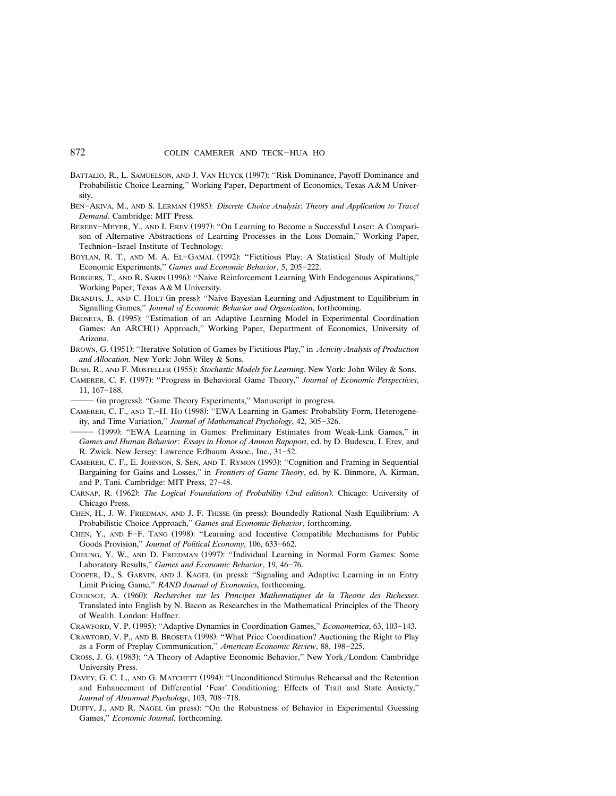- BATTALIO, R., L. SAMUELSON, AND J. VAN HUYCK (1997): "Risk Dominance, Payoff Dominance and Probabilistic Choice Learning,'' Working Paper, Department of Economics, Texas A&M University.
- BEN-AKIVA, M., AND S. LERMAN (1985): *Discrete Choice Analysis*: *Theory and Application to Travel Demand*. Cambridge: MIT Press.
- BEREBY-MEYER, Y., AND I. EREV (1997): "On Learning to Become a Successful Loser: A Comparison of Alternative Abstractions of Learning Processes in the Loss Domain,'' Working Paper, Technion-Israel Institute of Technology.
- BOYLAN, R. T., AND M. A. EL-GAMAL (1992): "Fictitious Play: A Statistical Study of Multiple Economic Experiments," Games and Economic Behavior, 5, 205-222.
- BORGERS, T., AND R. SARIN (1996): "Naive Reinforcement Learning With Endogenous Aspirations," Working Paper, Texas A&M University.
- BRANDTS, J., AND C. HOLT (in press): "Naive Bayesian Learning and Adjustment to Equilibrium in Signalling Games,'' *Journal of Economic Beha ior and Organization*, forthcoming.
- BROSETA, B. (1995): "Estimation of an Adaptive Learning Model in Experimental Coordination Games: An ARCH(1) Approach," Working Paper, Department of Economics, University of Arizona.
- BROWN, G. (1951): "Iterative Solution of Games by Fictitious Play," in Activity Analysis of Production *and Allocation*. New York: John Wiley & Sons.
- BUSH, R., AND F. MOSTELLER (1955): *Stochastic Models for Learning*. New York: John Wiley & Sons.

CAMERER, C. F. (1997): "Progress in Behavioral Game Theory," Journal of Economic Perspectives, 11, 167-188.

- (in progress): "Game Theory Experiments," Manuscript in progress.

CAMERER, C. F., AND T.–H. HO (1998): "EWA Learning in Games: Probability Form, Heterogeneity, and Time Variation," *Journal of Mathematical Psychology*, 42, 305-326.

- . (1999): "EWA Learning in Games: Preliminary Estimates from Weak-Link Games," in Games and Human Behavior: Essays in Honor of Amnon Rapoport, ed. by D. Budescu, I. Erev, and R. Zwick. New Jersey: Lawrence Erlbaum Assoc., Inc., 31-52.
- CAMERER, C. F., E. JOHNSON, S. SEN, AND T. RYMON (1993): "Cognition and Framing in Sequential Bargaining for Gains and Losses,'' in *Frontiers of Game Theory*, ed. by K. Binmore, A. Kirman, and P. Tani. Cambridge: MIT Press, 27-48.
- CARNAP, R. (1962): *The Logical Foundations of Probability (2nd edition)*. Chicago: University of Chicago Press.
- CHEN, H., J. W. FRIEDMAN, AND J. F. THISSE (in press): Boundedly Rational Nash Equilibrium: A Probabilistic Choice Approach,'' *Games and Economic Beha ior*, forthcoming.
- CHEN, Y., AND F-F. TANG (1998): "Learning and Incentive Compatible Mechanisms for Public Goods Provision," *Journal of Political Economy*, 106, 633-662.
- CHEUNG, Y. W., AND D. FRIEDMAN (1997): "Individual Learning in Normal Form Games: Some Laboratory Results," *Games and Economic Behavior*, 19, 46-76.
- COOPER, D., S. GARVIN, AND J. KAGEL (in press): "Signaling and Adaptive Learning in an Entry Limit Pricing Game,'' *RAND Journal of Economics*, forthcoming.
- COURNOT, A. (1960): *Recherches sur les Principes Mathematiques de la Theorie des Richesses*. Translated into English by N. Bacon as Researches in the Mathematical Principles of the Theory of Wealth. London: Haffner.

CRAWFORD, V. P. (1995): "Adaptive Dynamics in Coordination Games," *Econometrica*, 63, 103–143.

- CRAWFORD, V. P., AND B. BROSETA (1998): "What Price Coordination? Auctioning the Right to Play as a Form of Preplay Communication," American Economic Review, 88, 198-225.
- CROSS, J. G. (1983): "A Theory of Adaptive Economic Behavior," New York/London: Cambridge University Press.
- DAVEY, G. C. L., AND G. MATCHETT (1994): "Unconditioned Stimulus Rehearsal and the Retention and Enhancement of Differential 'Fear' Conditioning: Effects of Trait and State Anxiety,'' *Journal of Abnormal Psychology*, 103, 708-718.
- DUFFY, J., AND R. NAGEL (in press): "On the Robustness of Behavior in Experimental Guessing Games,'' *Economic Journal*, forthcoming.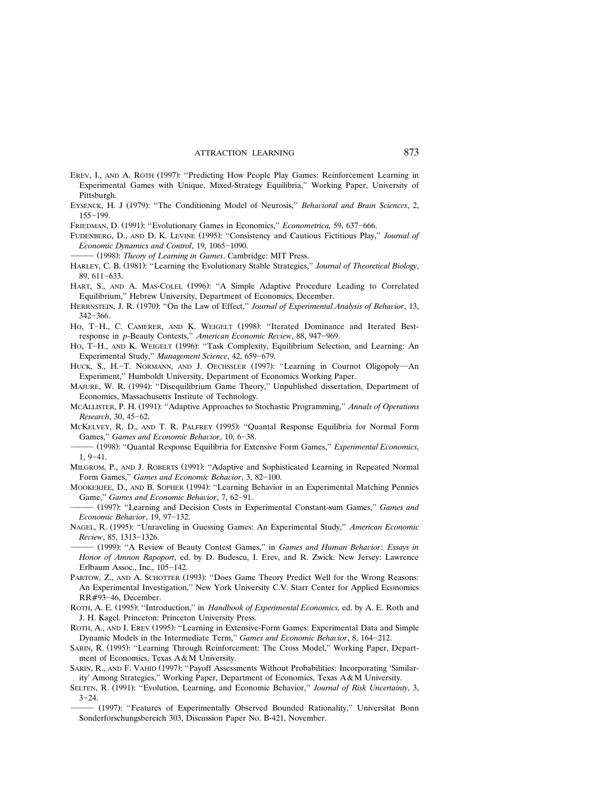- EREV, I., AND A. ROTH (1997): "Predicting How People Play Games: Reinforcement Learning in Experimental Games with Unique, Mixed-Strategy Equilibria,'' Working Paper, University of Pittsburgh.
- EYSENCK, H. J (1979): "The Conditioning Model of Neurosis," *Behavioral and Brain Sciences*, 2, 155-199.
- FRIEDMAN, D. (1991): "Evolutionary Games in Economics," *Econometrica*, 59, 637-666.
- FUDENBERG, D., AND D. K. LEVINE (1995): "Consistency and Cautious Fictitious Play," *Journal of Economic Dynamics and Control*, 19, 1065-1090.
- Ž . 1998 : *Theory of Learning in Games*. Cambridge: MIT Press.
- HARLEY, C. B. (1981): "Learning the Evolutionary Stable Strategies," *Journal of Theoretical Biology*, 89, 611-633.
- HART, S., AND A. MAS-COLEL (1996): "A Simple Adaptive Procedure Leading to Correlated Equilibrium,'' Hebrew University, Department of Economics, December.
- HERRNSTEIN, J. R. (1970): "On the Law of Effect," Journal of Experimental Analysis of Behavior, 13,  $342 - 366.$
- HO, T-H., C. CAMERER, AND K. WEIGELT (1998): "Iterated Dominance and Iterated Bestresponse in *p*-Beauty Contests," American Economic Review, 88, 947-969.
- HO, T-H., AND K. WEIGELT (1996): "Task Complexity, Equilibrium Selection, and Learning: An Experimental Study," Management Science, 42, 659-679.
- HUCK, S., H.-T. NORMANN, AND J. OECHSSLER (1997): "Learning in Cournot Oligopoly-An Experiment,'' Humboldt University, Department of Economics Working Paper.
- MAJURE, W. R. (1994): "Disequilibrium Game Theory," Unpublished dissertation, Department of Economics, Massachusetts Institute of Technology.
- MCALLISTER, P. H. (1991): "Adaptive Approaches to Stochastic Programming," Annals of Operations *Research*, 30, 45-62.
- MCKELVEY, R. D., AND T. R. PALFREY (1995): "Quantal Response Equilibria for Normal Form Games," Games and Economic Behavior, 10, 6-38.
- Ž . 1998 : ''Quantal Response Equilibria for Extensive Form Games,'' *Experimental Economics*,  $1, 9-41.$
- MILGROM, P., AND J. ROBERTS (1991): "Adaptive and Sophisticated Learning in Repeated Normal Form Games," Games and Economic Behavior, 3, 82-100.
- MOOKERJEE, D., AND B. SOPHER (1994): "Learning Behavior in an Experimental Matching Pennies Game," Games and Economic Behavior, 7, 62-91.
- Ž . 1997 : ''Learning and Decision Costs in Experimental Constant-sum Games,'' *Games and Economic Behavior*, 19, 97-132.
- NAGEL, R. (1995): "Unraveling in Guessing Games: An Experimental Study," *American Economic Review*, 85, 1313-1326.
- Ž . 1999 : ''A Review of Beauty Contest Games,'' in *Games and Human Beha ior*: *Essays in Honor of Amnon Rapoport*, ed. by D. Budescu, I. Erev, and R. Zwick. New Jersey: Lawrence Erlbaum Assoc., Inc., 105-142.
- PARTOW, Z., AND A. SCHOTTER (1993): "Does Game Theory Predict Well for the Wrong Reasons: An Experimental Investigation,'' New York University C.V. Starr Center for Applied Economics RR#93-46, December.
- ROTH, A. E. (1995): "Introduction," in *Handbook of Experimental Economics*, ed. by A. E. Roth and J. H. Kagel. Princeton: Princeton University Press.
- ROTH, A., AND I. EREV (1995): "Learning in Extensive-Form Games: Experimental Data and Simple Dynamic Models in the Intermediate Term," *Games and Economic Behavior*, 8, 164-212.
- SARIN, R. (1995): "Learning Through Reinforcement: The Cross Model," Working Paper, Department of Economics, Texas A&M University.
- SARIN, R., AND F. VAHID (1997): "Payoff Assessments Without Probabilities: Incorporating 'Similarity' Among Strategies,'' Working Paper, Department of Economics, Texas A&M University.
- SELTEN, R. (1991): "Evolution, Learning, and Economic Behavior," *Journal of Risk Uncertainty*, 3,  $3 - 24.$

 Ž . 1997 : ''Features of Experimentally Observed Bounded Rationality,'' Universitat Bonn Sonderforschungsbereich 303, Discussion Paper No. B-421, November.